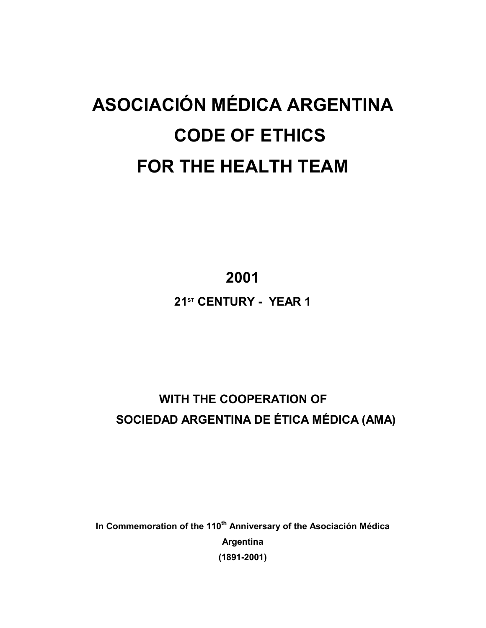# **ASOCIACIÓN MÉDICA ARGENTINA CODE OF ETHICS FOR THE HEALTH TEAM**

2001 21st CENTURY - YEAR 1

## **WITH THE COOPERATION OF** SOCIEDAD ARGENTINA DE ÉTICA MÉDICA (AMA)

In Commemoration of the 110<sup>th</sup> Anniversary of the Asociación Médica **Argentina**  $(1891 - 2001)$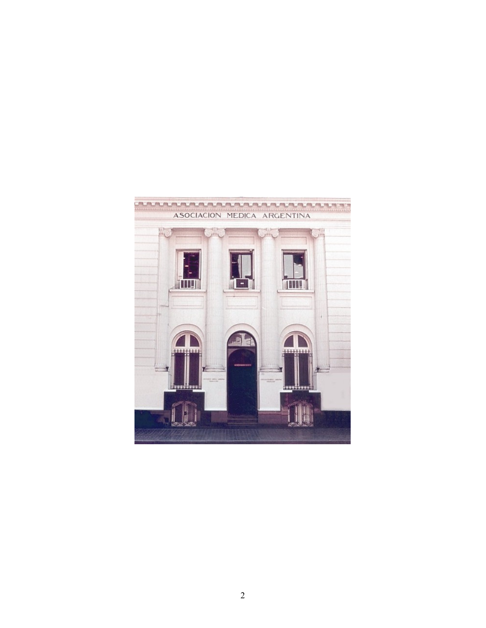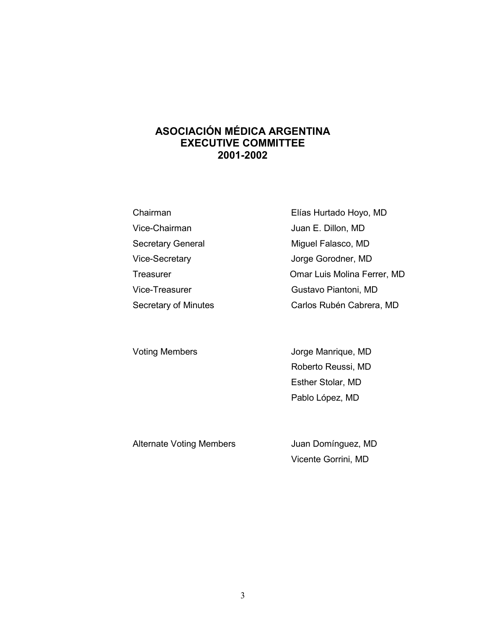## **ASOCIACIÓN MÉDICA ARGENTINA EXECUTIVE COMMITTEE** 2001-2002

Chairman Vice-Chairman Secretary General Vice-Secretary Treasurer Vice-Treasurer **Secretary of Minutes** 

**Voting Members** 

Elías Hurtado Hoyo, MD Juan E. Dillon, MD Miguel Falasco, MD Jorge Gorodner, MD Omar Luis Molina Ferrer, MD Gustavo Piantoni, MD Carlos Rubén Cabrera, MD

Jorge Manrique, MD Roberto Reussi, MD Esther Stolar, MD Pablo López, MD

**Alternate Voting Members** 

Juan Domínguez, MD Vicente Gorrini, MD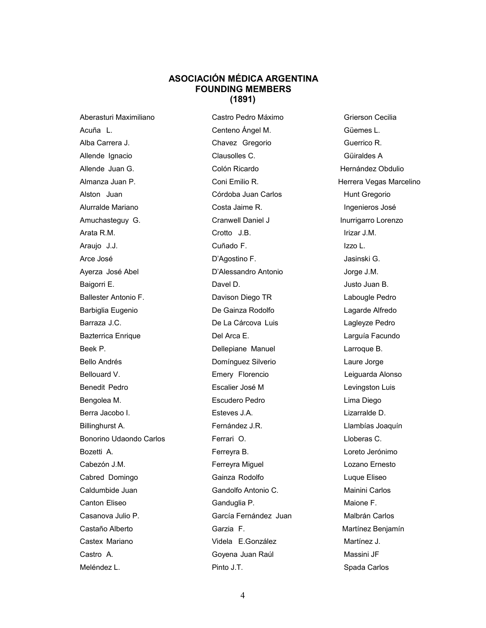## **ASOCIACIÓN MÉDICA ARGENTINA FOUNDING MEMBERS**  $(1891)$

Aberasturi Maximiliano Acuña L. Alba Carrera J. Allende Ignacio Allende Juan G. Almanza Juan P. Alston Juan Alurralde Mariano Amuchasteguy G. Arata R.M. Araujo J.J. Arce José Ayerza José Abel Baigorri E. Ballester Antonio F. Barbiglia Eugenio Barraza J.C. **Bazterrica Enrique** Beek P. **Bello Andrés** Bellouard V. Benedit Pedro Bengolea M. Berra Jacobo I. Billinghurst A. Bonorino Udaondo Carlos Bozetti A. Cabezón J.M. Cabred Domingo Caldumbide Juan Canton Eliseo Casanova Julio P. Castaño Alberto Castex Mariano Castro A. Meléndez L.

Castro Pedro Máximo Centeno Ángel M. Chavez Gregorio Clausolles C. Colón Ricardo Coni Emilio R. Córdoba Juan Carlos Costa Jaime R. Cranwell Daniel J Crotto J.B. Cuñado F. D'Agostino F. D'Alessandro Antonio Davel D. Davison Diego TR De Gainza Rodolfo De La Cárcova Luis Del Arca E. Dellepiane Manuel Domínguez Silverio Emery Florencio Escalier José M Escudero Pedro **Esteves J.A.** Fernández J R Ferrari O. Ferreyra B. Ferreyra Miquel Gainza Rodolfo Gandolfo Antonio C. Ganduglia P. García Fernández Juan Garzia F Videla E.González Goyena Juan Raúl Pinto J.T.

Grierson Cecilia Güemes L. Guerrico R. Güiraldes A Hernández Obdulio Herrera Vegas Marcelino **Hunt Gregorio** Ingenieros José Inurrigarro Lorenzo Irizar J.M.  $|zz0|$ . Jasinski G. Jorge J.M. Justo Juan B. Labougle Pedro Lagarde Alfredo Lagleyze Pedro Larguía Facundo Larroque B. Laure Jorge Leiguarda Alonso Levingston Luis Lima Diego Lizarralde D. Llambías Joaquín Lloberas C. Loreto Jerónimo Lozano Ernesto Luque Eliseo Mainini Carlos Maione F. Malbrán Carlos Martínez Benjamín Martínez J. Massini JF Spada Carlos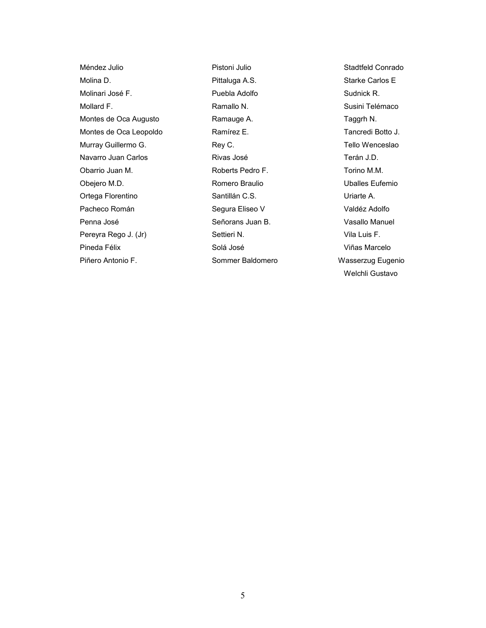Méndez Julio Molina D. Molinari José F. Mollard F. Montes de Oca Augusto Montes de Oca Leopoldo Murray Guillermo G. Navarro Juan Carlos Obarrio Juan M. Obejero M.D. Ortega Florentino Pacheco Román Penna José Pereyra Rego J. (Jr) Pineda Félix Piñero Antonio F.

Pistoni Julio Pittaluga A.S. Puebla Adolfo Ramallo N. Ramauge A. Ramírez E. Rey C. Rivas José Roberts Pedro F. Romero Braulio Santillán C.S. Segura Eliseo V Señorans Juan B. Settieri N. Solá José Sommer Baldomero

Stadtfeld Conrado Starke Carlos E Sudnick R. Susini Telémaco Taggrh N. Tancredi Botto J. Tello Wenceslao Terán J.D. Torino M.M. Uballes Eufemio Uriarte A. Valdéz Adolfo Vasallo Manuel Vila Luis F. Viñas Marcelo Wasserzug Eugenio Welchli Gustavo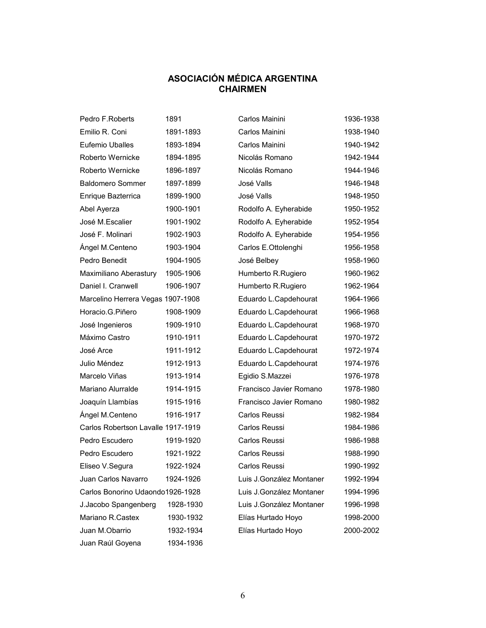## ASOCIACIÓN MÉDICA ARGENTINA **CHAIRMEN**

| Pedro F.Roberts                    | 1891      | Carlos Mainini            | 1936-1938 |
|------------------------------------|-----------|---------------------------|-----------|
| Emilio R. Coni                     | 1891-1893 | Carlos Mainini            | 1938-1940 |
| Eufemio Uballes                    | 1893-1894 | Carlos Mainini            | 1940-1942 |
| Roberto Wernicke                   | 1894-1895 | Nicolás Romano            | 1942-1944 |
| Roberto Wernicke                   | 1896-1897 | Nicolás Romano            | 1944-1946 |
| <b>Baldomero Sommer</b>            | 1897-1899 | José Valls                | 1946-1948 |
| Enrique Bazterrica                 | 1899-1900 | José Valls                | 1948-1950 |
| Abel Ayerza                        | 1900-1901 | Rodolfo A. Eyherabide     | 1950-1952 |
| José M.Escalier                    | 1901-1902 | Rodolfo A. Eyherabide     | 1952-1954 |
| José F. Molinari                   | 1902-1903 | Rodolfo A. Eyherabide     | 1954-1956 |
| Ángel M.Centeno                    | 1903-1904 | Carlos E.Ottolenghi       | 1956-1958 |
| Pedro Benedit                      | 1904-1905 | José Belbey               | 1958-1960 |
| Maximiliano Aberastury             | 1905-1906 | Humberto R.Rugiero        | 1960-1962 |
| Daniel I. Cranwell                 | 1906-1907 | Humberto R.Rugiero        | 1962-1964 |
| Marcelino Herrera Vegas 1907-1908  |           | Eduardo L.Capdehourat     | 1964-1966 |
| Horacio.G.Piñero                   | 1908-1909 | Eduardo L.Capdehourat     | 1966-1968 |
| José Ingenieros                    | 1909-1910 | Eduardo L.Capdehourat     | 1968-1970 |
| Máximo Castro                      | 1910-1911 | Eduardo L.Capdehourat     | 1970-1972 |
| José Arce                          | 1911-1912 | Eduardo L.Capdehourat     | 1972-1974 |
| Julio Méndez                       | 1912-1913 | Eduardo L.Capdehourat     | 1974-1976 |
| Marcelo Viñas                      | 1913-1914 | Egidio S.Mazzei           | 1976-1978 |
| Mariano Alurralde                  | 1914-1915 | Francisco Javier Romano   | 1978-1980 |
| Joaquín Llambías                   | 1915-1916 | Francisco Javier Romano   | 1980-1982 |
| Ángel M.Centeno                    | 1916-1917 | Carlos Reussi             | 1982-1984 |
| Carlos Robertson Lavalle 1917-1919 |           | Carlos Reussi             | 1984-1986 |
| Pedro Escudero                     | 1919-1920 | Carlos Reussi             | 1986-1988 |
| Pedro Escudero                     | 1921-1922 | Carlos Reussi             | 1988-1990 |
| Eliseo V.Segura                    | 1922-1924 | Carlos Reussi             | 1990-1992 |
| Juan Carlos Navarro                | 1924-1926 | Luis J. González Montaner | 1992-1994 |
| Carlos Bonorino Udaondo1926-1928   |           | Luis J.González Montaner  | 1994-1996 |
| J.Jacobo Spangenberg               | 1928-1930 | Luis J.González Montaner  | 1996-1998 |
| Mariano R.Castex                   | 1930-1932 | Elías Hurtado Hoyo        | 1998-2000 |
| Juan M.Obarrio                     | 1932-1934 | Elías Hurtado Hoyo        | 2000-2002 |
| Juan Raúl Goyena                   | 1934-1936 |                           |           |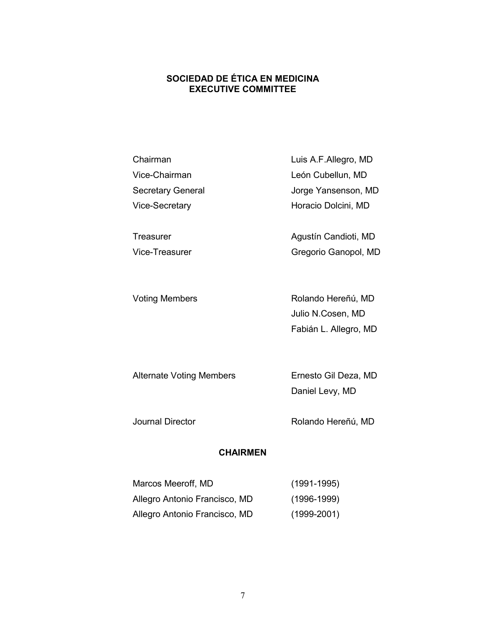## SOCIEDAD DE ÉTICA EN MEDICINA **EXECUTIVE COMMITTEE**

| Chairman                        | Luis A.F. Allegro, MD |
|---------------------------------|-----------------------|
| Vice-Chairman                   | León Cubellun, MD     |
| <b>Secretary General</b>        | Jorge Yansenson, MD   |
| <b>Vice-Secretary</b>           | Horacio Dolcini, MD   |
|                                 |                       |
| Treasurer                       | Agustín Candioti, MD  |
| Vice-Treasurer                  | Gregorio Ganopol, MD  |
|                                 |                       |
| <b>Voting Members</b>           | Rolando Hereñú, MD    |
|                                 | Julio N.Cosen, MD     |
|                                 | Fabián L. Allegro, MD |
|                                 |                       |
| <b>Alternate Voting Members</b> | Ernesto Gil Deza, MD  |

Journal Director

Rolando Hereñú, MD

Daniel Levy, MD

## **CHAIRMEN**

| Marcos Meeroff, MD            | $(1991 - 1995)$ |
|-------------------------------|-----------------|
| Allegro Antonio Francisco, MD | $(1996 - 1999)$ |
| Allegro Antonio Francisco, MD | $(1999 - 2001)$ |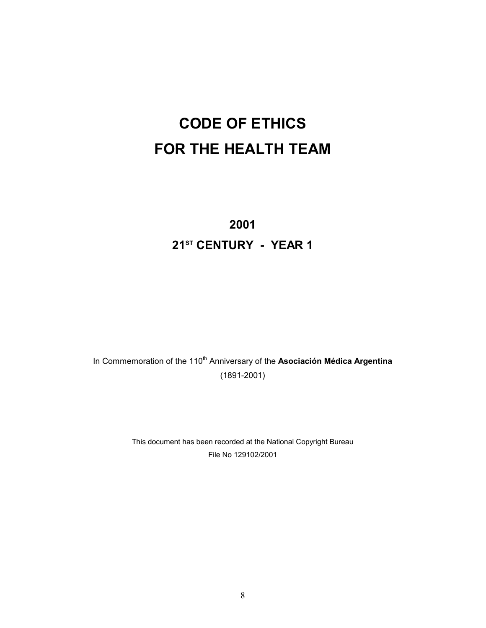## **CODE OF ETHICS** FOR THE HEALTH TEAM

2001

## 21<sup>st</sup> CENTURY - YEAR 1

In Commemoration of the 110<sup>th</sup> Anniversary of the Asociación Médica Argentina  $(1891 - 2001)$ 

> This document has been recorded at the National Copyright Bureau File No 129102/2001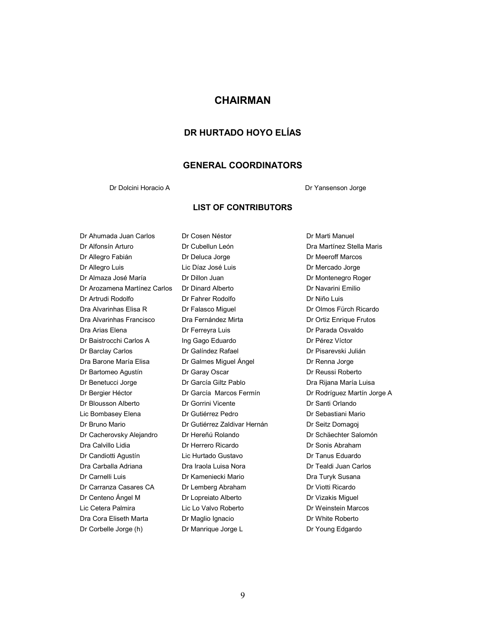## **CHAIRMAN**

## DR HURTADO HOYO ELÍAS

## **GENERAL COORDINATORS**

Dr Dolcini Horacio A

### Dr Yansenson Jorge

### **LIST OF CONTRIBUTORS**

Dr Ahumada Juan Carlos Dr Alfonsín Arturo Dr Allegro Fabián Dr Allegro Luis Dr Almaza José María Dr Arozamena Martínez Carlos Dr Artrudi Rodolfo Dra Alvarinhas Elisa R Dra Alvarinhas Francisco Dra Arias Elena Dr Baistrocchi Carlos A Dr Barclay Carlos Dra Barone María Elisa Dr Bartomeo Agustín Dr Benetucci Jorge Dr Bergier Héctor Dr Blousson Alberto Lic Bombasey Elena Dr Bruno Mario Dr Cacherovsky Alejandro Dra Calvillo Lidia Dr Candiotti Agustín Dra Carballa Adriana Dr Carnelli Luis Dr Carranza Casares CA Dr Centeno Ángel M Lic Cetera Palmira Dra Cora Eliseth Marta Dr Corbelle Jorge (h)

Dr Cosen Néstor Dr Cubellun León Dr Deluca Jorge Lic Díaz José Luis Dr Dillon Juan Dr Dinard Alberto Dr Fahrer Rodolfo Dr Falasco Miguel Dra Fernández Mirta Dr Ferreyra Luis Ing Gago Eduardo Dr Galíndez Rafael Dr Galmes Miguel Ángel Dr Garay Oscar Dr García Giltz Pablo Dr García Marcos Fermín Dr Gorrini Vicente Dr Gutiérrez Pedro Dr Gutiérrez Zaldivar Hernán Dr Hereñú Rolando Dr Herrero Ricardo Lic Hurtado Gustavo Dra Iraola Luisa Nora Dr Kameniecki Mario Dr Lemberg Abraham Dr Lopreiato Alberto Lic Lo Valvo Roberto Dr Maglio Ignacio Dr Manrique Jorge L

Dr Marti Manuel Dra Martínez Stella Maris Dr Meeroff Marcos Dr Mercado Jorge Dr Montenegro Roger Dr Navarini Emilio Dr Niño Luis Dr Olmos Fürch Ricardo Dr Ortiz Enrique Frutos Dr Parada Osvaldo Dr Pérez Víctor Dr Pisarevski Julián Dr Renna Jorge Dr Reussi Roberto Dra Rijana María Luisa Dr Rodríguez Martín Jorge A Dr Santi Orlando Dr Sebastiani Mario Dr Seitz Domagoj Dr Schäechter Salomón Dr Sonis Abraham Dr Tanus Eduardo Dr Tealdi Juan Carlos Dra Turyk Susana Dr Viotti Ricardo Dr Vizakis Miguel Dr Weinstein Marcos Dr White Roberto Dr Young Edgardo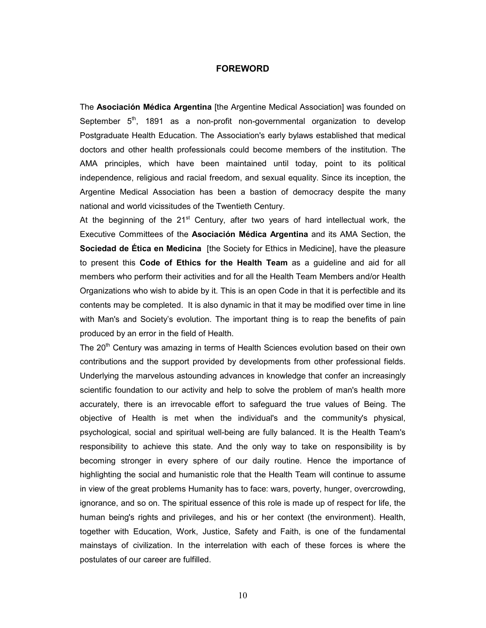## **FOREWORD**

The Asociación Médica Argentina [the Argentine Medical Association] was founded on September  $5<sup>th</sup>$ , 1891 as a non-profit non-governmental organization to develop Postgraduate Health Education. The Association's early bylaws established that medical doctors and other health professionals could become members of the institution. The AMA principles, which have been maintained until today, point to its political independence, religious and racial freedom, and sexual equality. Since its inception, the Argentine Medical Association has been a bastion of democracy despite the many national and world vicissitudes of the Twentieth Century.

At the beginning of the 21<sup>st</sup> Century, after two years of hard intellectual work, the Executive Committees of the Asociación Médica Argentina and its AMA Section, the **Sociedad de Ética en Medicina** [the Society for Ethics in Medicine], have the pleasure to present this Code of Ethics for the Health Team as a guideline and aid for all members who perform their activities and for all the Health Team Members and/or Health Organizations who wish to abide by it. This is an open Code in that it is perfectible and its contents may be completed. It is also dynamic in that it may be modified over time in line with Man's and Society's evolution. The important thing is to reap the benefits of pain produced by an error in the field of Health.

The 20<sup>th</sup> Century was amazing in terms of Health Sciences evolution based on their own contributions and the support provided by developments from other professional fields. Underlying the marvelous astounding advances in knowledge that confer an increasingly scientific foundation to our activity and help to solve the problem of man's health more accurately, there is an irrevocable effort to safeguard the true values of Being. The objective of Health is met when the individual's and the community's physical, psychological, social and spiritual well-being are fully balanced. It is the Health Team's responsibility to achieve this state. And the only way to take on responsibility is by becoming stronger in every sphere of our daily routine. Hence the importance of highlighting the social and humanistic role that the Health Team will continue to assume in view of the great problems Humanity has to face: wars, poverty, hunger, overcrowding, ignorance, and so on. The spiritual essence of this role is made up of respect for life, the human being's rights and privileges, and his or her context (the environment). Health, together with Education, Work, Justice, Safety and Faith, is one of the fundamental mainstays of civilization. In the interrelation with each of these forces is where the postulates of our career are fulfilled.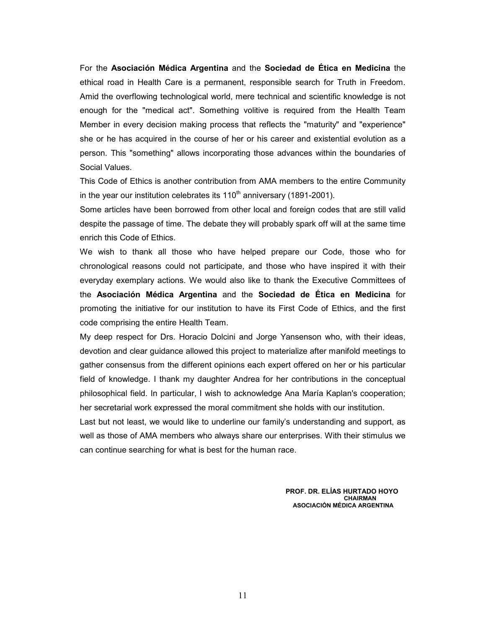For the Asociación Médica Argentina and the Sociedad de Ética en Medicina the ethical road in Health Care is a permanent, responsible search for Truth in Freedom. Amid the overflowing technological world, mere technical and scientific knowledge is not enough for the "medical act". Something volitive is required from the Health Team Member in every decision making process that reflects the "maturity" and "experience" she or he has acquired in the course of her or his career and existential evolution as a person. This "something" allows incorporating those advances within the boundaries of Social Values.

This Code of Ethics is another contribution from AMA members to the entire Community in the year our institution celebrates its  $110<sup>th</sup>$  anniversary (1891-2001).

Some articles have been borrowed from other local and foreign codes that are still valid despite the passage of time. The debate they will probably spark off will at the same time enrich this Code of Ethics.

We wish to thank all those who have helped prepare our Code, those who for chronological reasons could not participate, and those who have inspired it with their everyday exemplary actions. We would also like to thank the Executive Committees of the Asociación Médica Argentina and the Sociedad de Ética en Medicina for promoting the initiative for our institution to have its First Code of Ethics, and the first code comprising the entire Health Team.

My deep respect for Drs. Horacio Dolcini and Jorge Yansenson who, with their ideas, devotion and clear guidance allowed this project to materialize after manifold meetings to gather consensus from the different opinions each expert offered on her or his particular field of knowledge. I thank my daughter Andrea for her contributions in the conceptual philosophical field. In particular, I wish to acknowledge Ana María Kaplan's cooperation; her secretarial work expressed the moral commitment she holds with our institution.

Last but not least, we would like to underline our family's understanding and support, as well as those of AMA members who always share our enterprises. With their stimulus we can continue searching for what is best for the human race.

> PROF. DR. ELÍAS HURTADO HOYO **CHAIRMAN** ASOCIACIÓN MÉDICA ARGENTINA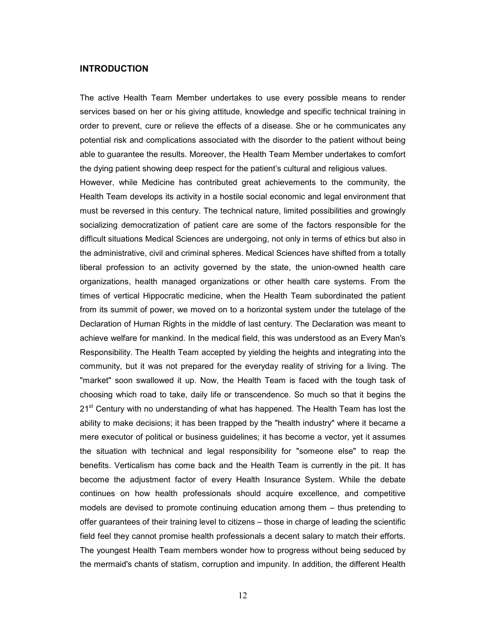## **INTRODUCTION**

The active Health Team Member undertakes to use every possible means to render services based on her or his giving attitude, knowledge and specific technical training in order to prevent, cure or relieve the effects of a disease. She or he communicates any potential risk and complications associated with the disorder to the patient without being able to quarantee the results. Moreover, the Health Team Member undertakes to comfort the dying patient showing deep respect for the patient's cultural and religious values.

However, while Medicine has contributed great achievements to the community, the Health Team develops its activity in a hostile social economic and legal environment that must be reversed in this century. The technical nature, limited possibilities and growingly socializing democratization of patient care are some of the factors responsible for the difficult situations Medical Sciences are undergoing, not only in terms of ethics but also in the administrative, civil and criminal spheres. Medical Sciences have shifted from a totally liberal profession to an activity governed by the state, the union-owned health care organizations, health managed organizations or other health care systems. From the times of vertical Hippocratic medicine, when the Health Team subordinated the patient from its summit of power, we moved on to a horizontal system under the tutelage of the Declaration of Human Rights in the middle of last century. The Declaration was meant to achieve welfare for mankind. In the medical field, this was understood as an Every Man's Responsibility. The Health Team accepted by yielding the heights and integrating into the community, but it was not prepared for the everyday reality of striving for a living. The "market" soon swallowed it up. Now, the Health Team is faced with the tough task of choosing which road to take, daily life or transcendence. So much so that it begins the 21<sup>st</sup> Century with no understanding of what has happened. The Health Team has lost the ability to make decisions; it has been trapped by the "health industry" where it became a mere executor of political or business guidelines; it has become a vector, yet it assumes the situation with technical and legal responsibility for "someone else" to reap the benefits. Verticalism has come back and the Health Team is currently in the pit. It has become the adjustment factor of every Health Insurance System. While the debate continues on how health professionals should acquire excellence, and competitive models are devised to promote continuing education among them – thus pretending to offer guarantees of their training level to citizens – those in charge of leading the scientific field feel they cannot promise health professionals a decent salary to match their efforts. The youngest Health Team members wonder how to progress without being seduced by the mermaid's chants of statism, corruption and impunity. In addition, the different Health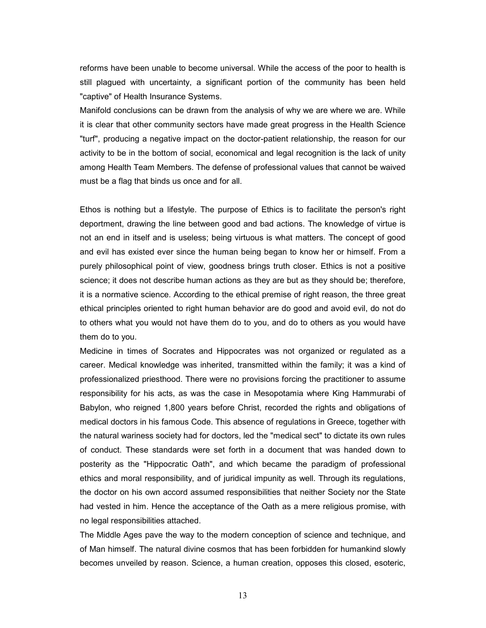reforms have been unable to become universal. While the access of the poor to health is still plagued with uncertainty, a significant portion of the community has been held "captive" of Health Insurance Systems.

Manifold conclusions can be drawn from the analysis of why we are where we are. While it is clear that other community sectors have made great progress in the Health Science "turf", producing a negative impact on the doctor-patient relationship, the reason for our activity to be in the bottom of social, economical and legal recognition is the lack of unity among Health Team Members. The defense of professional values that cannot be waived must be a flag that binds us once and for all.

Ethos is nothing but a lifestyle. The purpose of Ethics is to facilitate the person's right deportment, drawing the line between good and bad actions. The knowledge of virtue is not an end in itself and is useless; being virtuous is what matters. The concept of good and evil has existed ever since the human being began to know her or himself. From a purely philosophical point of view, goodness brings truth closer. Ethics is not a positive science; it does not describe human actions as they are but as they should be; therefore, it is a normative science. According to the ethical premise of right reason, the three great ethical principles oriented to right human behavior are do good and avoid evil, do not do to others what you would not have them do to you, and do to others as you would have them do to you.

Medicine in times of Socrates and Hippocrates was not organized or regulated as a career. Medical knowledge was inherited, transmitted within the family; it was a kind of professionalized priesthood. There were no provisions forcing the practitioner to assume responsibility for his acts, as was the case in Mesopotamia where King Hammurabi of Babylon, who reigned 1,800 years before Christ, recorded the rights and obligations of medical doctors in his famous Code. This absence of regulations in Greece, together with the natural wariness society had for doctors, led the "medical sect" to dictate its own rules of conduct. These standards were set forth in a document that was handed down to posterity as the "Hippocratic Oath", and which became the paradigm of professional ethics and moral responsibility, and of juridical impunity as well. Through its regulations, the doctor on his own accord assumed responsibilities that neither Society nor the State had vested in him. Hence the acceptance of the Oath as a mere religious promise, with no legal responsibilities attached.

The Middle Ages pave the way to the modern conception of science and technique, and of Man himself. The natural divine cosmos that has been forbidden for humankind slowly becomes unveiled by reason. Science, a human creation, opposes this closed, esoteric,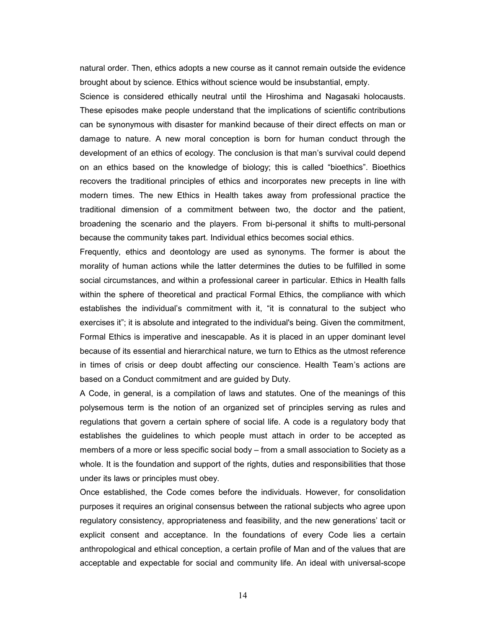natural order. Then, ethics adopts a new course as it cannot remain outside the evidence brought about by science. Ethics without science would be insubstantial, empty.

Science is considered ethically neutral until the Hiroshima and Nagasaki holocausts. These episodes make people understand that the implications of scientific contributions can be synonymous with disaster for mankind because of their direct effects on man or damage to nature. A new moral conception is born for human conduct through the development of an ethics of ecology. The conclusion is that man's survival could depend on an ethics based on the knowledge of biology; this is called "bioethics". Bioethics recovers the traditional principles of ethics and incorporates new precepts in line with modern times. The new Ethics in Health takes away from professional practice the traditional dimension of a commitment between two, the doctor and the patient, broadening the scenario and the players. From bi-personal it shifts to multi-personal because the community takes part. Individual ethics becomes social ethics.

Frequently, ethics and deontology are used as synonyms. The former is about the morality of human actions while the latter determines the duties to be fulfilled in some social circumstances, and within a professional career in particular. Ethics in Health falls within the sphere of theoretical and practical Formal Ethics, the compliance with which establishes the individual's commitment with it, "it is connatural to the subject who exercises it"; it is absolute and integrated to the individual's being. Given the commitment, Formal Ethics is imperative and inescapable. As it is placed in an upper dominant level because of its essential and hierarchical nature, we turn to Ethics as the utmost reference in times of crisis or deep doubt affecting our conscience. Health Team's actions are based on a Conduct commitment and are guided by Duty.

A Code, in general, is a compilation of laws and statutes. One of the meanings of this polysemous term is the notion of an organized set of principles serving as rules and regulations that govern a certain sphere of social life. A code is a regulatory body that establishes the quidelines to which people must attach in order to be accepted as members of a more or less specific social body – from a small association to Society as a whole. It is the foundation and support of the rights, duties and responsibilities that those under its laws or principles must obey.

Once established, the Code comes before the individuals. However, for consolidation purposes it requires an original consensus between the rational subjects who agree upon regulatory consistency, appropriateness and feasibility, and the new generations' tacit or explicit consent and acceptance. In the foundations of every Code lies a certain anthropological and ethical conception, a certain profile of Man and of the values that are acceptable and expectable for social and community life. An ideal with universal-scope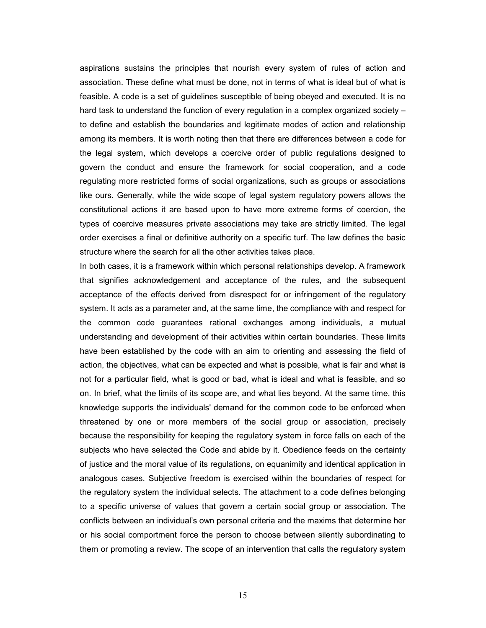aspirations sustains the principles that nourish every system of rules of action and association. These define what must be done, not in terms of what is ideal but of what is feasible. A code is a set of guidelines susceptible of being obeyed and executed. It is no hard task to understand the function of every regulation in a complex organized society – to define and establish the boundaries and legitimate modes of action and relationship among its members. It is worth noting then that there are differences between a code for the legal system, which develops a coercive order of public regulations designed to govern the conduct and ensure the framework for social cooperation, and a code regulating more restricted forms of social organizations, such as groups or associations like ours. Generally, while the wide scope of legal system regulatory powers allows the constitutional actions it are based upon to have more extreme forms of coercion, the types of coercive measures private associations may take are strictly limited. The legal order exercises a final or definitive authority on a specific turf. The law defines the basic structure where the search for all the other activities takes place.

In both cases, it is a framework within which personal relationships develop. A framework that signifies acknowledgement and acceptance of the rules, and the subsequent acceptance of the effects derived from disrespect for or infringement of the regulatory system. It acts as a parameter and, at the same time, the compliance with and respect for the common code guarantees rational exchanges among individuals, a mutual understanding and development of their activities within certain boundaries. These limits have been established by the code with an aim to orienting and assessing the field of action, the objectives, what can be expected and what is possible, what is fair and what is not for a particular field, what is good or bad, what is ideal and what is feasible, and so on. In brief, what the limits of its scope are, and what lies beyond. At the same time, this knowledge supports the individuals' demand for the common code to be enforced when threatened by one or more members of the social group or association, precisely because the responsibility for keeping the regulatory system in force falls on each of the subjects who have selected the Code and abide by it. Obedience feeds on the certainty of justice and the moral value of its regulations, on equanimity and identical application in analogous cases. Subjective freedom is exercised within the boundaries of respect for the regulatory system the individual selects. The attachment to a code defines belonging to a specific universe of values that govern a certain social group or association. The conflicts between an individual's own personal criteria and the maxims that determine her or his social comportment force the person to choose between silently subordinating to them or promoting a review. The scope of an intervention that calls the regulatory system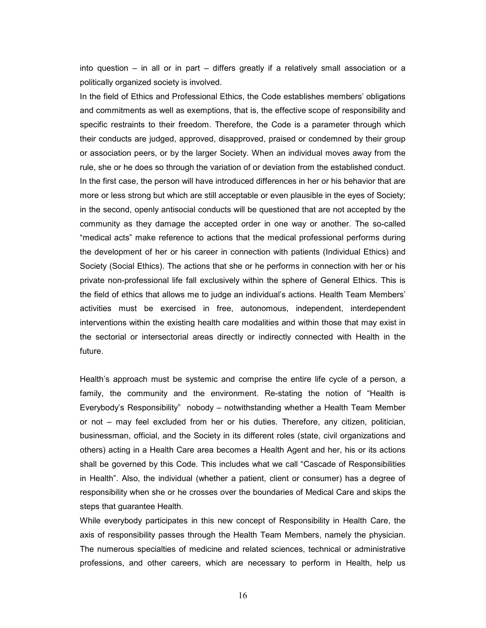into question  $-$  in all or in part  $-$  differs greatly if a relatively small association or a politically organized society is involved.

In the field of Ethics and Professional Ethics, the Code establishes members' obligations and commitments as well as exemptions, that is, the effective scope of responsibility and specific restraints to their freedom. Therefore, the Code is a parameter through which their conducts are judged, approved, disapproved, praised or condemned by their group or association peers, or by the larger Society. When an individual moves away from the rule, she or he does so through the variation of or deviation from the established conduct. In the first case, the person will have introduced differences in her or his behavior that are more or less strong but which are still acceptable or even plausible in the eyes of Society; in the second, openly antisocial conducts will be questioned that are not accepted by the community as they damage the accepted order in one way or another. The so-called "medical acts" make reference to actions that the medical professional performs during the development of her or his career in connection with patients (Individual Ethics) and Society (Social Ethics). The actions that she or he performs in connection with her or his private non-professional life fall exclusively within the sphere of General Ethics. This is the field of ethics that allows me to judge an individual's actions. Health Team Members' activities must be exercised in free, autonomous, independent, interdependent interventions within the existing health care modalities and within those that may exist in the sectorial or intersectorial areas directly or indirectly connected with Health in the future.

Health's approach must be systemic and comprise the entire life cycle of a person, a family, the community and the environment. Re-stating the notion of "Health is Everybody's Responsibility" nobody – notwithstanding whether a Health Team Member or not - may feel excluded from her or his duties. Therefore, any citizen, politician, businessman, official, and the Society in its different roles (state, civil organizations and others) acting in a Health Care area becomes a Health Agent and her, his or its actions shall be governed by this Code. This includes what we call "Cascade of Responsibilities" in Health". Also, the individual (whether a patient, client or consumer) has a degree of responsibility when she or he crosses over the boundaries of Medical Care and skips the steps that guarantee Health.

While everybody participates in this new concept of Responsibility in Health Care, the axis of responsibility passes through the Health Team Members, namely the physician. The numerous specialties of medicine and related sciences, technical or administrative professions, and other careers, which are necessary to perform in Health, help us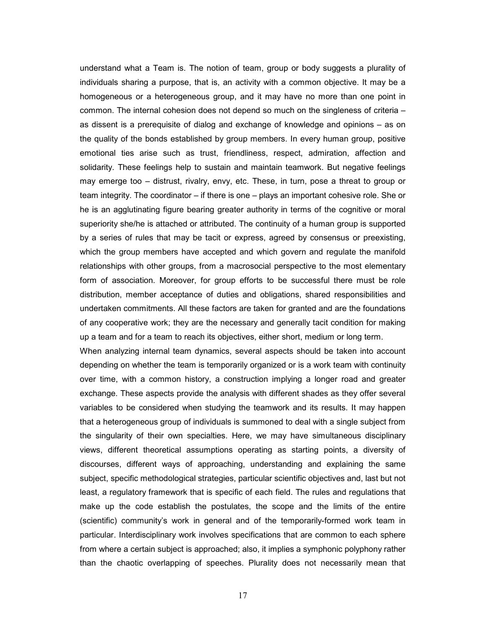understand what a Team is. The notion of team, group or body suggests a plurality of individuals sharing a purpose, that is, an activity with a common objective. It may be a homogeneous or a heterogeneous group, and it may have no more than one point in common. The internal cohesion does not depend so much on the singleness of criteria – as dissent is a prerequisite of dialog and exchange of knowledge and opinions – as on the quality of the bonds established by group members. In every human group, positive emotional ties arise such as trust, friendliness, respect, admiration, affection and solidarity. These feelings help to sustain and maintain teamwork. But negative feelings may emerge too – distrust, rivalry, envy, etc. These, in turn, pose a threat to group or team integrity. The coordinator  $-$  if there is one  $-$  plays an important cohesive role. She or he is an agglutinating figure bearing greater authority in terms of the cognitive or moral superiority she/he is attached or attributed. The continuity of a human group is supported by a series of rules that may be tacit or express, agreed by consensus or preexisting, which the group members have accepted and which govern and regulate the manifold relationships with other groups, from a macrosocial perspective to the most elementary form of association. Moreover, for group efforts to be successful there must be role distribution, member acceptance of duties and obligations, shared responsibilities and undertaken commitments. All these factors are taken for granted and are the foundations of any cooperative work; they are the necessary and generally tacit condition for making up a team and for a team to reach its objectives, either short, medium or long term.

When analyzing internal team dynamics, several aspects should be taken into account depending on whether the team is temporarily organized or is a work team with continuity over time, with a common history, a construction implying a longer road and greater exchange. These aspects provide the analysis with different shades as they offer several variables to be considered when studying the teamwork and its results. It may happen that a heterogeneous group of individuals is summoned to deal with a single subject from the singularity of their own specialties. Here, we may have simultaneous disciplinary views, different theoretical assumptions operating as starting points, a diversity of discourses, different ways of approaching, understanding and explaining the same subject, specific methodological strategies, particular scientific objectives and, last but not least, a regulatory framework that is specific of each field. The rules and regulations that make up the code establish the postulates, the scope and the limits of the entire (scientific) community's work in general and of the temporarily-formed work team in particular. Interdisciplinary work involves specifications that are common to each sphere from where a certain subject is approached; also, it implies a symphonic polyphony rather than the chaotic overlapping of speeches. Plurality does not necessarily mean that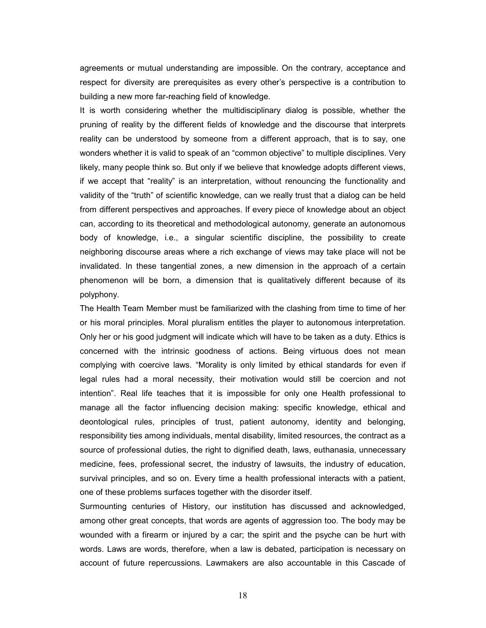agreements or mutual understanding are impossible. On the contrary, acceptance and respect for diversity are prerequisites as every other's perspective is a contribution to building a new more far-reaching field of knowledge.

It is worth considering whether the multidisciplinary dialog is possible, whether the pruning of reality by the different fields of knowledge and the discourse that interprets reality can be understood by someone from a different approach, that is to say, one wonders whether it is valid to speak of an "common objective" to multiple disciplines. Very likely, many people think so. But only if we believe that knowledge adopts different views, if we accept that "reality" is an interpretation, without renouncing the functionality and validity of the "truth" of scientific knowledge, can we really trust that a dialog can be held from different perspectives and approaches. If every piece of knowledge about an object can, according to its theoretical and methodological autonomy, generate an autonomous body of knowledge, i.e., a singular scientific discipline, the possibility to create neighboring discourse areas where a rich exchange of views may take place will not be invalidated. In these tangential zones, a new dimension in the approach of a certain phenomenon will be born, a dimension that is qualitatively different because of its polyphony.

The Health Team Member must be familiarized with the clashing from time to time of her or his moral principles. Moral pluralism entitles the player to autonomous interpretation. Only her or his good judgment will indicate which will have to be taken as a duty. Ethics is concerned with the intrinsic goodness of actions. Being virtuous does not mean complying with coercive laws. "Morality is only limited by ethical standards for even if legal rules had a moral necessity, their motivation would still be coercion and not intention". Real life teaches that it is impossible for only one Health professional to manage all the factor influencing decision making: specific knowledge, ethical and deontological rules, principles of trust, patient autonomy, identity and belonging, responsibility ties among individuals, mental disability, limited resources, the contract as a source of professional duties, the right to dignified death, laws, euthanasia, unnecessary medicine, fees, professional secret, the industry of lawsuits, the industry of education, survival principles, and so on. Every time a health professional interacts with a patient, one of these problems surfaces together with the disorder itself.

Surmounting centuries of History, our institution has discussed and acknowledged, among other great concepts, that words are agents of aggression too. The body may be wounded with a firearm or injured by a car; the spirit and the psyche can be hurt with words. Laws are words, therefore, when a law is debated, participation is necessary on account of future repercussions. Lawmakers are also accountable in this Cascade of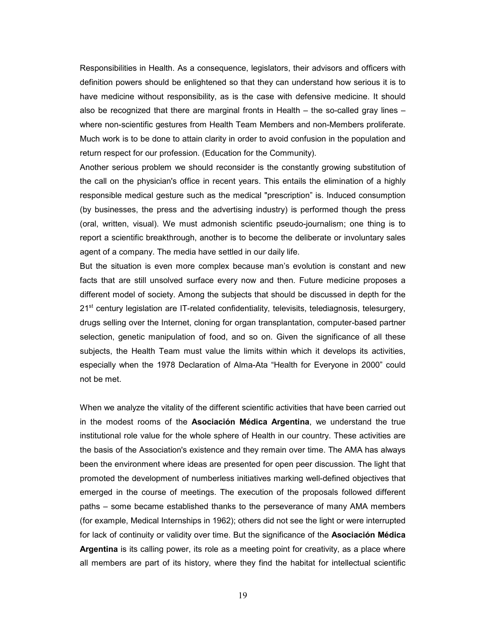Responsibilities in Health. As a consequence, legislators, their advisors and officers with definition powers should be enlightened so that they can understand how serious it is to have medicine without responsibility, as is the case with defensive medicine. It should also be recognized that there are marginal fronts in Health  $-$  the so-called gray lines  $$ where non-scientific gestures from Health Team Members and non-Members proliferate. Much work is to be done to attain clarity in order to avoid confusion in the population and return respect for our profession. (Education for the Community).

Another serious problem we should reconsider is the constantly growing substitution of the call on the physician's office in recent years. This entails the elimination of a highly responsible medical gesture such as the medical "prescription" is. Induced consumption (by businesses, the press and the advertising industry) is performed though the press (oral, written, visual). We must admonish scientific pseudo-journalism; one thing is to report a scientific breakthrough, another is to become the deliberate or involuntary sales agent of a company. The media have settled in our daily life.

But the situation is even more complex because man's evolution is constant and new facts that are still unsolved surface every now and then. Future medicine proposes a different model of society. Among the subjects that should be discussed in depth for the 21<sup>st</sup> century legislation are IT-related confidentiality, televisits, telediagnosis, telesurgery, drugs selling over the Internet, cloning for organ transplantation, computer-based partner selection, genetic manipulation of food, and so on. Given the significance of all these subjects, the Health Team must value the limits within which it develops its activities, especially when the 1978 Declaration of Alma-Ata "Health for Everyone in 2000" could not be met.

When we analyze the vitality of the different scientific activities that have been carried out in the modest rooms of the Asociación Médica Argentina, we understand the true institutional role value for the whole sphere of Health in our country. These activities are the basis of the Association's existence and they remain over time. The AMA has always been the environment where ideas are presented for open peer discussion. The light that promoted the development of numberless initiatives marking well-defined objectives that emerged in the course of meetings. The execution of the proposals followed different paths – some became established thanks to the perseverance of many AMA members (for example, Medical Internships in 1962); others did not see the light or were interrupted for lack of continuity or validity over time. But the significance of the Asociación Médica Argentina is its calling power, its role as a meeting point for creativity, as a place where all members are part of its history, where they find the habitat for intellectual scientific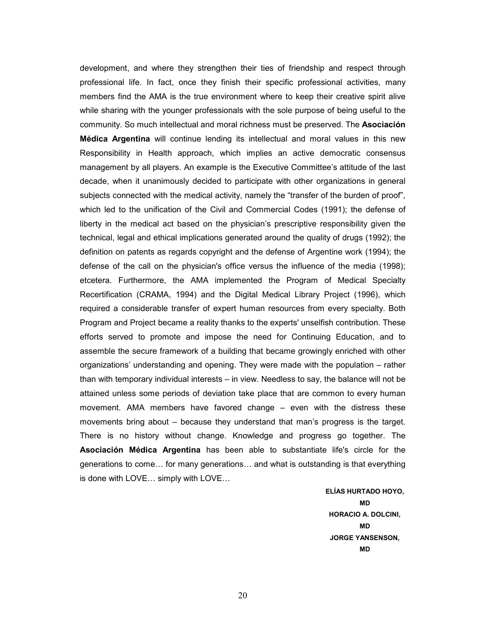development, and where they strengthen their ties of friendship and respect through professional life. In fact, once they finish their specific professional activities, many members find the AMA is the true environment where to keep their creative spirit alive while sharing with the younger professionals with the sole purpose of being useful to the community. So much intellectual and moral richness must be preserved. The Asociación Médica Argentina will continue lending its intellectual and moral values in this new Responsibility in Health approach, which implies an active democratic consensus management by all players. An example is the Executive Committee's attitude of the last decade, when it unanimously decided to participate with other organizations in general subjects connected with the medical activity, namely the "transfer of the burden of proof", which led to the unification of the Civil and Commercial Codes (1991); the defense of liberty in the medical act based on the physician's prescriptive responsibility given the technical, legal and ethical implications generated around the quality of drugs (1992); the definition on patents as regards copyright and the defense of Argentine work (1994); the defense of the call on the physician's office versus the influence of the media (1998); etcetera. Furthermore, the AMA implemented the Program of Medical Specialty Recertification (CRAMA, 1994) and the Digital Medical Library Project (1996), which required a considerable transfer of expert human resources from every specialty. Both Program and Project became a reality thanks to the experts' unselfish contribution. These efforts served to promote and impose the need for Continuing Education, and to assemble the secure framework of a building that became growingly enriched with other organizations' understanding and opening. They were made with the population – rather than with temporary individual interests - in view. Needless to say, the balance will not be attained unless some periods of deviation take place that are common to every human movement. AMA members have favored change – even with the distress these movements bring about – because they understand that man's progress is the target. There is no history without change. Knowledge and progress go together. The Asociación Médica Argentina has been able to substantiate life's circle for the generations to come... for many generations... and what is outstanding is that everything is done with LOVE... simply with LOVE...

> ELÍAS HURTADO HOYO, **MD HORACIO A. DOLCINI, MD JORGE YANSENSON, MD**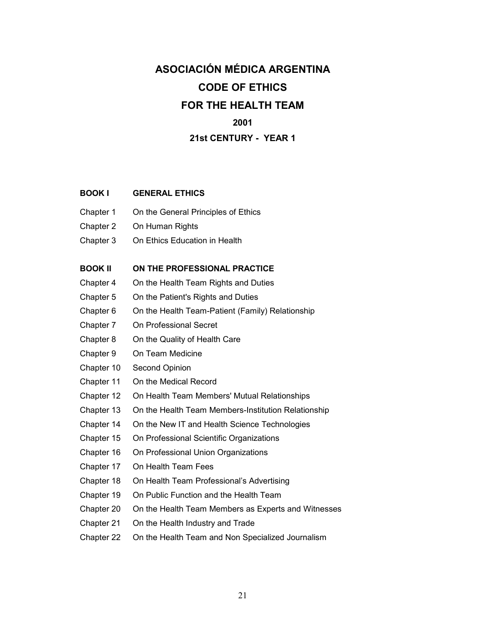## ASOCIACIÓN MÉDICA ARGENTINA **CODE OF ETHICS FOR THE HEALTH TEAM** 2001 21st CENTURY - YEAR 1

#### **BOOK I GENERAL ETHICS**

- Chapter 1 On the General Principles of Ethics
- Chapter 2 On Human Rights
- Chapter 3 On Ethics Education in Health

#### **BOOK II** ON THE PROFESSIONAL PRACTICE

- Chapter 4 On the Health Team Rights and Duties
- Chapter 5 On the Patient's Rights and Duties
- On the Health Team-Patient (Family) Relationship Chapter 6
- On Professional Secret Chapter 7
- Chapter 8 On the Quality of Health Care
- Chapter 9 On Team Medicine
- Chapter 10 Second Opinion
- Chapter 11 On the Medical Record
- Chapter 12 On Health Team Members' Mutual Relationships
- Chapter 13 On the Health Team Members-Institution Relationship
- Chapter 14 On the New IT and Health Science Technologies
- Chapter 15 On Professional Scientific Organizations
- Chapter 16 On Professional Union Organizations
- Chapter 17 On Health Team Fees
- On Health Team Professional's Advertising Chapter 18
- Chapter 19 On Public Function and the Health Team
- Chapter 20 On the Health Team Members as Experts and Witnesses
- Chapter 21 On the Health Industry and Trade
- Chapter 22 On the Health Team and Non Specialized Journalism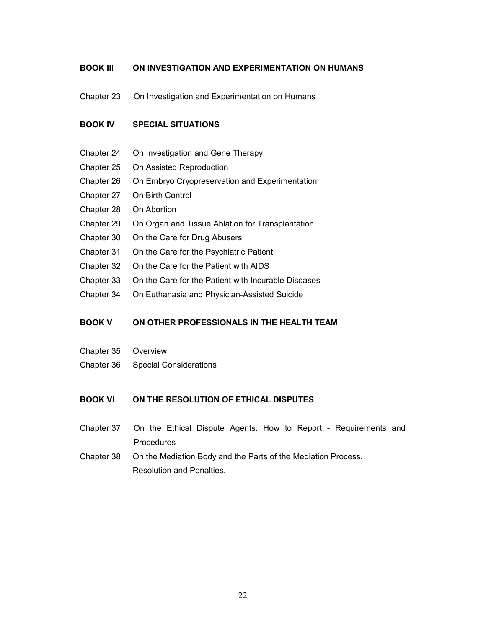#### **BOOK III** ON INVESTIGATION AND EXPERIMENTATION ON HUMANS

Chapter 23 On Investigation and Experimentation on Humans

#### **BOOK IV SPECIAL SITUATIONS**

- Chapter 24 On Investigation and Gene Therapy
- Chapter 25 On Assisted Reproduction
- Chapter 26 On Embryo Cryopreservation and Experimentation
- Chapter 27 On Birth Control
- On Abortion Chapter 28
- Chapter 29 On Organ and Tissue Ablation for Transplantation
- Chapter 30 On the Care for Drug Abusers
- Chapter 31 On the Care for the Psychiatric Patient
- On the Care for the Patient with AIDS Chapter 32
- Chapter 33 On the Care for the Patient with Incurable Diseases
- Chapter 34 On Euthanasia and Physician-Assisted Suicide

#### **BOOK V** ON OTHER PROFESSIONALS IN THE HEALTH TEAM

- Chapter 35 Overview
- Chapter 36 **Special Considerations**

#### **BOOK VI** ON THE RESOLUTION OF ETHICAL DISPUTES

- Chapter 37 On the Ethical Dispute Agents. How to Report - Requirements and Procedures
- Chapter 38 On the Mediation Body and the Parts of the Mediation Process. Resolution and Penalties.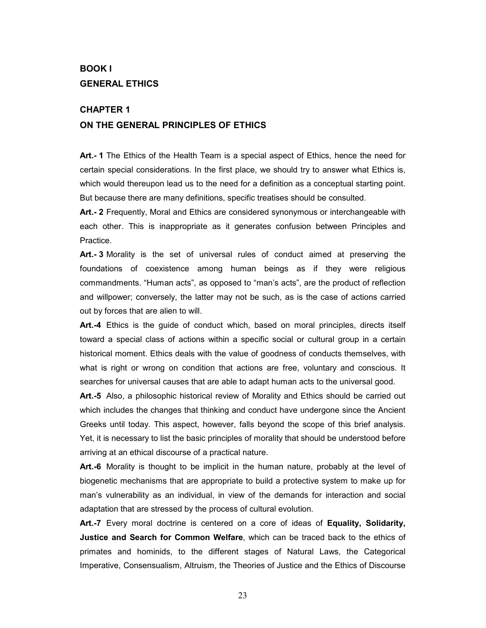## **BOOKI GENERAL ETHICS**

## **CHAPTER 1**

## ON THE GENERAL PRINCIPLES OF ETHICS

Art.-1 The Ethics of the Health Team is a special aspect of Ethics, hence the need for certain special considerations. In the first place, we should try to answer what Ethics is, which would thereupon lead us to the need for a definition as a conceptual starting point. But because there are many definitions, specific treatises should be consulted.

Art.- 2 Frequently, Moral and Ethics are considered synonymous or interchangeable with each other. This is inappropriate as it generates confusion between Principles and Practice.

Art.-3 Morality is the set of universal rules of conduct aimed at preserving the foundations of coexistence among human beings as if they were religious commandments. "Human acts", as opposed to "man's acts", are the product of reflection and willpower; conversely, the latter may not be such, as is the case of actions carried out by forces that are alien to will.

Art.-4 Ethics is the guide of conduct which, based on moral principles, directs itself toward a special class of actions within a specific social or cultural group in a certain historical moment. Ethics deals with the value of goodness of conducts themselves, with what is right or wrong on condition that actions are free, voluntary and conscious. It searches for universal causes that are able to adapt human acts to the universal good.

Art.-5 Also, a philosophic historical review of Morality and Ethics should be carried out which includes the changes that thinking and conduct have undergone since the Ancient Greeks until today. This aspect, however, falls beyond the scope of this brief analysis. Yet, it is necessary to list the basic principles of morality that should be understood before arriving at an ethical discourse of a practical nature.

Art.-6 Morality is thought to be implicit in the human nature, probably at the level of biogenetic mechanisms that are appropriate to build a protective system to make up for man's vulnerability as an individual, in view of the demands for interaction and social adaptation that are stressed by the process of cultural evolution.

Art.-7 Every moral doctrine is centered on a core of ideas of Equality, Solidarity, Justice and Search for Common Welfare, which can be traced back to the ethics of primates and hominids, to the different stages of Natural Laws, the Categorical Imperative, Consensualism, Altruism, the Theories of Justice and the Ethics of Discourse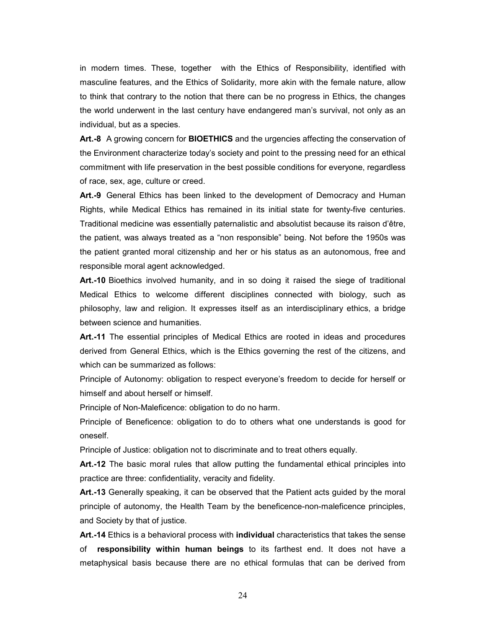in modern times. These, together with the Ethics of Responsibility, identified with masculine features, and the Ethics of Solidarity, more akin with the female nature, allow to think that contrary to the notion that there can be no progress in Ethics, the changes the world underwent in the last century have endangered man's survival, not only as an individual, but as a species.

Art.-8 A growing concern for BIOETHICS and the urgencies affecting the conservation of the Environment characterize today's society and point to the pressing need for an ethical commitment with life preservation in the best possible conditions for everyone, regardless of race, sex, age, culture or creed.

Art.-9 General Ethics has been linked to the development of Democracy and Human Rights, while Medical Ethics has remained in its initial state for twenty-five centuries. Traditional medicine was essentially paternalistic and absolutist because its raison d'être, the patient, was always treated as a "non responsible" being. Not before the 1950s was the patient granted moral citizenship and her or his status as an autonomous, free and responsible moral agent acknowledged.

Art.-10 Bioethics involved humanity, and in so doing it raised the siege of traditional Medical Ethics to welcome different disciplines connected with biology, such as philosophy, law and religion. It expresses itself as an interdisciplinary ethics, a bridge between science and humanities.

Art.-11 The essential principles of Medical Ethics are rooted in ideas and procedures derived from General Ethics, which is the Ethics governing the rest of the citizens, and which can be summarized as follows:

Principle of Autonomy: obligation to respect everyone's freedom to decide for herself or himself and about herself or himself.

Principle of Non-Maleficence: obligation to do no harm.

Principle of Beneficence: obligation to do to others what one understands is good for oneself.

Principle of Justice: obligation not to discriminate and to treat others equally.

Art.-12 The basic moral rules that allow putting the fundamental ethical principles into practice are three: confidentiality, veracity and fidelity.

Art.-13 Generally speaking, it can be observed that the Patient acts guided by the moral principle of autonomy, the Health Team by the beneficence-non-maleficence principles, and Society by that of justice.

Art.-14 Ethics is a behavioral process with individual characteristics that takes the sense of responsibility within human beings to its farthest end. It does not have a metaphysical basis because there are no ethical formulas that can be derived from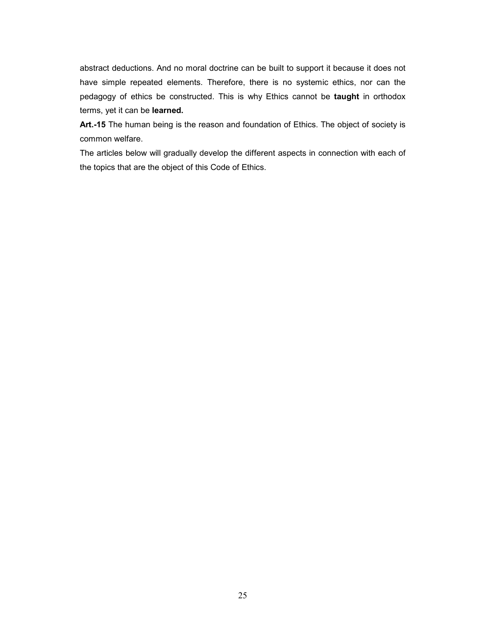abstract deductions. And no moral doctrine can be built to support it because it does not have simple repeated elements. Therefore, there is no systemic ethics, nor can the pedagogy of ethics be constructed. This is why Ethics cannot be taught in orthodox terms, yet it can be learned.

Art.-15 The human being is the reason and foundation of Ethics. The object of society is common welfare.

The articles below will gradually develop the different aspects in connection with each of the topics that are the object of this Code of Ethics.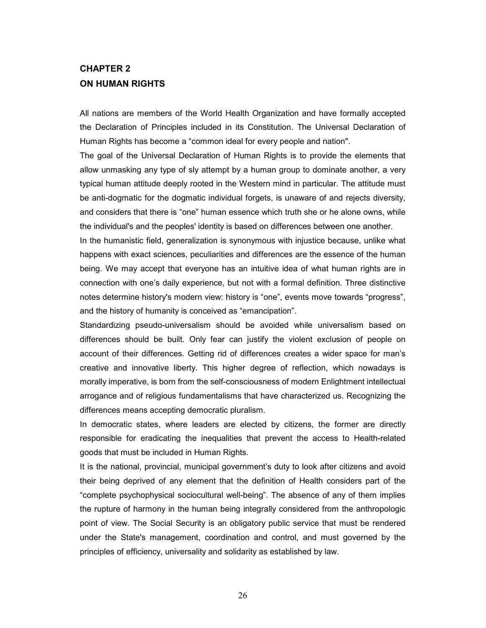## **CHAPTER 2 ON HUMAN RIGHTS**

All nations are members of the World Health Organization and have formally accepted the Declaration of Principles included in its Constitution. The Universal Declaration of Human Rights has become a "common ideal for every people and nation".

The goal of the Universal Declaration of Human Rights is to provide the elements that allow unmasking any type of sly attempt by a human group to dominate another, a very typical human attitude deeply rooted in the Western mind in particular. The attitude must be anti-dogmatic for the dogmatic individual forgets, is unaware of and rejects diversity, and considers that there is "one" human essence which truth she or he alone owns, while the individual's and the peoples' identity is based on differences between one another.

In the humanistic field, generalization is synonymous with injustice because, unlike what happens with exact sciences, peculiarities and differences are the essence of the human being. We may accept that everyone has an intuitive idea of what human rights are in connection with one's daily experience, but not with a formal definition. Three distinctive notes determine history's modern view: history is "one", events move towards "progress", and the history of humanity is conceived as "emancipation".

Standardizing pseudo-universalism should be avoided while universalism based on differences should be built. Only fear can justify the violent exclusion of people on account of their differences. Getting rid of differences creates a wider space for man's creative and innovative liberty. This higher degree of reflection, which nowadays is morally imperative, is born from the self-consciousness of modern Enlightment intellectual arrogance and of religious fundamentalisms that have characterized us. Recognizing the differences means accepting democratic pluralism.

In democratic states, where leaders are elected by citizens, the former are directly responsible for eradicating the inequalities that prevent the access to Health-related goods that must be included in Human Rights.

It is the national, provincial, municipal government's duty to look after citizens and avoid their being deprived of any element that the definition of Health considers part of the "complete psychophysical sociocultural well-being". The absence of any of them implies the rupture of harmony in the human being integrally considered from the anthropologic point of view. The Social Security is an obligatory public service that must be rendered under the State's management, coordination and control, and must governed by the principles of efficiency, universality and solidarity as established by law.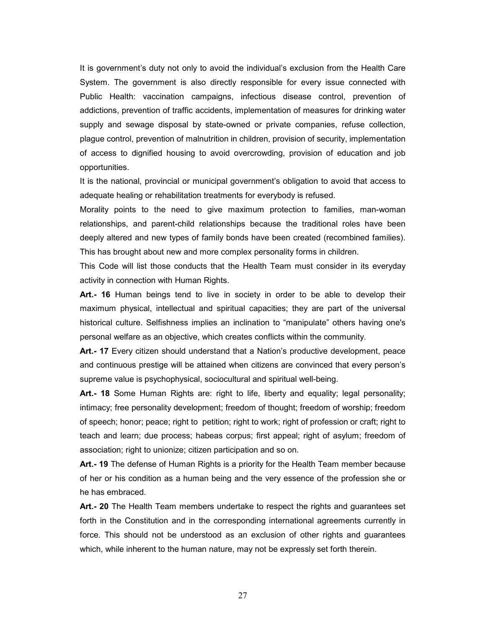It is government's duty not only to avoid the individual's exclusion from the Health Care System. The government is also directly responsible for every issue connected with Public Health: vaccination campaigns, infectious disease control, prevention of addictions, prevention of traffic accidents, implementation of measures for drinking water supply and sewage disposal by state-owned or private companies, refuse collection, plague control, prevention of malnutrition in children, provision of security, implementation of access to dignified housing to avoid overcrowding, provision of education and job opportunities.

It is the national, provincial or municipal government's obligation to avoid that access to adequate healing or rehabilitation treatments for everybody is refused.

Morality points to the need to give maximum protection to families, man-woman relationships, and parent-child relationships because the traditional roles have been deeply altered and new types of family bonds have been created (recombined families). This has brought about new and more complex personality forms in children.

This Code will list those conducts that the Health Team must consider in its everyday activity in connection with Human Rights.

Art.- 16 Human beings tend to live in society in order to be able to develop their maximum physical, intellectual and spiritual capacities; they are part of the universal historical culture. Selfishness implies an inclination to "manipulate" others having one's personal welfare as an objective, which creates conflicts within the community.

Art.- 17 Every citizen should understand that a Nation's productive development, peace and continuous prestige will be attained when citizens are convinced that every person's supreme value is psychophysical, sociocultural and spiritual well-being.

Art.- 18 Some Human Rights are: right to life, liberty and equality; legal personality; intimacy; free personality development; freedom of thought; freedom of worship; freedom of speech; honor; peace; right to petition; right to work; right of profession or craft; right to teach and learn; due process; habeas corpus; first appeal; right of asylum; freedom of association; right to unionize; citizen participation and so on.

Art.- 19 The defense of Human Rights is a priority for the Health Team member because of her or his condition as a human being and the very essence of the profession she or he has embraced.

Art.- 20 The Health Team members undertake to respect the rights and guarantees set forth in the Constitution and in the corresponding international agreements currently in force. This should not be understood as an exclusion of other rights and guarantees which, while inherent to the human nature, may not be expressly set forth therein.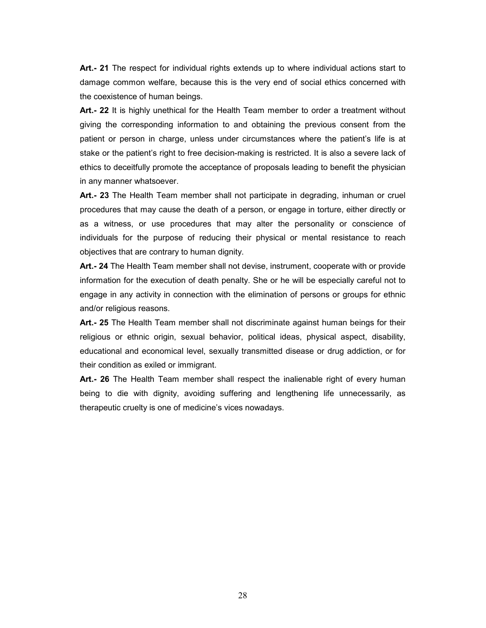Art.- 21 The respect for individual rights extends up to where individual actions start to damage common welfare, because this is the very end of social ethics concerned with the coexistence of human beings.

Art.- 22 It is highly unethical for the Health Team member to order a treatment without giving the corresponding information to and obtaining the previous consent from the patient or person in charge, unless under circumstances where the patient's life is at stake or the patient's right to free decision-making is restricted. It is also a severe lack of ethics to deceitfully promote the acceptance of proposals leading to benefit the physician in any manner whatsoever.

Art.- 23 The Health Team member shall not participate in degrading, inhuman or cruel procedures that may cause the death of a person, or engage in torture, either directly or as a witness, or use procedures that may alter the personality or conscience of individuals for the purpose of reducing their physical or mental resistance to reach objectives that are contrary to human dignity.

Art.- 24 The Health Team member shall not devise, instrument, cooperate with or provide information for the execution of death penalty. She or he will be especially careful not to engage in any activity in connection with the elimination of persons or groups for ethnic and/or religious reasons.

Art.- 25 The Health Team member shall not discriminate against human beings for their religious or ethnic origin, sexual behavior, political ideas, physical aspect, disability, educational and economical level, sexually transmitted disease or drug addiction, or for their condition as exiled or immigrant.

Art.- 26 The Health Team member shall respect the inalienable right of every human being to die with dignity, avoiding suffering and lengthening life unnecessarily, as therapeutic cruelty is one of medicine's vices nowadays.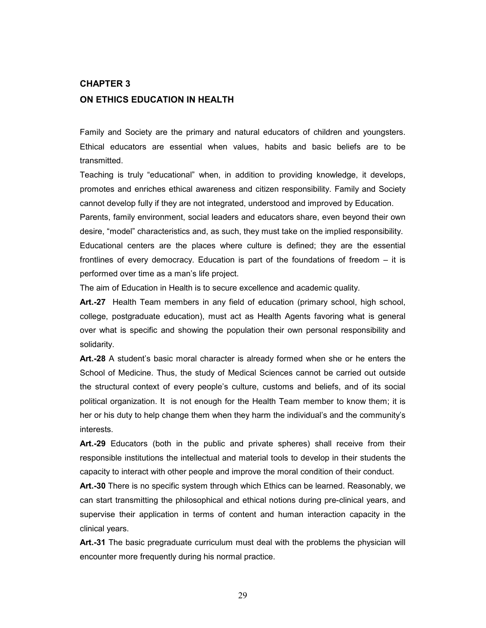## **CHAPTER 3** ON ETHICS EDUCATION IN HEALTH

Family and Society are the primary and natural educators of children and youngsters. Ethical educators are essential when values, habits and basic beliefs are to be transmitted.

Teaching is truly "educational" when, in addition to providing knowledge, it develops, promotes and enriches ethical awareness and citizen responsibility. Family and Society cannot develop fully if they are not integrated, understood and improved by Education.

Parents, family environment, social leaders and educators share, even beyond their own desire, "model" characteristics and, as such, they must take on the implied responsibility. Educational centers are the places where culture is defined; they are the essential frontlines of every democracy. Education is part of the foundations of freedom – it is performed over time as a man's life project.

The aim of Education in Health is to secure excellence and academic quality.

Art.-27 Health Team members in any field of education (primary school, high school, college, postgraduate education), must act as Health Agents favoring what is general over what is specific and showing the population their own personal responsibility and solidarity.

Art.-28 A student's basic moral character is already formed when she or he enters the School of Medicine. Thus, the study of Medical Sciences cannot be carried out outside the structural context of every people's culture, customs and beliefs, and of its social political organization. It is not enough for the Health Team member to know them; it is her or his duty to help change them when they harm the individual's and the community's interests.

Art.-29 Educators (both in the public and private spheres) shall receive from their responsible institutions the intellectual and material tools to develop in their students the capacity to interact with other people and improve the moral condition of their conduct.

Art.-30 There is no specific system through which Ethics can be learned. Reasonably, we can start transmitting the philosophical and ethical notions during pre-clinical years, and supervise their application in terms of content and human interaction capacity in the clinical vears.

Art.-31 The basic pregraduate curriculum must deal with the problems the physician will encounter more frequently during his normal practice.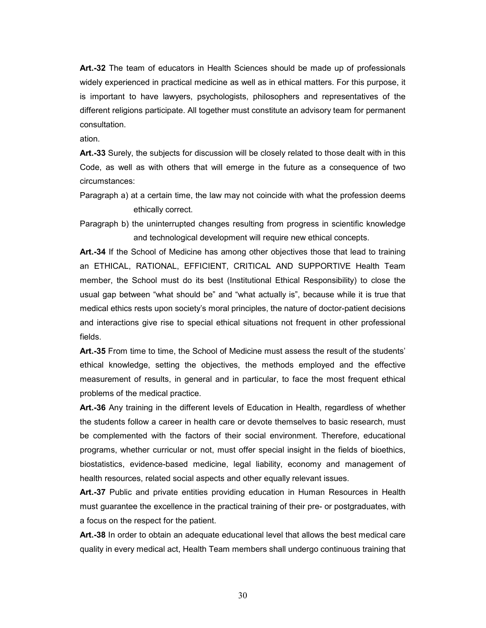Art.-32 The team of educators in Health Sciences should be made up of professionals widely experienced in practical medicine as well as in ethical matters. For this purpose, it is important to have lawyers, psychologists, philosophers and representatives of the different religions participate. All together must constitute an advisory team for permanent consultation.

ation.

Art.-33 Surely, the subjects for discussion will be closely related to those dealt with in this Code, as well as with others that will emerge in the future as a consequence of two circumstances:

Paragraph a) at a certain time, the law may not coincide with what the profession deems ethically correct.

Paragraph b) the uninterrupted changes resulting from progress in scientific knowledge and technological development will require new ethical concepts.

Art.-34 If the School of Medicine has among other objectives those that lead to training an ETHICAL, RATIONAL, EFFICIENT, CRITICAL AND SUPPORTIVE Health Team member, the School must do its best (Institutional Ethical Responsibility) to close the usual gap between "what should be" and "what actually is", because while it is true that medical ethics rests upon society's moral principles, the nature of doctor-patient decisions and interactions give rise to special ethical situations not frequent in other professional fields.

Art.-35 From time to time, the School of Medicine must assess the result of the students' ethical knowledge, setting the objectives, the methods employed and the effective measurement of results, in general and in particular, to face the most frequent ethical problems of the medical practice.

Art.-36 Any training in the different levels of Education in Health, regardless of whether the students follow a career in health care or devote themselves to basic research, must be complemented with the factors of their social environment. Therefore, educational programs, whether curricular or not, must offer special insight in the fields of bioethics, biostatistics, evidence-based medicine, legal liability, economy and management of health resources, related social aspects and other equally relevant issues.

Art.-37 Public and private entities providing education in Human Resources in Health must guarantee the excellence in the practical training of their pre- or postgraduates, with a focus on the respect for the patient.

Art.-38 In order to obtain an adequate educational level that allows the best medical care quality in every medical act, Health Team members shall undergo continuous training that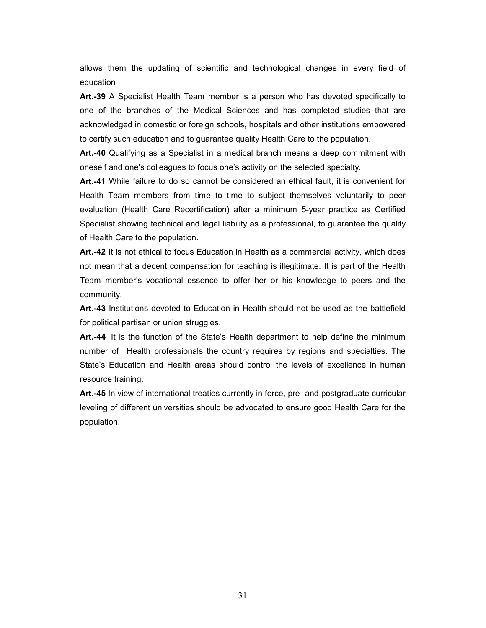allows them the updating of scientific and technological changes in every field of education

Art.-39 A Specialist Health Team member is a person who has devoted specifically to one of the branches of the Medical Sciences and has completed studies that are acknowledged in domestic or foreign schools, hospitals and other institutions empowered to certify such education and to guarantee quality Health Care to the population.

Art.-40 Qualifying as a Specialist in a medical branch means a deep commitment with oneself and one's colleagues to focus one's activity on the selected specialty.

Art.-41 While failure to do so cannot be considered an ethical fault, it is convenient for Health Team members from time to time to subject themselves voluntarily to peer evaluation (Health Care Recertification) after a minimum 5-year practice as Certified Specialist showing technical and legal liability as a professional, to guarantee the quality of Health Care to the population.

Art.-42 It is not ethical to focus Education in Health as a commercial activity, which does not mean that a decent compensation for teaching is illegitimate. It is part of the Health Team member's vocational essence to offer her or his knowledge to peers and the community.

Art.-43 Institutions devoted to Education in Health should not be used as the battlefield for political partisan or union struggles.

Art.-44 It is the function of the State's Health department to help define the minimum number of Health professionals the country requires by regions and specialties. The State's Education and Health areas should control the levels of excellence in human resource training.

Art.-45 In view of international treaties currently in force, pre- and postgraduate curricular leveling of different universities should be advocated to ensure good Health Care for the population.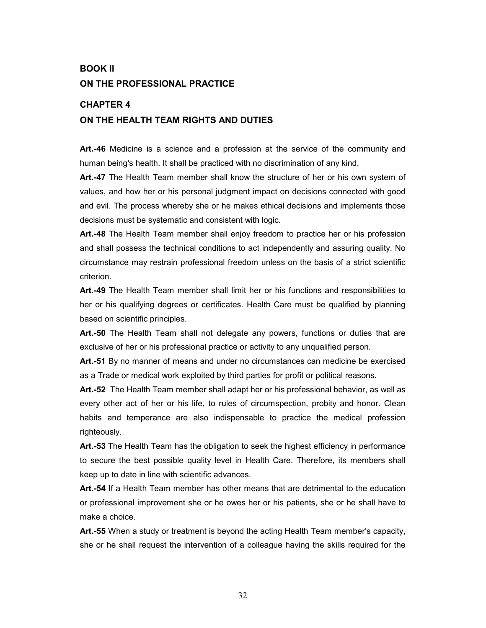### **BOOK II**

## ON THE PROFESSIONAL PRACTICE

## **CHAPTER 4**

## ON THE HEALTH TEAM RIGHTS AND DUTIES

Art.-46 Medicine is a science and a profession at the service of the community and human being's health. It shall be practiced with no discrimination of any kind.

Art.-47 The Health Team member shall know the structure of her or his own system of values, and how her or his personal judgment impact on decisions connected with good and evil. The process whereby she or he makes ethical decisions and implements those decisions must be systematic and consistent with logic.

Art.-48 The Health Team member shall enjoy freedom to practice her or his profession and shall possess the technical conditions to act independently and assuring quality. No circumstance may restrain professional freedom unless on the basis of a strict scientific criterion.

Art.-49 The Health Team member shall limit her or his functions and responsibilities to her or his qualifying degrees or certificates. Health Care must be qualified by planning based on scientific principles.

Art.-50 The Health Team shall not delegate any powers, functions or duties that are exclusive of her or his professional practice or activity to any unqualified person.

Art.-51 By no manner of means and under no circumstances can medicine be exercised as a Trade or medical work exploited by third parties for profit or political reasons.

Art.-52 The Health Team member shall adapt her or his professional behavior, as well as every other act of her or his life, to rules of circumspection, probity and honor. Clean habits and temperance are also indispensable to practice the medical profession righteously.

Art.-53 The Health Team has the obligation to seek the highest efficiency in performance to secure the best possible quality level in Health Care. Therefore, its members shall keep up to date in line with scientific advances.

Art.-54 If a Health Team member has other means that are detrimental to the education or professional improvement she or he owes her or his patients, she or he shall have to make a choice.

Art.-55 When a study or treatment is beyond the acting Health Team member's capacity, she or he shall request the intervention of a colleague having the skills required for the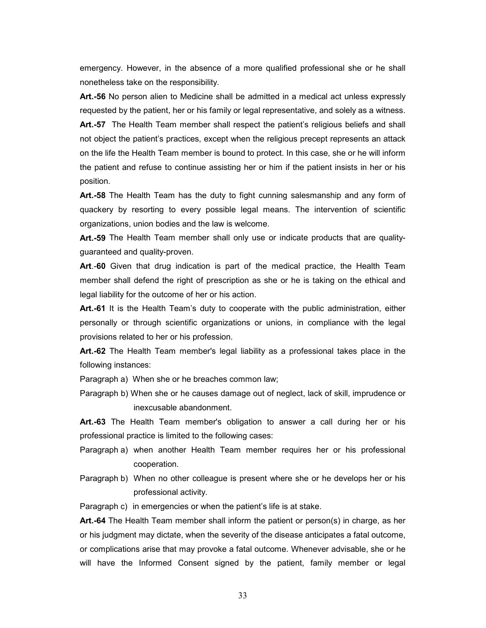emergency. However, in the absence of a more qualified professional she or he shall nonetheless take on the responsibility.

Art.-56 No person alien to Medicine shall be admitted in a medical act unless expressly requested by the patient, her or his family or legal representative, and solely as a witness. Art.-57 The Health Team member shall respect the patient's religious beliefs and shall not object the patient's practices, except when the religious precept represents an attack on the life the Health Team member is bound to protect. In this case, she or he will inform the patient and refuse to continue assisting her or him if the patient insists in her or his position.

Art.-58 The Health Team has the duty to fight cunning salesmanship and any form of quackery by resorting to every possible legal means. The intervention of scientific organizations, union bodies and the law is welcome.

Art.-59 The Health Team member shall only use or indicate products that are qualityguaranteed and quality-proven.

Art.-60 Given that drug indication is part of the medical practice, the Health Team member shall defend the right of prescription as she or he is taking on the ethical and legal liability for the outcome of her or his action.

Art.-61 It is the Health Team's duty to cooperate with the public administration, either personally or through scientific organizations or unions, in compliance with the legal provisions related to her or his profession.

Art.-62 The Health Team member's legal liability as a professional takes place in the following instances:

Paragraph a) When she or he breaches common law;

Paragraph b) When she or he causes damage out of neglect, lack of skill, imprudence or inexcusable abandonment.

Art.-63 The Health Team member's obligation to answer a call during her or his professional practice is limited to the following cases:

- Paragraph a) when another Health Team member requires her or his professional cooperation.
- Paragraph b) When no other colleague is present where she or he develops her or his professional activity.

Paragraph c) in emergencies or when the patient's life is at stake.

Art.-64 The Health Team member shall inform the patient or person(s) in charge, as her or his judgment may dictate, when the severity of the disease anticipates a fatal outcome, or complications arise that may provoke a fatal outcome. Whenever advisable, she or he will have the Informed Consent signed by the patient, family member or legal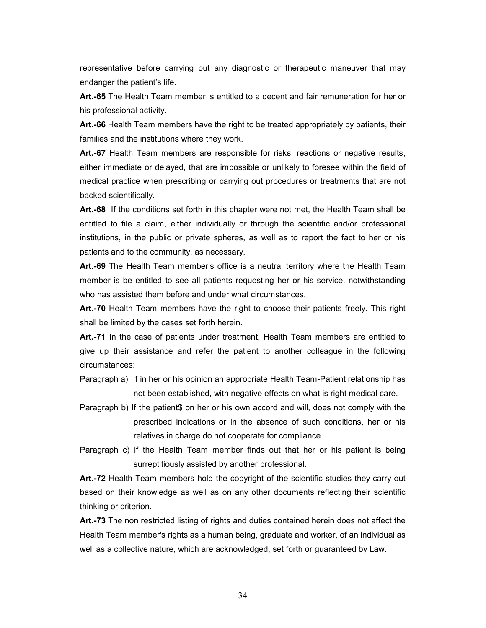representative before carrying out any diagnostic or therapeutic maneuver that may endanger the patient's life.

Art.-65 The Health Team member is entitled to a decent and fair remuneration for her or his professional activity.

Art.-66 Health Team members have the right to be treated appropriately by patients, their families and the institutions where they work.

Art.-67 Health Team members are responsible for risks, reactions or negative results, either immediate or delayed, that are impossible or unlikely to foresee within the field of medical practice when prescribing or carrying out procedures or treatments that are not backed scientifically.

Art.-68 If the conditions set forth in this chapter were not met, the Health Team shall be entitled to file a claim, either individually or through the scientific and/or professional institutions, in the public or private spheres, as well as to report the fact to her or his patients and to the community, as necessary.

Art.-69 The Health Team member's office is a neutral territory where the Health Team member is be entitled to see all patients requesting her or his service, notwithstanding who has assisted them before and under what circumstances.

Art.-70 Health Team members have the right to choose their patients freely. This right shall be limited by the cases set forth herein.

Art.-71 In the case of patients under treatment, Health Team members are entitled to give up their assistance and refer the patient to another colleague in the following circumstances:

- Paragraph a) If in her or his opinion an appropriate Health Team-Patient relationship has not been established, with negative effects on what is right medical care.
- Paragraph b) If the patient\$ on her or his own accord and will, does not comply with the prescribed indications or in the absence of such conditions, her or his relatives in charge do not cooperate for compliance.
- Paragraph c) if the Health Team member finds out that her or his patient is being surreptitiously assisted by another professional.

Art.-72 Health Team members hold the copyright of the scientific studies they carry out based on their knowledge as well as on any other documents reflecting their scientific thinking or criterion.

Art.-73 The non restricted listing of rights and duties contained herein does not affect the Health Team member's rights as a human being, graduate and worker, of an individual as well as a collective nature, which are acknowledged, set forth or guaranteed by Law.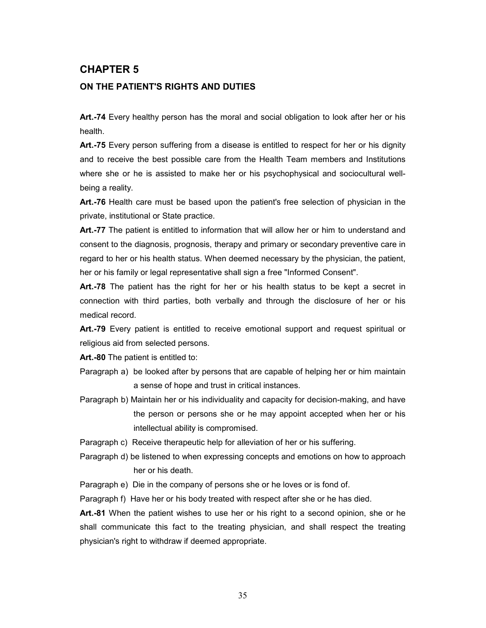## **CHAPTER 5**

## ON THE PATIENT'S RIGHTS AND DUTIES

Art.-74 Every healthy person has the moral and social obligation to look after her or his health.

Art.-75 Every person suffering from a disease is entitled to respect for her or his dignity and to receive the best possible care from the Health Team members and Institutions where she or he is assisted to make her or his psychophysical and sociocultural wellbeing a reality.

Art.-76 Health care must be based upon the patient's free selection of physician in the private, institutional or State practice.

Art.-77 The patient is entitled to information that will allow her or him to understand and consent to the diagnosis, prognosis, therapy and primary or secondary preventive care in regard to her or his health status. When deemed necessary by the physician, the patient, her or his family or legal representative shall sign a free "Informed Consent".

Art.-78 The patient has the right for her or his health status to be kept a secret in connection with third parties, both verbally and through the disclosure of her or his medical record.

Art.-79 Every patient is entitled to receive emotional support and request spiritual or religious aid from selected persons.

Art.-80 The patient is entitled to:

- Paragraph a) be looked after by persons that are capable of helping her or him maintain a sense of hope and trust in critical instances.
- Paragraph b) Maintain her or his individuality and capacity for decision-making, and have the person or persons she or he may appoint accepted when her or his intellectual ability is compromised.

Paragraph c) Receive therapeutic help for alleviation of her or his suffering.

Paragraph d) be listened to when expressing concepts and emotions on how to approach her or his death.

Paragraph e) Die in the company of persons she or he loves or is fond of.

Paragraph f) Have her or his body treated with respect after she or he has died.

Art.-81 When the patient wishes to use her or his right to a second opinion, she or he shall communicate this fact to the treating physician, and shall respect the treating physician's right to withdraw if deemed appropriate.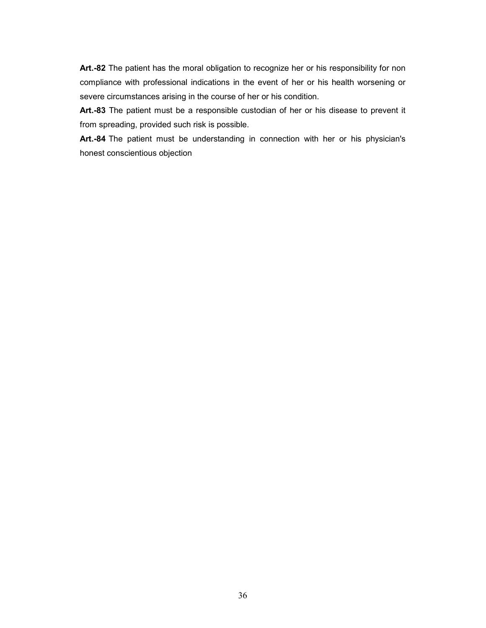Art.-82 The patient has the moral obligation to recognize her or his responsibility for non compliance with professional indications in the event of her or his health worsening or severe circumstances arising in the course of her or his condition.

Art.-83 The patient must be a responsible custodian of her or his disease to prevent it from spreading, provided such risk is possible.

Art.-84 The patient must be understanding in connection with her or his physician's honest conscientious objection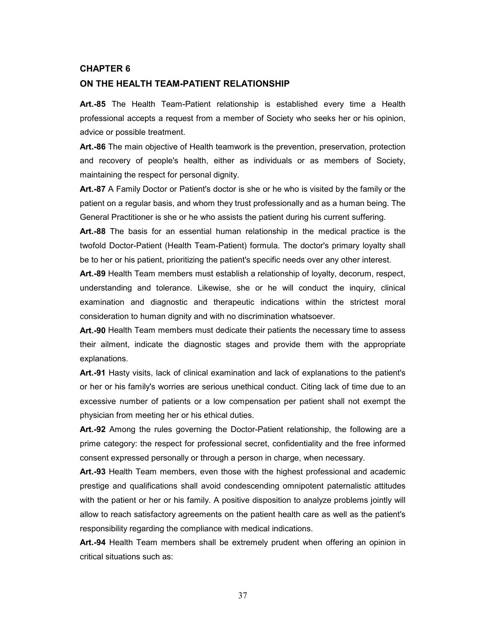#### **CHAPTER 6**

#### ON THE HEALTH TEAM-PATIENT RELATIONSHIP

Art.-85 The Health Team-Patient relationship is established every time a Health professional accepts a request from a member of Society who seeks her or his opinion, advice or possible treatment.

Art.-86 The main objective of Health teamwork is the prevention, preservation, protection and recovery of people's health, either as individuals or as members of Society, maintaining the respect for personal dignity.

Art.-87 A Family Doctor or Patient's doctor is she or he who is visited by the family or the patient on a regular basis, and whom they trust professionally and as a human being. The General Practitioner is she or he who assists the patient during his current suffering.

Art.-88 The basis for an essential human relationship in the medical practice is the twofold Doctor-Patient (Health Team-Patient) formula. The doctor's primary loyalty shall be to her or his patient, prioritizing the patient's specific needs over any other interest.

Art.-89 Health Team members must establish a relationship of loyalty, decorum, respect, understanding and tolerance. Likewise, she or he will conduct the inquiry, clinical examination and diagnostic and therapeutic indications within the strictest moral consideration to human dignity and with no discrimination whatsoever.

Art.-90 Health Team members must dedicate their patients the necessary time to assess their ailment, indicate the diagnostic stages and provide them with the appropriate explanations.

Art.-91 Hasty visits, lack of clinical examination and lack of explanations to the patient's or her or his family's worries are serious unethical conduct. Citing lack of time due to an excessive number of patients or a low compensation per patient shall not exempt the physician from meeting her or his ethical duties.

Art.-92 Among the rules governing the Doctor-Patient relationship, the following are a prime category: the respect for professional secret, confidentiality and the free informed consent expressed personally or through a person in charge, when necessary.

Art.-93 Health Team members, even those with the highest professional and academic prestige and qualifications shall avoid condescending omnipotent paternalistic attitudes with the patient or her or his family. A positive disposition to analyze problems jointly will allow to reach satisfactory agreements on the patient health care as well as the patient's responsibility regarding the compliance with medical indications.

Art.-94 Health Team members shall be extremely prudent when offering an opinion in critical situations such as: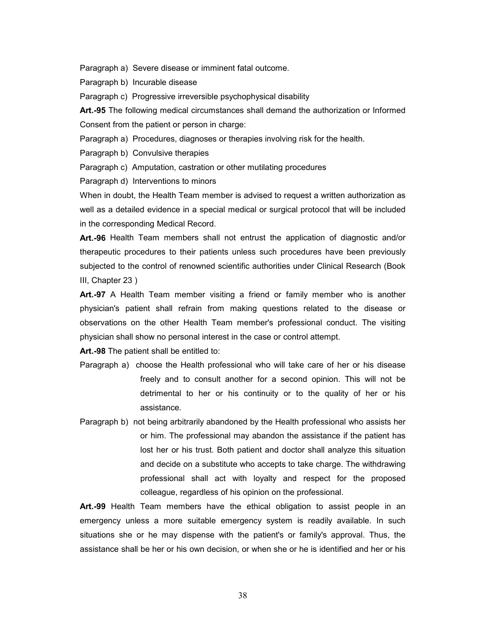Paragraph a) Severe disease or imminent fatal outcome.

Paragraph b) Incurable disease

Paragraph c) Progressive irreversible psychophysical disability

Art.-95 The following medical circumstances shall demand the authorization or Informed Consent from the patient or person in charge:

Paragraph a) Procedures, diagnoses or therapies involving risk for the health.

Paragraph b) Convulsive therapies

Paragraph c) Amputation, castration or other mutilating procedures

Paragraph d) Interventions to minors

When in doubt, the Health Team member is advised to request a written authorization as well as a detailed evidence in a special medical or surgical protocol that will be included in the corresponding Medical Record.

Art.-96 Health Team members shall not entrust the application of diagnostic and/or therapeutic procedures to their patients unless such procedures have been previously subjected to the control of renowned scientific authorities under Clinical Research (Book III, Chapter 23)

Art.-97 A Health Team member visiting a friend or family member who is another physician's patient shall refrain from making questions related to the disease or observations on the other Health Team member's professional conduct. The visiting physician shall show no personal interest in the case or control attempt.

Art.-98 The patient shall be entitled to:

- Paragraph a) choose the Health professional who will take care of her or his disease freely and to consult another for a second opinion. This will not be detrimental to her or his continuity or to the quality of her or his assistance.
- Paragraph b) not being arbitrarily abandoned by the Health professional who assists her or him. The professional may abandon the assistance if the patient has lost her or his trust. Both patient and doctor shall analyze this situation and decide on a substitute who accepts to take charge. The withdrawing professional shall act with loyalty and respect for the proposed colleague, regardless of his opinion on the professional.

Art.-99 Health Team members have the ethical obligation to assist people in an emergency unless a more suitable emergency system is readily available. In such situations she or he may dispense with the patient's or family's approval. Thus, the assistance shall be her or his own decision, or when she or he is identified and her or his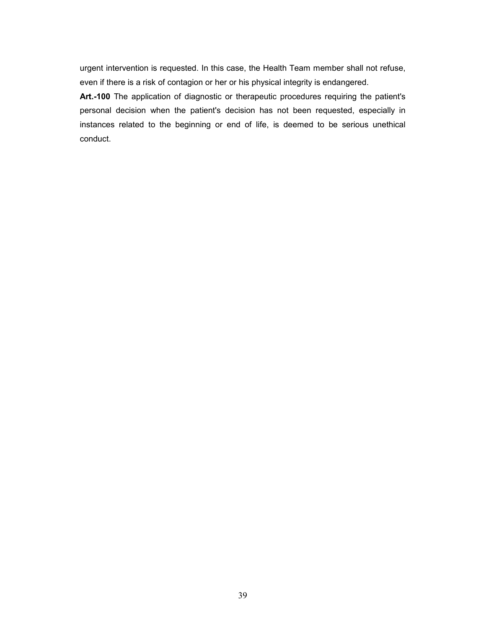urgent intervention is requested. In this case, the Health Team member shall not refuse, even if there is a risk of contagion or her or his physical integrity is endangered.

Art.-100 The application of diagnostic or therapeutic procedures requiring the patient's personal decision when the patient's decision has not been requested, especially in instances related to the beginning or end of life, is deemed to be serious unethical conduct.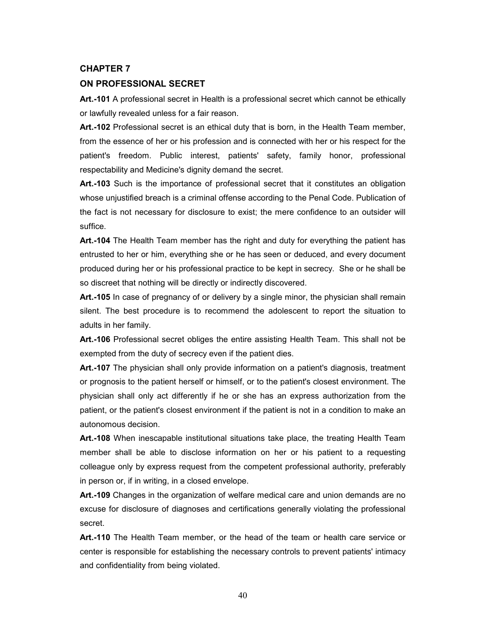#### **CHAPTER 7**

#### ON PROFESSIONAL SECRET

Art.-101 A professional secret in Health is a professional secret which cannot be ethically or lawfully revealed unless for a fair reason.

Art.-102 Professional secret is an ethical duty that is born, in the Health Team member, from the essence of her or his profession and is connected with her or his respect for the patient's freedom. Public interest, patients' safety, family honor, professional respectability and Medicine's dignity demand the secret.

Art.-103 Such is the importance of professional secret that it constitutes an obligation whose unjustified breach is a criminal offense according to the Penal Code. Publication of the fact is not necessary for disclosure to exist; the mere confidence to an outsider will suffice.

Art.-104 The Health Team member has the right and duty for everything the patient has entrusted to her or him, everything she or he has seen or deduced, and every document produced during her or his professional practice to be kept in secrecy. She or he shall be so discreet that nothing will be directly or indirectly discovered.

Art.-105 In case of pregnancy of or delivery by a single minor, the physician shall remain silent. The best procedure is to recommend the adolescent to report the situation to adults in her family.

Art.-106 Professional secret obliges the entire assisting Health Team. This shall not be exempted from the duty of secrecy even if the patient dies.

Art.-107 The physician shall only provide information on a patient's diagnosis, treatment or prognosis to the patient herself or himself, or to the patient's closest environment. The physician shall only act differently if he or she has an express authorization from the patient, or the patient's closest environment if the patient is not in a condition to make an autonomous decision.

Art.-108 When inescapable institutional situations take place, the treating Health Team member shall be able to disclose information on her or his patient to a requesting colleague only by express request from the competent professional authority, preferably in person or, if in writing, in a closed envelope.

Art.-109 Changes in the organization of welfare medical care and union demands are no excuse for disclosure of diagnoses and certifications generally violating the professional secret.

Art.-110 The Health Team member, or the head of the team or health care service or center is responsible for establishing the necessary controls to prevent patients' intimacy and confidentiality from being violated.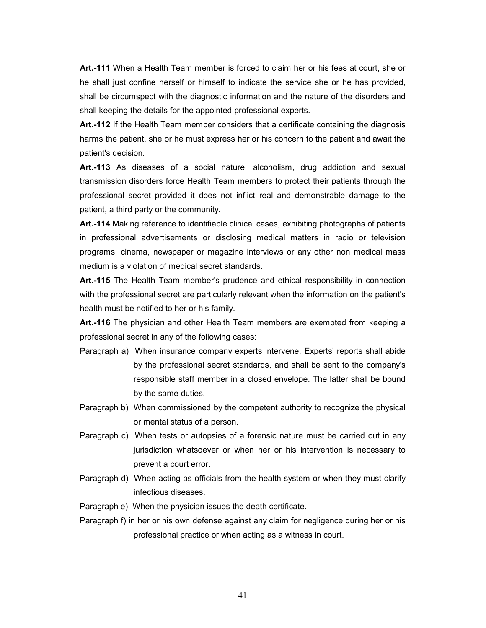Art.-111 When a Health Team member is forced to claim her or his fees at court, she or he shall just confine herself or himself to indicate the service she or he has provided, shall be circumspect with the diagnostic information and the nature of the disorders and shall keeping the details for the appointed professional experts.

Art.-112 If the Health Team member considers that a certificate containing the diagnosis harms the patient, she or he must express her or his concern to the patient and await the patient's decision.

Art.-113 As diseases of a social nature, alcoholism, drug addiction and sexual transmission disorders force Health Team members to protect their patients through the professional secret provided it does not inflict real and demonstrable damage to the patient, a third party or the community.

Art.-114 Making reference to identifiable clinical cases, exhibiting photographs of patients in professional advertisements or disclosing medical matters in radio or television programs, cinema, newspaper or magazine interviews or any other non medical mass medium is a violation of medical secret standards.

Art.-115 The Health Team member's prudence and ethical responsibility in connection with the professional secret are particularly relevant when the information on the patient's health must be notified to her or his family.

Art.-116 The physician and other Health Team members are exempted from keeping a professional secret in any of the following cases:

- Paragraph a) When insurance company experts intervene. Experts' reports shall abide by the professional secret standards, and shall be sent to the company's responsible staff member in a closed envelope. The latter shall be bound by the same duties.
- Paragraph b) When commissioned by the competent authority to recognize the physical or mental status of a person.
- Paragraph c) When tests or autopsies of a forensic nature must be carried out in any jurisdiction whatsoever or when her or his intervention is necessary to prevent a court error.
- Paragraph d) When acting as officials from the health system or when they must clarify infectious diseases.
- Paragraph e) When the physician issues the death certificate.
- Paragraph f) in her or his own defense against any claim for negligence during her or his professional practice or when acting as a witness in court.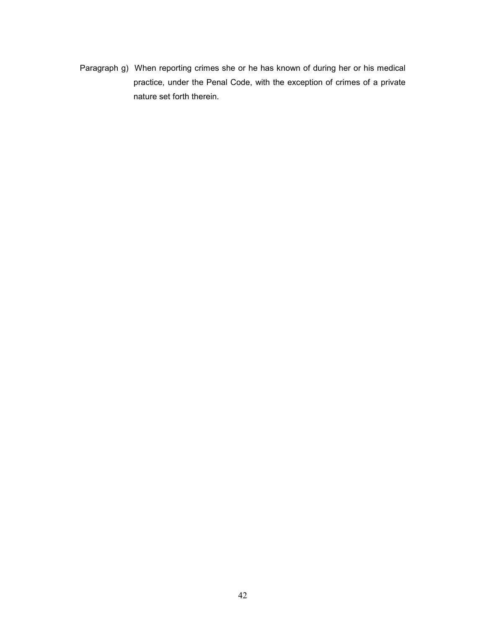Paragraph g) When reporting crimes she or he has known of during her or his medical practice, under the Penal Code, with the exception of crimes of a private nature set forth therein.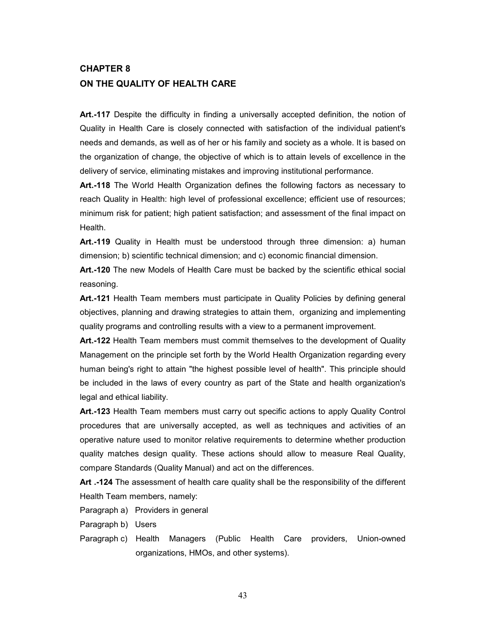### **CHAPTER 8** ON THE QUALITY OF HEALTH CARE

Art.-117 Despite the difficulty in finding a universally accepted definition, the notion of Quality in Health Care is closely connected with satisfaction of the individual patient's needs and demands, as well as of her or his family and society as a whole. It is based on the organization of change, the objective of which is to attain levels of excellence in the delivery of service, eliminating mistakes and improving institutional performance.

Art.-118 The World Health Organization defines the following factors as necessary to reach Quality in Health: high level of professional excellence; efficient use of resources; minimum risk for patient; high patient satisfaction; and assessment of the final impact on Health.

Art.-119 Quality in Health must be understood through three dimension: a) human dimension; b) scientific technical dimension; and c) economic financial dimension.

Art.-120 The new Models of Health Care must be backed by the scientific ethical social reasoning.

Art.-121 Health Team members must participate in Quality Policies by defining general objectives, planning and drawing strategies to attain them, organizing and implementing quality programs and controlling results with a view to a permanent improvement.

Art.-122 Health Team members must commit themselves to the development of Quality Management on the principle set forth by the World Health Organization regarding every human being's right to attain "the highest possible level of health". This principle should be included in the laws of every country as part of the State and health organization's legal and ethical liability.

Art.-123 Health Team members must carry out specific actions to apply Quality Control procedures that are universally accepted, as well as techniques and activities of an operative nature used to monitor relative requirements to determine whether production quality matches design quality. These actions should allow to measure Real Quality, compare Standards (Quality Manual) and act on the differences.

Art .-124 The assessment of health care quality shall be the responsibility of the different Health Team members, namely:

Paragraph a) Providers in general

Paragraph b) Users

Paragraph c) Health Managers (Public Health Care providers, Union-owned organizations, HMOs, and other systems).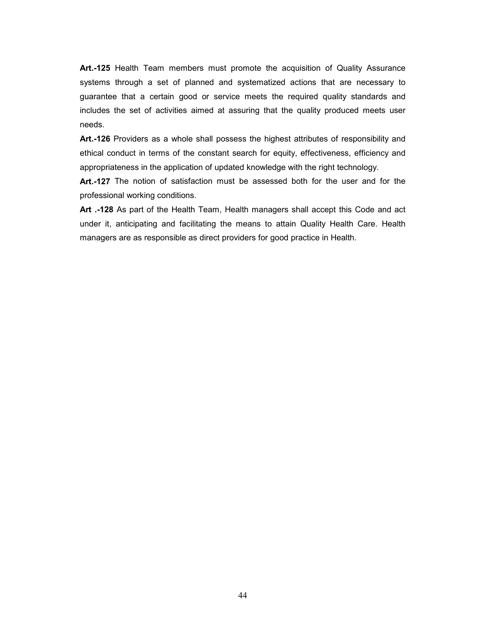Art.-125 Health Team members must promote the acquisition of Quality Assurance systems through a set of planned and systematized actions that are necessary to guarantee that a certain good or service meets the required quality standards and includes the set of activities aimed at assuring that the quality produced meets user needs.

Art.-126 Providers as a whole shall possess the highest attributes of responsibility and ethical conduct in terms of the constant search for equity, effectiveness, efficiency and appropriateness in the application of updated knowledge with the right technology.

Art.-127 The notion of satisfaction must be assessed both for the user and for the professional working conditions.

Art .-128 As part of the Health Team, Health managers shall accept this Code and act under it, anticipating and facilitating the means to attain Quality Health Care. Health managers are as responsible as direct providers for good practice in Health.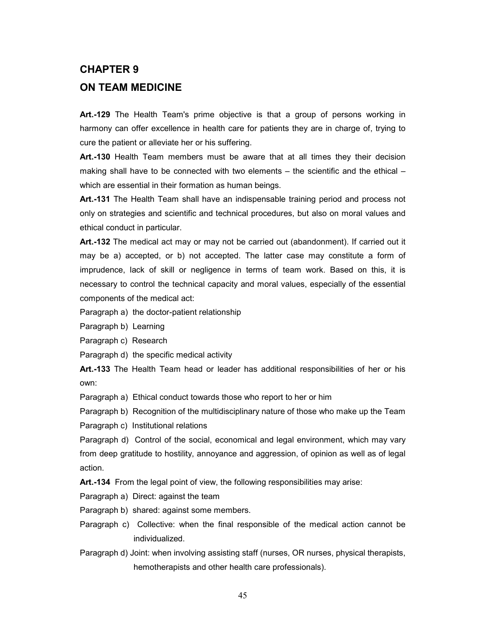# **CHAPTER 9 ON TEAM MEDICINE**

Art.-129 The Health Team's prime objective is that a group of persons working in harmony can offer excellence in health care for patients they are in charge of, trying to cure the patient or alleviate her or his suffering.

Art.-130 Health Team members must be aware that at all times they their decision making shall have to be connected with two elements – the scientific and the ethical – which are essential in their formation as human beings.

Art.-131 The Health Team shall have an indispensable training period and process not only on strategies and scientific and technical procedures, but also on moral values and ethical conduct in particular.

Art.-132 The medical act may or may not be carried out (abandonment). If carried out it may be a) accepted, or b) not accepted. The latter case may constitute a form of imprudence, lack of skill or negligence in terms of team work. Based on this, it is necessary to control the technical capacity and moral values, especially of the essential components of the medical act:

Paragraph a) the doctor-patient relationship

Paragraph b) Learning

Paragraph c) Research

Paragraph d) the specific medical activity

Art.-133 The Health Team head or leader has additional responsibilities of her or his own:

Paragraph a) Ethical conduct towards those who report to her or him

Paragraph b) Recognition of the multidisciplinary nature of those who make up the Team Paragraph c) Institutional relations

Paragraph d) Control of the social, economical and legal environment, which may vary from deep gratitude to hostility, annoyance and aggression, of opinion as well as of legal action.

Art.-134 From the legal point of view, the following responsibilities may arise:

Paragraph a) Direct: against the team

Paragraph b) shared: against some members.

- Paragraph c) Collective: when the final responsible of the medical action cannot be individualized.
- Paragraph d) Joint: when involving assisting staff (nurses, OR nurses, physical therapists, hemotherapists and other health care professionals).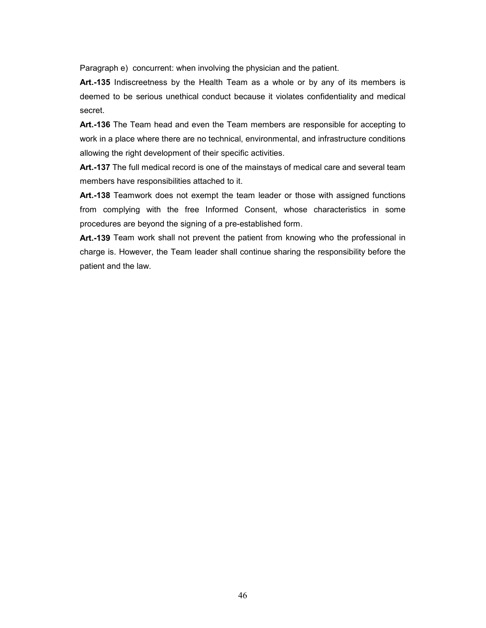Paragraph e) concurrent: when involving the physician and the patient.

Art.-135 Indiscreetness by the Health Team as a whole or by any of its members is deemed to be serious unethical conduct because it violates confidentiality and medical secret.

Art.-136 The Team head and even the Team members are responsible for accepting to work in a place where there are no technical, environmental, and infrastructure conditions allowing the right development of their specific activities.

Art.-137 The full medical record is one of the mainstays of medical care and several team members have responsibilities attached to it.

Art.-138 Teamwork does not exempt the team leader or those with assigned functions from complying with the free Informed Consent, whose characteristics in some procedures are beyond the signing of a pre-established form.

Art.-139 Team work shall not prevent the patient from knowing who the professional in charge is. However, the Team leader shall continue sharing the responsibility before the patient and the law.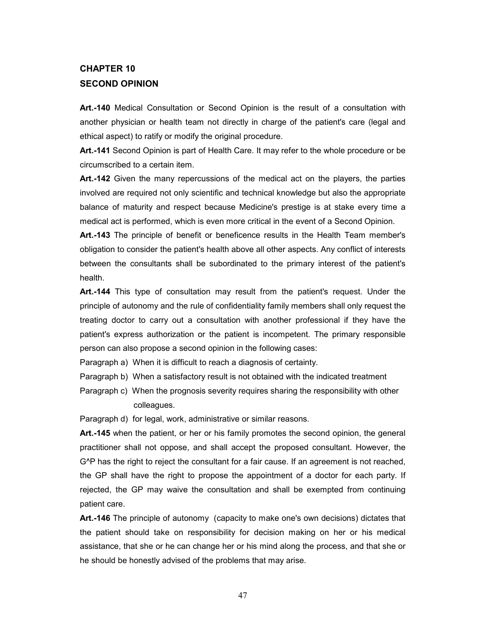### **CHAPTER 10 SECOND OPINION**

Art.-140 Medical Consultation or Second Opinion is the result of a consultation with another physician or health team not directly in charge of the patient's care (legal and ethical aspect) to ratify or modify the original procedure.

Art.-141 Second Opinion is part of Health Care. It may refer to the whole procedure or be circumscribed to a certain item.

Art.-142 Given the many repercussions of the medical act on the players, the parties involved are required not only scientific and technical knowledge but also the appropriate balance of maturity and respect because Medicine's prestige is at stake every time a medical act is performed, which is even more critical in the event of a Second Opinion.

Art.-143 The principle of benefit or beneficence results in the Health Team member's obligation to consider the patient's health above all other aspects. Any conflict of interests between the consultants shall be subordinated to the primary interest of the patient's health.

Art.-144 This type of consultation may result from the patient's request. Under the principle of autonomy and the rule of confidentiality family members shall only request the treating doctor to carry out a consultation with another professional if they have the patient's express authorization or the patient is incompetent. The primary responsible person can also propose a second opinion in the following cases:

Paragraph a) When it is difficult to reach a diagnosis of certainty.

Paragraph b) When a satisfactory result is not obtained with the indicated treatment

Paragraph c) When the prognosis severity requires sharing the responsibility with other colleagues.

Paragraph d) for legal, work, administrative or similar reasons.

Art.-145 when the patient, or her or his family promotes the second opinion, the general practitioner shall not oppose, and shall accept the proposed consultant. However, the G<sup> $\circ$ </sup> has the right to reject the consultant for a fair cause. If an agreement is not reached, the GP shall have the right to propose the appointment of a doctor for each party. If rejected, the GP may waive the consultation and shall be exempted from continuing patient care.

Art.-146 The principle of autonomy (capacity to make one's own decisions) dictates that the patient should take on responsibility for decision making on her or his medical assistance, that she or he can change her or his mind along the process, and that she or he should be honestly advised of the problems that may arise.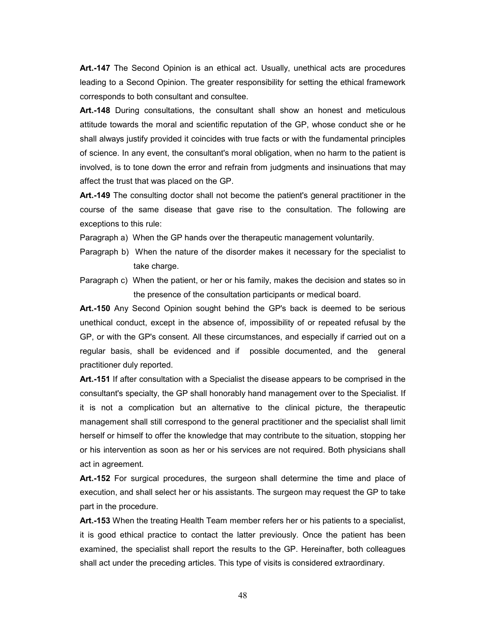Art.-147 The Second Opinion is an ethical act. Usually, unethical acts are procedures leading to a Second Opinion. The greater responsibility for setting the ethical framework corresponds to both consultant and consultee.

Art.-148 During consultations, the consultant shall show an honest and meticulous attitude towards the moral and scientific reputation of the GP, whose conduct she or he shall always justify provided it coincides with true facts or with the fundamental principles of science. In any event, the consultant's moral obligation, when no harm to the patient is involved, is to tone down the error and refrain from judgments and insinuations that may affect the trust that was placed on the GP.

Art.-149 The consulting doctor shall not become the patient's general practitioner in the course of the same disease that gave rise to the consultation. The following are exceptions to this rule:

Paragraph a) When the GP hands over the therapeutic management voluntarily.

Paragraph b) When the nature of the disorder makes it necessary for the specialist to take charge.

Paragraph c) When the patient, or her or his family, makes the decision and states so in the presence of the consultation participants or medical board.

Art.-150 Any Second Opinion sought behind the GP's back is deemed to be serious unethical conduct, except in the absence of, impossibility of or repeated refusal by the GP, or with the GP's consent. All these circumstances, and especially if carried out on a regular basis, shall be evidenced and if possible documented, and the general practitioner duly reported.

Art.-151 If after consultation with a Specialist the disease appears to be comprised in the consultant's specialty, the GP shall honorably hand management over to the Specialist. If it is not a complication but an alternative to the clinical picture, the therapeutic management shall still correspond to the general practitioner and the specialist shall limit herself or himself to offer the knowledge that may contribute to the situation, stopping her or his intervention as soon as her or his services are not required. Both physicians shall act in agreement.

Art.-152 For surgical procedures, the surgeon shall determine the time and place of execution, and shall select her or his assistants. The surgeon may request the GP to take part in the procedure.

Art.-153 When the treating Health Team member refers her or his patients to a specialist. it is good ethical practice to contact the latter previously. Once the patient has been examined, the specialist shall report the results to the GP. Hereinafter, both colleagues shall act under the preceding articles. This type of visits is considered extraordinary.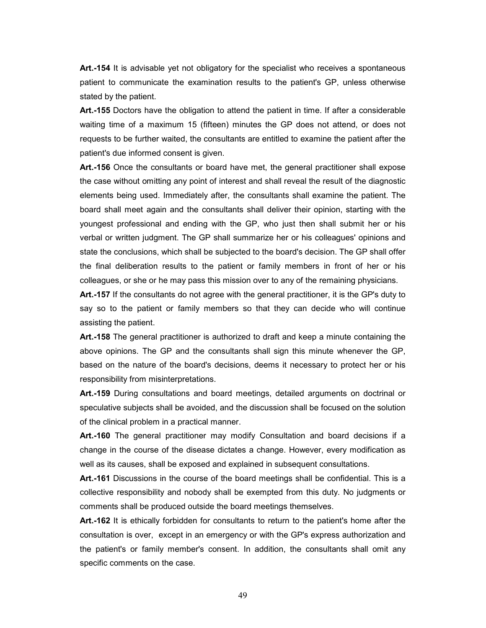Art.-154 It is advisable yet not obligatory for the specialist who receives a spontaneous patient to communicate the examination results to the patient's GP, unless otherwise stated by the patient.

Art.-155 Doctors have the obligation to attend the patient in time. If after a considerable waiting time of a maximum 15 (fifteen) minutes the GP does not attend, or does not requests to be further waited, the consultants are entitled to examine the patient after the patient's due informed consent is given.

Art.-156 Once the consultants or board have met, the general practitioner shall expose the case without omitting any point of interest and shall reveal the result of the diagnostic elements being used. Immediately after, the consultants shall examine the patient. The board shall meet again and the consultants shall deliver their opinion, starting with the youngest professional and ending with the GP, who just then shall submit her or his verbal or written judgment. The GP shall summarize her or his colleagues' opinions and state the conclusions, which shall be subjected to the board's decision. The GP shall offer the final deliberation results to the patient or family members in front of her or his colleagues, or she or he may pass this mission over to any of the remaining physicians.

Art.-157 If the consultants do not agree with the general practitioner, it is the GP's duty to say so to the patient or family members so that they can decide who will continue assisting the patient.

Art.-158 The general practitioner is authorized to draft and keep a minute containing the above opinions. The GP and the consultants shall sign this minute whenever the GP, based on the nature of the board's decisions, deems it necessary to protect her or his responsibility from misinterpretations.

Art.-159 During consultations and board meetings, detailed arguments on doctrinal or speculative subjects shall be avoided, and the discussion shall be focused on the solution of the clinical problem in a practical manner.

Art.-160 The general practitioner may modify Consultation and board decisions if a change in the course of the disease dictates a change. However, every modification as well as its causes, shall be exposed and explained in subsequent consultations.

Art.-161 Discussions in the course of the board meetings shall be confidential. This is a collective responsibility and nobody shall be exempted from this duty. No judgments or comments shall be produced outside the board meetings themselves.

Art.-162 It is ethically forbidden for consultants to return to the patient's home after the consultation is over, except in an emergency or with the GP's express authorization and the patient's or family member's consent. In addition, the consultants shall omit any specific comments on the case.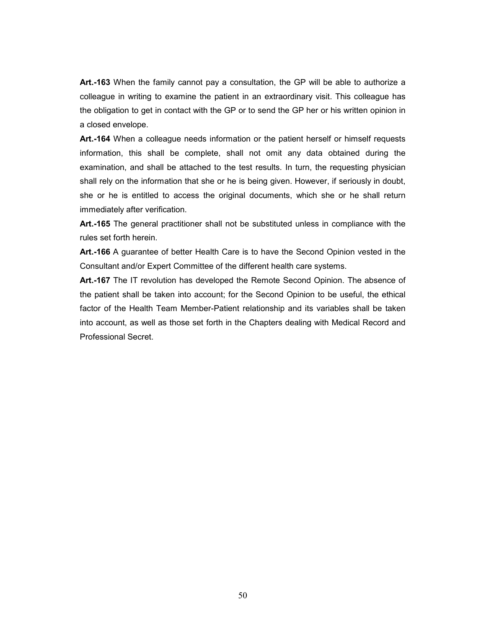Art.-163 When the family cannot pay a consultation, the GP will be able to authorize a colleague in writing to examine the patient in an extraordinary visit. This colleague has the obligation to get in contact with the GP or to send the GP her or his written opinion in a closed envelope.

Art.-164 When a colleague needs information or the patient herself or himself requests information, this shall be complete, shall not omit any data obtained during the examination, and shall be attached to the test results. In turn, the requesting physician shall rely on the information that she or he is being given. However, if seriously in doubt, she or he is entitled to access the original documents, which she or he shall return immediately after verification.

Art.-165 The general practitioner shall not be substituted unless in compliance with the rules set forth herein.

Art.-166 A guarantee of better Health Care is to have the Second Opinion vested in the Consultant and/or Expert Committee of the different health care systems.

Art.-167 The IT revolution has developed the Remote Second Opinion. The absence of the patient shall be taken into account; for the Second Opinion to be useful, the ethical factor of the Health Team Member-Patient relationship and its variables shall be taken into account, as well as those set forth in the Chapters dealing with Medical Record and Professional Secret.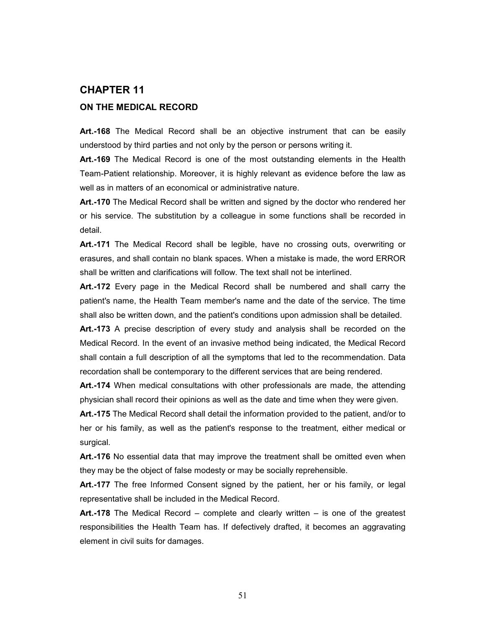## **CHAPTER 11** ON THE MEDICAL RECORD

Art.-168 The Medical Record shall be an objective instrument that can be easily understood by third parties and not only by the person or persons writing it.

Art.-169 The Medical Record is one of the most outstanding elements in the Health Team-Patient relationship. Moreover, it is highly relevant as evidence before the law as well as in matters of an economical or administrative nature.

Art.-170 The Medical Record shall be written and signed by the doctor who rendered her or his service. The substitution by a colleague in some functions shall be recorded in detail.

Art.-171 The Medical Record shall be legible, have no crossing outs, overwriting or erasures, and shall contain no blank spaces. When a mistake is made, the word ERROR shall be written and clarifications will follow. The text shall not be interlined.

Art.-172 Every page in the Medical Record shall be numbered and shall carry the patient's name, the Health Team member's name and the date of the service. The time shall also be written down, and the patient's conditions upon admission shall be detailed.

Art.-173 A precise description of every study and analysis shall be recorded on the Medical Record. In the event of an invasive method being indicated, the Medical Record shall contain a full description of all the symptoms that led to the recommendation. Data recordation shall be contemporary to the different services that are being rendered.

Art.-174 When medical consultations with other professionals are made, the attending physician shall record their opinions as well as the date and time when they were given.

Art.-175 The Medical Record shall detail the information provided to the patient, and/or to her or his family, as well as the patient's response to the treatment, either medical or surgical.

Art.-176 No essential data that may improve the treatment shall be omitted even when they may be the object of false modesty or may be socially reprehensible.

Art.-177 The free Informed Consent signed by the patient, her or his family, or legal representative shall be included in the Medical Record.

Art.-178 The Medical Record – complete and clearly written – is one of the greatest responsibilities the Health Team has. If defectively drafted, it becomes an aggravating element in civil suits for damages.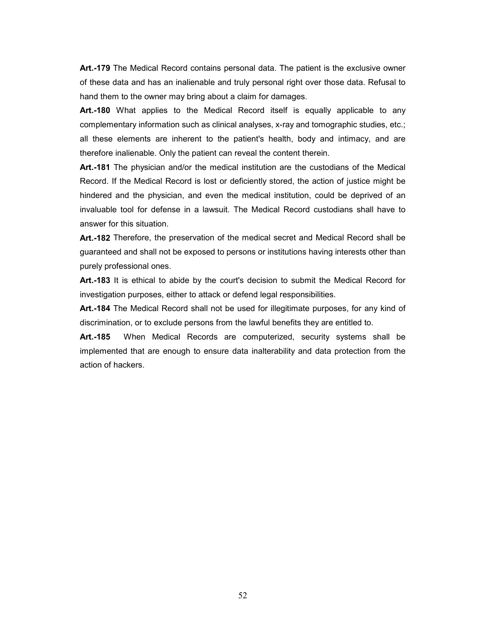Art.-179 The Medical Record contains personal data. The patient is the exclusive owner of these data and has an inalienable and truly personal right over those data. Refusal to hand them to the owner may bring about a claim for damages.

Art.-180 What applies to the Medical Record itself is equally applicable to any complementary information such as clinical analyses, x-ray and tomographic studies, etc.; all these elements are inherent to the patient's health, body and intimacy, and are therefore inalienable. Only the patient can reveal the content therein.

Art.-181 The physician and/or the medical institution are the custodians of the Medical Record. If the Medical Record is lost or deficiently stored, the action of justice might be hindered and the physician, and even the medical institution, could be deprived of an invaluable tool for defense in a lawsuit. The Medical Record custodians shall have to answer for this situation.

Art.-182 Therefore, the preservation of the medical secret and Medical Record shall be guaranteed and shall not be exposed to persons or institutions having interests other than purely professional ones.

Art.-183 It is ethical to abide by the court's decision to submit the Medical Record for investigation purposes, either to attack or defend legal responsibilities.

Art.-184 The Medical Record shall not be used for illegitimate purposes, for any kind of discrimination, or to exclude persons from the lawful benefits they are entitled to.

When Medical Records are computerized, security systems shall be Art.-185 implemented that are enough to ensure data inalterability and data protection from the action of hackers.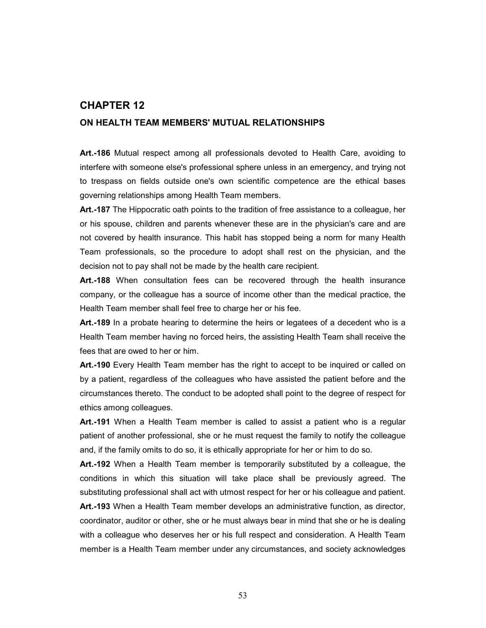### **CHAPTER 12**

### ON HEALTH TEAM MEMBERS' MUTUAL RELATIONSHIPS

Art.-186 Mutual respect among all professionals devoted to Health Care, avoiding to interfere with someone else's professional sphere unless in an emergency, and trying not to trespass on fields outside one's own scientific competence are the ethical bases governing relationships among Health Team members.

Art.-187 The Hippocratic oath points to the tradition of free assistance to a colleague, her or his spouse, children and parents whenever these are in the physician's care and are not covered by health insurance. This habit has stopped being a norm for many Health Team professionals, so the procedure to adopt shall rest on the physician, and the decision not to pay shall not be made by the health care recipient.

Art.-188 When consultation fees can be recovered through the health insurance company, or the colleague has a source of income other than the medical practice, the Health Team member shall feel free to charge her or his fee.

Art.-189 In a probate hearing to determine the heirs or legatees of a decedent who is a Health Team member having no forced heirs, the assisting Health Team shall receive the fees that are owed to her or him.

Art.-190 Every Health Team member has the right to accept to be inquired or called on by a patient, regardless of the colleagues who have assisted the patient before and the circumstances thereto. The conduct to be adopted shall point to the degree of respect for ethics among colleagues.

Art.-191 When a Health Team member is called to assist a patient who is a regular patient of another professional, she or he must request the family to notify the colleague and, if the family omits to do so, it is ethically appropriate for her or him to do so.

Art.-192 When a Health Team member is temporarily substituted by a colleague, the conditions in which this situation will take place shall be previously agreed. The substituting professional shall act with utmost respect for her or his colleague and patient. Art.-193 When a Health Team member develops an administrative function, as director, coordinator, auditor or other, she or he must always bear in mind that she or he is dealing with a colleague who deserves her or his full respect and consideration. A Health Team member is a Health Team member under any circumstances, and society acknowledges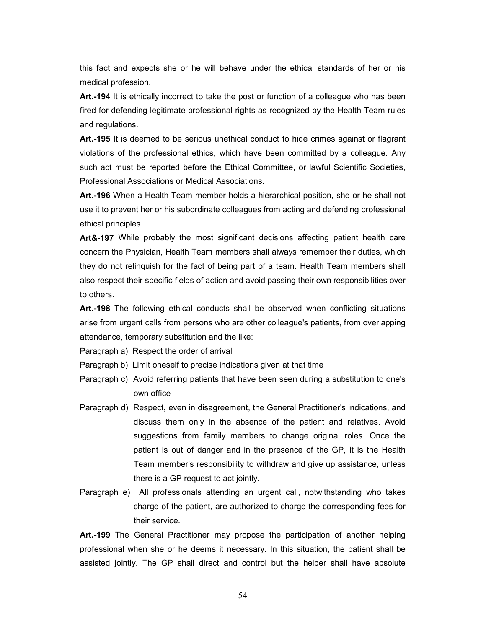this fact and expects she or he will behave under the ethical standards of her or his medical profession.

Art.-194 It is ethically incorrect to take the post or function of a colleague who has been fired for defending legitimate professional rights as recognized by the Health Team rules and regulations.

Art.-195 It is deemed to be serious unethical conduct to hide crimes against or flagrant violations of the professional ethics, which have been committed by a colleague. Any such act must be reported before the Ethical Committee, or lawful Scientific Societies. Professional Associations or Medical Associations.

Art.-196 When a Health Team member holds a hierarchical position, she or he shall not use it to prevent her or his subordinate colleagues from acting and defending professional ethical principles.

Art&-197 While probably the most significant decisions affecting patient health care concern the Physician, Health Team members shall always remember their duties, which they do not relinguish for the fact of being part of a team. Health Team members shall also respect their specific fields of action and avoid passing their own responsibilities over to others.

Art.-198 The following ethical conducts shall be observed when conflicting situations arise from urgent calls from persons who are other colleague's patients, from overlapping attendance, temporary substitution and the like:

Paragraph a) Respect the order of arrival

Paragraph b) Limit oneself to precise indications given at that time

- Paragraph c) Avoid referring patients that have been seen during a substitution to one's own office
- Paragraph d) Respect, even in disagreement, the General Practitioner's indications, and discuss them only in the absence of the patient and relatives. Avoid suggestions from family members to change original roles. Once the patient is out of danger and in the presence of the GP, it is the Health Team member's responsibility to withdraw and give up assistance, unless there is a GP request to act jointly.
- Paragraph e) All professionals attending an urgent call, notwithstanding who takes charge of the patient, are authorized to charge the corresponding fees for their service.

Art.-199 The General Practitioner may propose the participation of another helping professional when she or he deems it necessary. In this situation, the patient shall be assisted jointly. The GP shall direct and control but the helper shall have absolute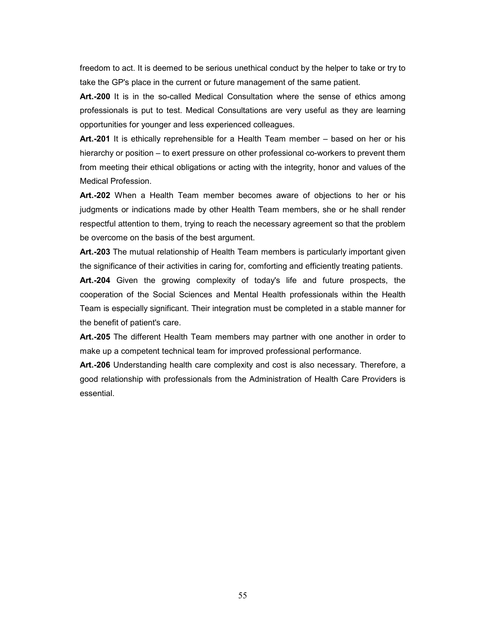freedom to act. It is deemed to be serious unethical conduct by the helper to take or try to take the GP's place in the current or future management of the same patient.

Art.-200 It is in the so-called Medical Consultation where the sense of ethics among professionals is put to test. Medical Consultations are very useful as they are learning opportunities for younger and less experienced colleagues.

Art.-201 It is ethically reprehensible for a Health Team member - based on her or his hierarchy or position – to exert pressure on other professional co-workers to prevent them from meeting their ethical obligations or acting with the integrity, honor and values of the **Medical Profession.** 

Art.-202 When a Health Team member becomes aware of objections to her or his judgments or indications made by other Health Team members, she or he shall render respectful attention to them, trying to reach the necessary agreement so that the problem be overcome on the basis of the best argument.

Art.-203 The mutual relationship of Health Team members is particularly important given the significance of their activities in caring for, comforting and efficiently treating patients.

Art.-204 Given the growing complexity of today's life and future prospects, the cooperation of the Social Sciences and Mental Health professionals within the Health Team is especially significant. Their integration must be completed in a stable manner for the benefit of patient's care.

Art.-205 The different Health Team members may partner with one another in order to make up a competent technical team for improved professional performance.

Art.-206 Understanding health care complexity and cost is also necessary. Therefore, a good relationship with professionals from the Administration of Health Care Providers is essential.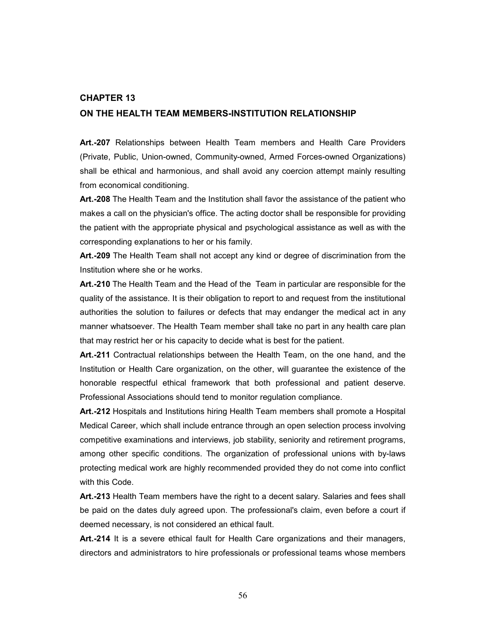#### **CHAPTER 13**

#### ON THE HEALTH TEAM MEMBERS-INSTITUTION RELATIONSHIP

Art.-207 Relationships between Health Team members and Health Care Providers (Private, Public, Union-owned, Community-owned, Armed Forces-owned Organizations) shall be ethical and harmonious, and shall avoid any coercion attempt mainly resulting from economical conditioning.

Art.-208 The Health Team and the Institution shall favor the assistance of the patient who makes a call on the physician's office. The acting doctor shall be responsible for providing the patient with the appropriate physical and psychological assistance as well as with the corresponding explanations to her or his family.

Art.-209 The Health Team shall not accept any kind or degree of discrimination from the Institution where she or he works.

Art.-210 The Health Team and the Head of the Team in particular are responsible for the quality of the assistance. It is their obligation to report to and request from the institutional authorities the solution to failures or defects that may endanger the medical act in any manner whatsoever. The Health Team member shall take no part in any health care plan that may restrict her or his capacity to decide what is best for the patient.

Art.-211 Contractual relationships between the Health Team, on the one hand, and the Institution or Health Care organization, on the other, will guarantee the existence of the honorable respectful ethical framework that both professional and patient deserve. Professional Associations should tend to monitor regulation compliance.

Art.-212 Hospitals and Institutions hiring Health Team members shall promote a Hospital Medical Career, which shall include entrance through an open selection process involving competitive examinations and interviews, job stability, seniority and retirement programs, among other specific conditions. The organization of professional unions with by-laws protecting medical work are highly recommended provided they do not come into conflict with this Code.

Art.-213 Health Team members have the right to a decent salary. Salaries and fees shall be paid on the dates duly agreed upon. The professional's claim, even before a court if deemed necessary, is not considered an ethical fault.

Art.-214 It is a severe ethical fault for Health Care organizations and their managers, directors and administrators to hire professionals or professional teams whose members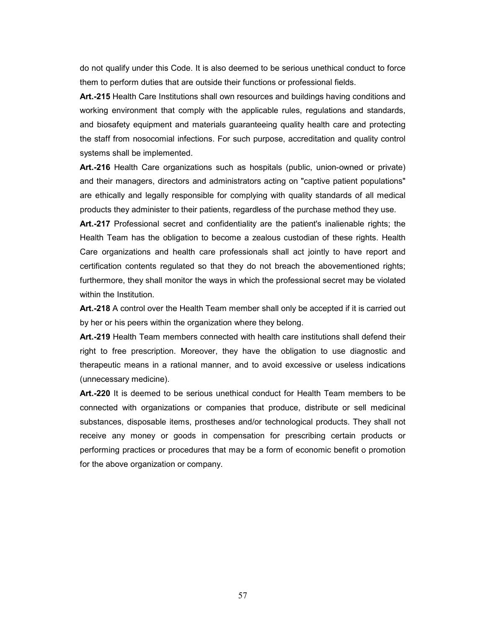do not qualify under this Code. It is also deemed to be serious unethical conduct to force them to perform duties that are outside their functions or professional fields.

Art.-215 Health Care Institutions shall own resources and buildings having conditions and working environment that comply with the applicable rules, regulations and standards, and biosafety equipment and materials guaranteeing quality health care and protecting the staff from nosocomial infections. For such purpose, accreditation and quality control systems shall be implemented.

Art.-216 Health Care organizations such as hospitals (public, union-owned or private) and their managers, directors and administrators acting on "captive patient populations" are ethically and legally responsible for complying with quality standards of all medical products they administer to their patients, regardless of the purchase method they use.

Art.-217 Professional secret and confidentiality are the patient's inalienable rights; the Health Team has the obligation to become a zealous custodian of these rights. Health Care organizations and health care professionals shall act jointly to have report and certification contents regulated so that they do not breach the abovementioned rights; furthermore, they shall monitor the ways in which the professional secret may be violated within the Institution.

Art.-218 A control over the Health Team member shall only be accepted if it is carried out by her or his peers within the organization where they belong.

Art.-219 Health Team members connected with health care institutions shall defend their right to free prescription. Moreover, they have the obligation to use diagnostic and therapeutic means in a rational manner, and to avoid excessive or useless indications (unnecessary medicine).

Art.-220 It is deemed to be serious unethical conduct for Health Team members to be connected with organizations or companies that produce, distribute or sell medicinal substances, disposable items, prostheses and/or technological products. They shall not receive any money or goods in compensation for prescribing certain products or performing practices or procedures that may be a form of economic benefit o promotion for the above organization or company.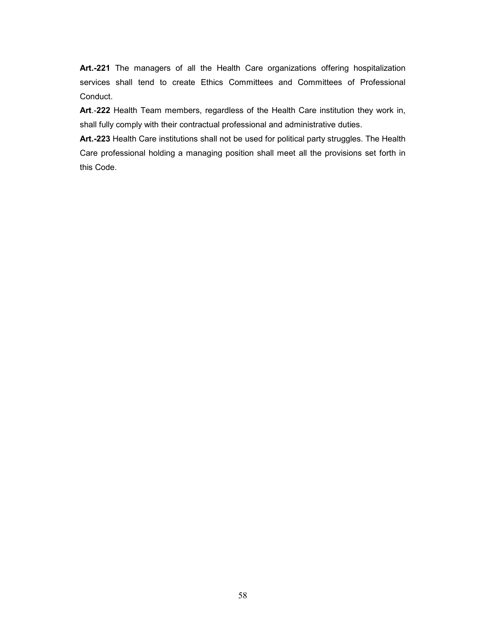Art.-221 The managers of all the Health Care organizations offering hospitalization services shall tend to create Ethics Committees and Committees of Professional Conduct.

Art.-222 Health Team members, regardless of the Health Care institution they work in, shall fully comply with their contractual professional and administrative duties.

Art.-223 Health Care institutions shall not be used for political party struggles. The Health Care professional holding a managing position shall meet all the provisions set forth in this Code.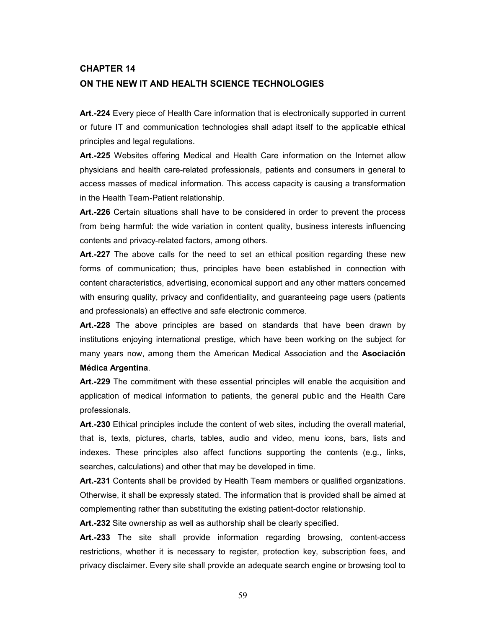#### **CHAPTER 14**

#### ON THE NEW IT AND HEALTH SCIENCE TECHNOLOGIES

Art.-224 Every piece of Health Care information that is electronically supported in current or future IT and communication technologies shall adapt itself to the applicable ethical principles and legal regulations.

Art.-225 Websites offering Medical and Health Care information on the Internet allow physicians and health care-related professionals, patients and consumers in general to access masses of medical information. This access capacity is causing a transformation in the Health Team-Patient relationship.

Art.-226 Certain situations shall have to be considered in order to prevent the process from being harmful: the wide variation in content quality, business interests influencing contents and privacy-related factors, among others.

Art.-227 The above calls for the need to set an ethical position regarding these new forms of communication; thus, principles have been established in connection with content characteristics, advertising, economical support and any other matters concerned with ensuring quality, privacy and confidentiality, and quaranteeing page users (patients and professionals) an effective and safe electronic commerce.

Art.-228 The above principles are based on standards that have been drawn by institutions enjoying international prestige, which have been working on the subject for many years now, among them the American Medical Association and the Asociación Médica Argentina.

Art.-229 The commitment with these essential principles will enable the acquisition and application of medical information to patients, the general public and the Health Care professionals.

Art.-230 Ethical principles include the content of web sites, including the overall material, that is, texts, pictures, charts, tables, audio and video, menu icons, bars, lists and indexes. These principles also affect functions supporting the contents (e.g., links, searches, calculations) and other that may be developed in time.

Art.-231 Contents shall be provided by Health Team members or qualified organizations. Otherwise, it shall be expressly stated. The information that is provided shall be aimed at complementing rather than substituting the existing patient-doctor relationship.

Art.-232 Site ownership as well as authorship shall be clearly specified.

Art.-233 The site shall provide information regarding browsing, content-access restrictions, whether it is necessary to register, protection key, subscription fees, and privacy disclaimer. Every site shall provide an adequate search engine or browsing tool to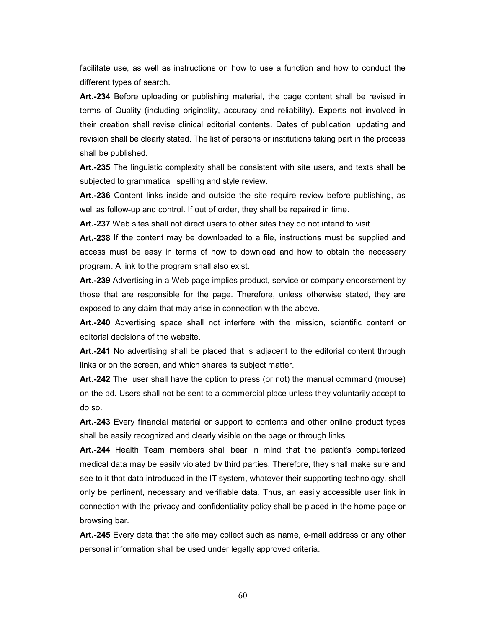facilitate use, as well as instructions on how to use a function and how to conduct the different types of search.

Art.-234 Before uploading or publishing material, the page content shall be revised in terms of Quality (including originality, accuracy and reliability). Experts not involved in their creation shall revise clinical editorial contents. Dates of publication, updating and revision shall be clearly stated. The list of persons or institutions taking part in the process shall be published.

Art.-235 The linguistic complexity shall be consistent with site users, and texts shall be subjected to grammatical, spelling and style review.

Art.-236 Content links inside and outside the site require review before publishing, as well as follow-up and control. If out of order, they shall be repaired in time.

Art.-237 Web sites shall not direct users to other sites they do not intend to visit.

Art.-238 If the content may be downloaded to a file, instructions must be supplied and access must be easy in terms of how to download and how to obtain the necessary program. A link to the program shall also exist.

Art.-239 Advertising in a Web page implies product, service or company endorsement by those that are responsible for the page. Therefore, unless otherwise stated, they are exposed to any claim that may arise in connection with the above.

Art.-240 Advertising space shall not interfere with the mission, scientific content or editorial decisions of the website.

Art.-241 No advertising shall be placed that is adjacent to the editorial content through links or on the screen, and which shares its subject matter.

Art.-242 The user shall have the option to press (or not) the manual command (mouse) on the ad. Users shall not be sent to a commercial place unless they voluntarily accept to do so.

Art.-243 Every financial material or support to contents and other online product types shall be easily recognized and clearly visible on the page or through links.

Art.-244 Health Team members shall bear in mind that the patient's computerized medical data may be easily violated by third parties. Therefore, they shall make sure and see to it that data introduced in the IT system, whatever their supporting technology, shall only be pertinent, necessary and verifiable data. Thus, an easily accessible user link in connection with the privacy and confidentiality policy shall be placed in the home page or browsing bar.

Art.-245 Every data that the site may collect such as name, e-mail address or any other personal information shall be used under legally approved criteria.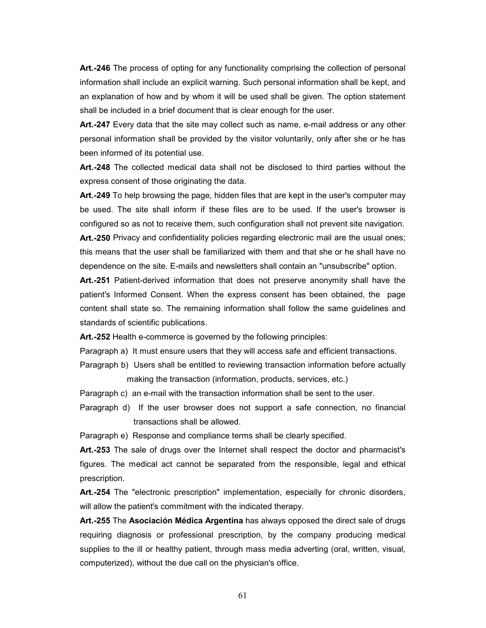Art.-246 The process of opting for any functionality comprising the collection of personal information shall include an explicit warning. Such personal information shall be kept, and an explanation of how and by whom it will be used shall be given. The option statement shall be included in a brief document that is clear enough for the user.

Art.-247 Every data that the site may collect such as name, e-mail address or any other personal information shall be provided by the visitor voluntarily, only after she or he has been informed of its potential use.

Art.-248 The collected medical data shall not be disclosed to third parties without the express consent of those originating the data.

Art.-249 To help browsing the page, hidden files that are kept in the user's computer may be used. The site shall inform if these files are to be used. If the user's browser is configured so as not to receive them, such configuration shall not prevent site navigation. Art.-250 Privacy and confidentiality policies regarding electronic mail are the usual ones; this means that the user shall be familiarized with them and that she or he shall have no

dependence on the site. E-mails and newsletters shall contain an "unsubscribe" option.

Art.-251 Patient-derived information that does not preserve anonymity shall have the patient's Informed Consent. When the express consent has been obtained, the page content shall state so. The remaining information shall follow the same guidelines and standards of scientific publications.

Art.-252 Health e-commerce is governed by the following principles:

Paragraph a) It must ensure users that they will access safe and efficient transactions.

Paragraph b) Users shall be entitled to reviewing transaction information before actually making the transaction (information, products, services, etc.)

Paragraph c) an e-mail with the transaction information shall be sent to the user.

Paragraph d) If the user browser does not support a safe connection, no financial transactions shall be allowed.

Paragraph e) Response and compliance terms shall be clearly specified.

Art.-253 The sale of drugs over the Internet shall respect the doctor and pharmacist's figures. The medical act cannot be separated from the responsible, legal and ethical prescription.

Art.-254 The "electronic prescription" implementation, especially for chronic disorders, will allow the patient's commitment with the indicated therapy.

Art.-255 The Asociación Médica Argentina has always opposed the direct sale of drugs requiring diagnosis or professional prescription, by the company producing medical supplies to the ill or healthy patient, through mass media adverting (oral, written, visual, computerized), without the due call on the physician's office.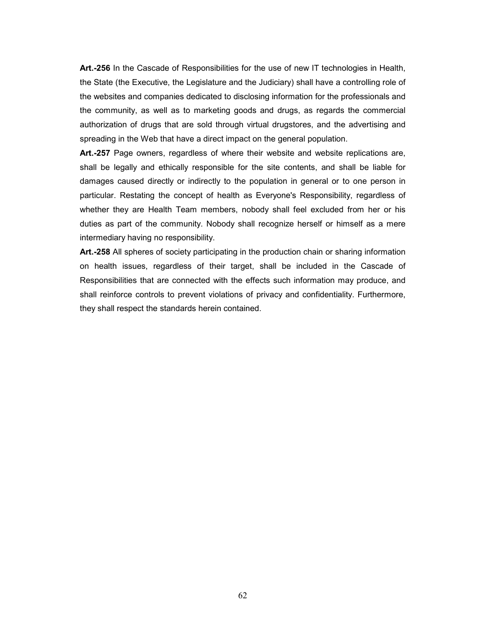Art.-256 In the Cascade of Responsibilities for the use of new IT technologies in Health, the State (the Executive, the Legislature and the Judiciary) shall have a controlling role of the websites and companies dedicated to disclosing information for the professionals and the community, as well as to marketing goods and drugs, as regards the commercial authorization of drugs that are sold through virtual drugstores, and the advertising and spreading in the Web that have a direct impact on the general population.

Art.-257 Page owners, regardless of where their website and website replications are, shall be legally and ethically responsible for the site contents, and shall be liable for damages caused directly or indirectly to the population in general or to one person in particular. Restating the concept of health as Everyone's Responsibility, regardless of whether they are Health Team members, nobody shall feel excluded from her or his duties as part of the community. Nobody shall recognize herself or himself as a mere intermediary having no responsibility.

Art.-258 All spheres of society participating in the production chain or sharing information on health issues, regardless of their target, shall be included in the Cascade of Responsibilities that are connected with the effects such information may produce, and shall reinforce controls to prevent violations of privacy and confidentiality. Furthermore, they shall respect the standards herein contained.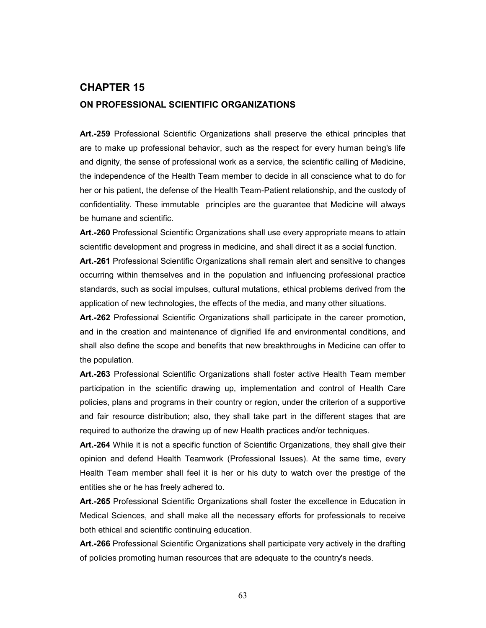## **CHAPTER 15** ON PROFESSIONAL SCIENTIFIC ORGANIZATIONS

**Art.-259** Professional Scientific Organizations shall preserve the ethical principles that are to make up professional behavior, such as the respect for every human being's life and dignity, the sense of professional work as a service, the scientific calling of Medicine, the independence of the Health Team member to decide in all conscience what to do for her or his patient, the defense of the Health Team-Patient relationship, and the custody of confidentiality. These immutable principles are the guarantee that Medicine will always be humane and scientific.

Art.-260 Professional Scientific Organizations shall use every appropriate means to attain scientific development and progress in medicine, and shall direct it as a social function. Art.-261 Professional Scientific Organizations shall remain alert and sensitive to changes occurring within themselves and in the population and influencing professional practice standards, such as social impulses, cultural mutations, ethical problems derived from the application of new technologies, the effects of the media, and many other situations.

Art.-262 Professional Scientific Organizations shall participate in the career promotion, and in the creation and maintenance of dignified life and environmental conditions, and shall also define the scope and benefits that new breakthroughs in Medicine can offer to the population.

Art.-263 Professional Scientific Organizations shall foster active Health Team member participation in the scientific drawing up, implementation and control of Health Care policies, plans and programs in their country or region, under the criterion of a supportive and fair resource distribution; also, they shall take part in the different stages that are required to authorize the drawing up of new Health practices and/or techniques.

Art.-264 While it is not a specific function of Scientific Organizations, they shall give their opinion and defend Health Teamwork (Professional Issues). At the same time, every Health Team member shall feel it is her or his duty to watch over the prestige of the entities she or he has freely adhered to.

Art.-265 Professional Scientific Organizations shall foster the excellence in Education in Medical Sciences, and shall make all the necessary efforts for professionals to receive both ethical and scientific continuing education.

Art.-266 Professional Scientific Organizations shall participate very actively in the drafting of policies promoting human resources that are adequate to the country's needs.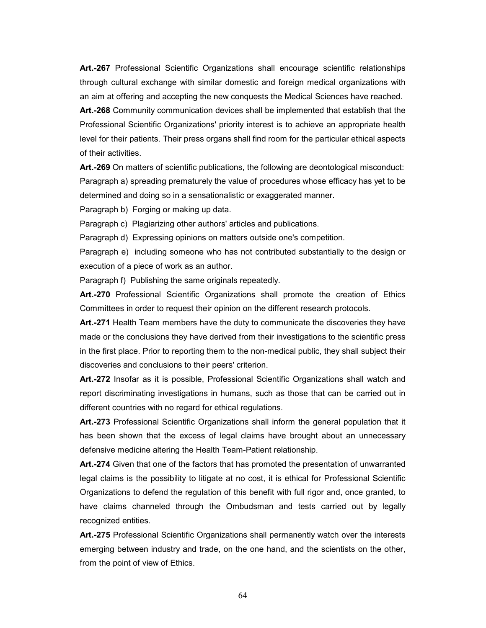Art.-267 Professional Scientific Organizations shall encourage scientific relationships through cultural exchange with similar domestic and foreign medical organizations with an aim at offering and accepting the new conquests the Medical Sciences have reached.

Art.-268 Community communication devices shall be implemented that establish that the Professional Scientific Organizations' priority interest is to achieve an appropriate health level for their patients. Their press organs shall find room for the particular ethical aspects of their activities.

Art.-269 On matters of scientific publications, the following are deontological misconduct: Paragraph a) spreading prematurely the value of procedures whose efficacy has yet to be determined and doing so in a sensationalistic or exaggerated manner.

Paragraph b) Forging or making up data.

Paragraph c) Plagiarizing other authors' articles and publications.

Paragraph d) Expressing opinions on matters outside one's competition.

Paragraph e) including someone who has not contributed substantially to the design or execution of a piece of work as an author.

Paragraph f) Publishing the same originals repeatedly.

Art.-270 Professional Scientific Organizations shall promote the creation of Ethics Committees in order to request their opinion on the different research protocols.

Art.-271 Health Team members have the duty to communicate the discoveries they have made or the conclusions they have derived from their investigations to the scientific press in the first place. Prior to reporting them to the non-medical public, they shall subject their discoveries and conclusions to their peers' criterion.

Art.-272 Insofar as it is possible, Professional Scientific Organizations shall watch and report discriminating investigations in humans, such as those that can be carried out in different countries with no regard for ethical regulations.

Art.-273 Professional Scientific Organizations shall inform the general population that it has been shown that the excess of legal claims have brought about an unnecessary defensive medicine altering the Health Team-Patient relationship.

Art.-274 Given that one of the factors that has promoted the presentation of unwarranted legal claims is the possibility to litigate at no cost, it is ethical for Professional Scientific Organizations to defend the regulation of this benefit with full rigor and, once granted, to have claims channeled through the Ombudsman and tests carried out by legally recognized entities.

Art.-275 Professional Scientific Organizations shall permanently watch over the interests emerging between industry and trade, on the one hand, and the scientists on the other, from the point of view of Ethics.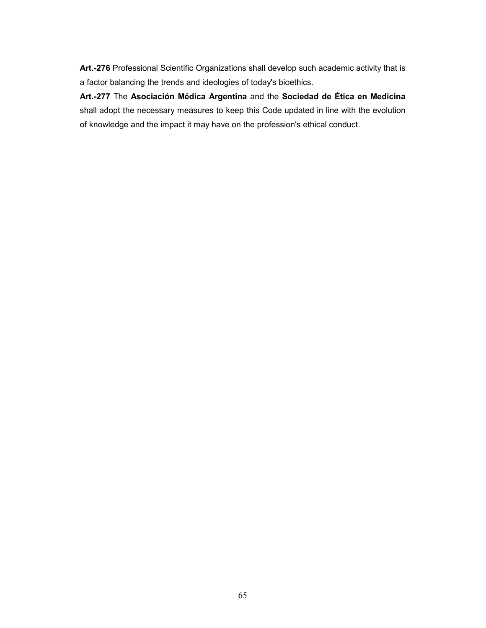Art.-276 Professional Scientific Organizations shall develop such academic activity that is a factor balancing the trends and ideologies of today's bioethics.

Art.-277 The Asociación Médica Argentina and the Sociedad de Ética en Medicina shall adopt the necessary measures to keep this Code updated in line with the evolution of knowledge and the impact it may have on the profession's ethical conduct.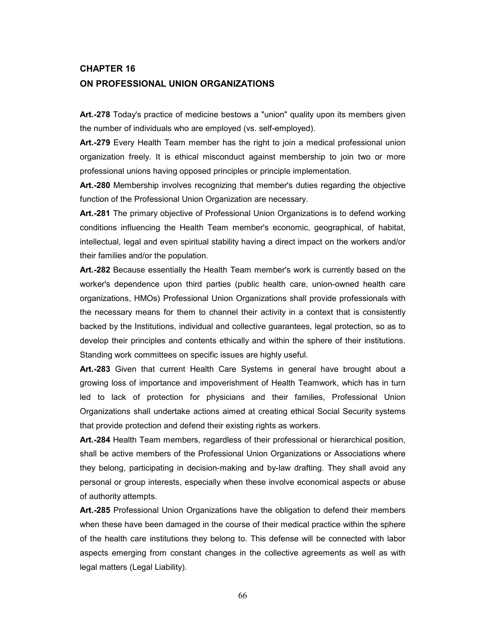#### **CHAPTER 16**

#### ON PROFESSIONAL UNION ORGANIZATIONS

Art.-278 Today's practice of medicine bestows a "union" quality upon its members given the number of individuals who are employed (vs. self-employed).

Art.-279 Every Health Team member has the right to join a medical professional union organization freely. It is ethical misconduct against membership to join two or more professional unions having opposed principles or principle implementation.

Art.-280 Membership involves recognizing that member's duties regarding the objective function of the Professional Union Organization are necessary.

Art.-281 The primary objective of Professional Union Organizations is to defend working conditions influencing the Health Team member's economic, geographical, of habitat, intellectual, legal and even spiritual stability having a direct impact on the workers and/or their families and/or the population.

Art.-282 Because essentially the Health Team member's work is currently based on the worker's dependence upon third parties (public health care, union-owned health care organizations, HMOs) Professional Union Organizations shall provide professionals with the necessary means for them to channel their activity in a context that is consistently backed by the Institutions, individual and collective guarantees, legal protection, so as to develop their principles and contents ethically and within the sphere of their institutions. Standing work committees on specific issues are highly useful.

Art.-283 Given that current Health Care Systems in general have brought about a growing loss of importance and impoverishment of Health Teamwork, which has in turn led to lack of protection for physicians and their families, Professional Union Organizations shall undertake actions aimed at creating ethical Social Security systems that provide protection and defend their existing rights as workers.

Art.-284 Health Team members, regardless of their professional or hierarchical position, shall be active members of the Professional Union Organizations or Associations where they belong, participating in decision-making and by-law drafting. They shall avoid any personal or group interests, especially when these involve economical aspects or abuse of authority attempts.

Art.-285 Professional Union Organizations have the obligation to defend their members when these have been damaged in the course of their medical practice within the sphere of the health care institutions they belong to. This defense will be connected with labor aspects emerging from constant changes in the collective agreements as well as with legal matters (Legal Liability).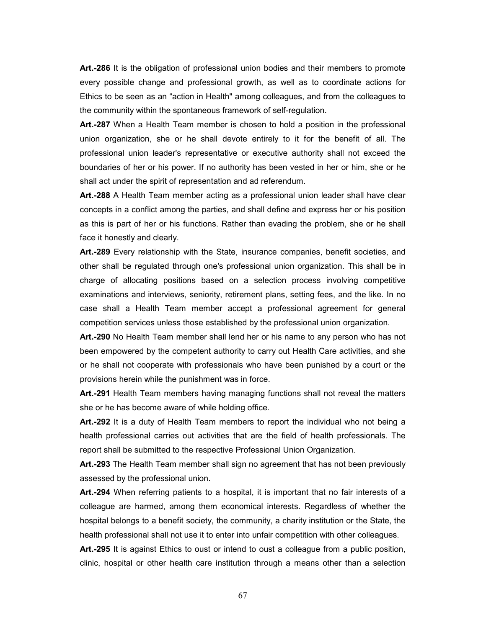Art.-286 It is the obligation of professional union bodies and their members to promote every possible change and professional growth, as well as to coordinate actions for Ethics to be seen as an "action in Health" among colleagues, and from the colleagues to the community within the spontaneous framework of self-regulation.

Art.-287 When a Health Team member is chosen to hold a position in the professional union organization, she or he shall devote entirely to it for the benefit of all. The professional union leader's representative or executive authority shall not exceed the boundaries of her or his power. If no authority has been vested in her or him, she or he shall act under the spirit of representation and ad referendum.

Art.-288 A Health Team member acting as a professional union leader shall have clear concepts in a conflict among the parties, and shall define and express her or his position as this is part of her or his functions. Rather than evading the problem, she or he shall face it honestly and clearly.

Art.-289 Every relationship with the State, insurance companies, benefit societies, and other shall be regulated through one's professional union organization. This shall be in charge of allocating positions based on a selection process involving competitive examinations and interviews, seniority, retirement plans, setting fees, and the like. In no case shall a Health Team member accept a professional agreement for general competition services unless those established by the professional union organization.

Art.-290 No Health Team member shall lend her or his name to any person who has not been empowered by the competent authority to carry out Health Care activities, and she or he shall not cooperate with professionals who have been punished by a court or the provisions herein while the punishment was in force.

Art.-291 Health Team members having managing functions shall not reveal the matters she or he has become aware of while holding office.

Art.-292 It is a duty of Health Team members to report the individual who not being a health professional carries out activities that are the field of health professionals. The report shall be submitted to the respective Professional Union Organization.

Art.-293 The Health Team member shall sign no agreement that has not been previously assessed by the professional union.

Art.-294 When referring patients to a hospital, it is important that no fair interests of a colleague are harmed, among them economical interests. Regardless of whether the hospital belongs to a benefit society, the community, a charity institution or the State, the health professional shall not use it to enter into unfair competition with other colleagues.

Art.-295 It is against Ethics to oust or intend to oust a colleague from a public position, clinic, hospital or other health care institution through a means other than a selection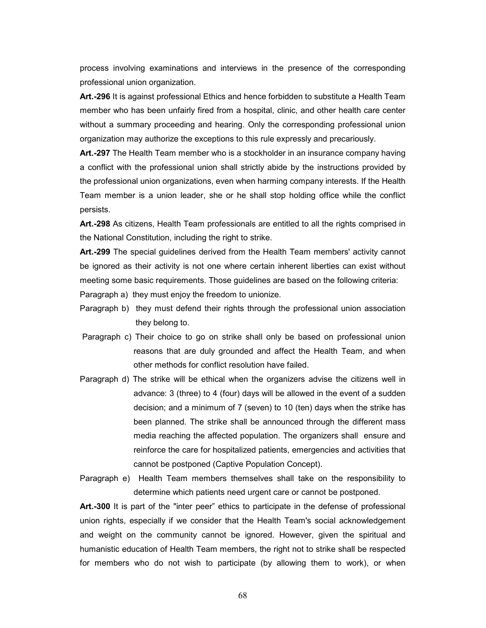process involving examinations and interviews in the presence of the corresponding professional union organization.

Art.-296 It is against professional Ethics and hence forbidden to substitute a Health Team member who has been unfairly fired from a hospital, clinic, and other health care center without a summary proceeding and hearing. Only the corresponding professional union organization may authorize the exceptions to this rule expressly and precariously.

Art.-297 The Health Team member who is a stockholder in an insurance company having a conflict with the professional union shall strictly abide by the instructions provided by the professional union organizations, even when harming company interests. If the Health Team member is a union leader, she or he shall stop holding office while the conflict persists.

Art.-298 As citizens, Health Team professionals are entitled to all the rights comprised in the National Constitution, including the right to strike.

Art.-299 The special guidelines derived from the Health Team members' activity cannot be ignored as their activity is not one where certain inherent liberties can exist without meeting some basic requirements. Those guidelines are based on the following criteria:

Paragraph a) they must enjoy the freedom to unionize.

- Paragraph b) they must defend their rights through the professional union association they belong to.
- Paragraph c) Their choice to go on strike shall only be based on professional union reasons that are duly grounded and affect the Health Team, and when other methods for conflict resolution have failed.
- Paragraph d) The strike will be ethical when the organizers advise the citizens well in advance: 3 (three) to 4 (four) days will be allowed in the event of a sudden decision; and a minimum of 7 (seven) to 10 (ten) days when the strike has been planned. The strike shall be announced through the different mass media reaching the affected population. The organizers shall ensure and reinforce the care for hospitalized patients, emergencies and activities that cannot be postponed (Captive Population Concept).

Paragraph e) Health Team members themselves shall take on the responsibility to determine which patients need urgent care or cannot be postponed.

Art.-300 It is part of the "inter peer" ethics to participate in the defense of professional union rights, especially if we consider that the Health Team's social acknowledgement and weight on the community cannot be ignored. However, given the spiritual and humanistic education of Health Team members, the right not to strike shall be respected for members who do not wish to participate (by allowing them to work), or when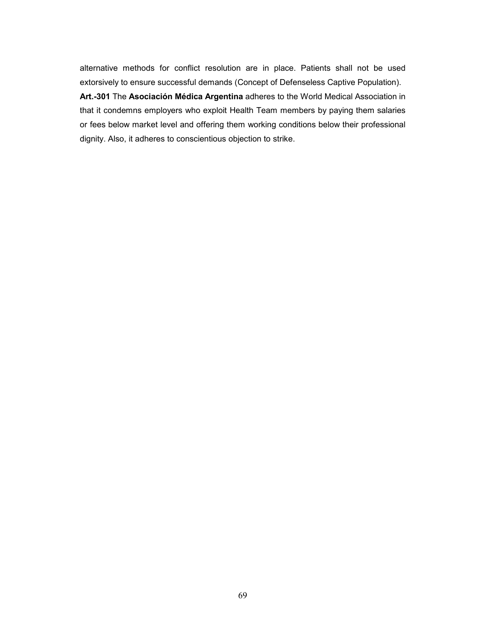alternative methods for conflict resolution are in place. Patients shall not be used extorsively to ensure successful demands (Concept of Defenseless Captive Population). Art.-301 The Asociación Médica Argentina adheres to the World Medical Association in that it condemns employers who exploit Health Team members by paying them salaries or fees below market level and offering them working conditions below their professional dignity. Also, it adheres to conscientious objection to strike.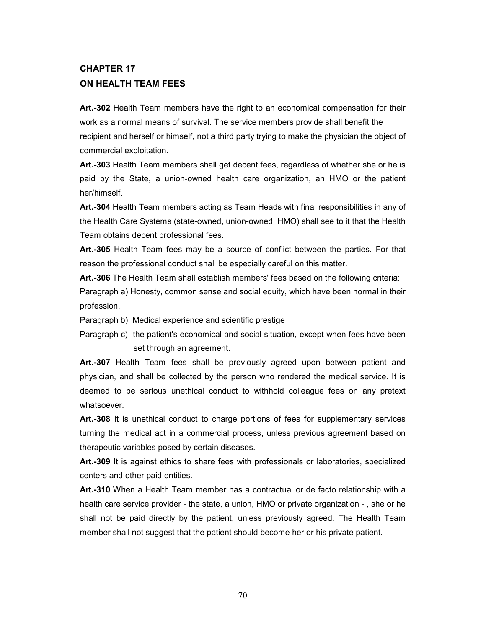### **CHAPTER 17 ON HEALTH TEAM FEES**

Art.-302 Health Team members have the right to an economical compensation for their work as a normal means of survival. The service members provide shall benefit the recipient and herself or himself, not a third party trying to make the physician the object of commercial exploitation.

Art.-303 Health Team members shall get decent fees, regardless of whether she or he is paid by the State, a union-owned health care organization, an HMO or the patient her/himself.

Art.-304 Health Team members acting as Team Heads with final responsibilities in any of the Health Care Systems (state-owned, union-owned, HMO) shall see to it that the Health Team obtains decent professional fees.

Art.-305 Health Team fees may be a source of conflict between the parties. For that reason the professional conduct shall be especially careful on this matter.

Art.-306 The Health Team shall establish members' fees based on the following criteria:

Paragraph a) Honesty, common sense and social equity, which have been normal in their profession.

Paragraph b) Medical experience and scientific prestige

Paragraph c) the patient's economical and social situation, except when fees have been set through an agreement.

Art.-307 Health Team fees shall be previously agreed upon between patient and physician, and shall be collected by the person who rendered the medical service. It is deemed to be serious unethical conduct to withhold colleague fees on any pretext whatsoever.

Art.-308 It is unethical conduct to charge portions of fees for supplementary services turning the medical act in a commercial process, unless previous agreement based on therapeutic variables posed by certain diseases.

Art.-309 It is against ethics to share fees with professionals or laboratories, specialized centers and other paid entities.

Art.-310 When a Health Team member has a contractual or de facto relationship with a health care service provider - the state, a union, HMO or private organization -, she or he shall not be paid directly by the patient, unless previously agreed. The Health Team member shall not suggest that the patient should become her or his private patient.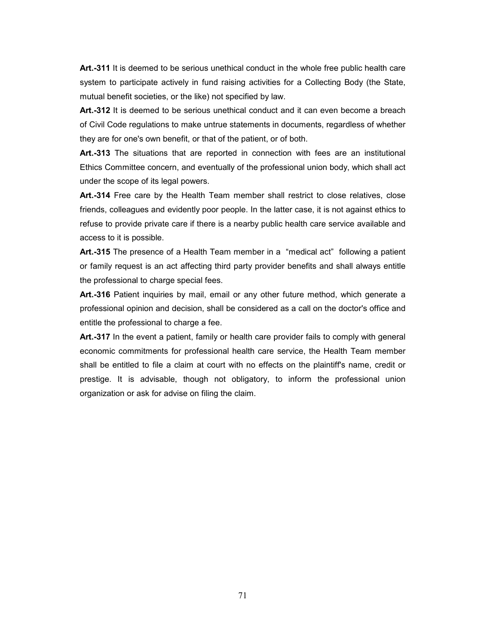Art.-311 It is deemed to be serious unethical conduct in the whole free public health care system to participate actively in fund raising activities for a Collecting Body (the State, mutual benefit societies, or the like) not specified by law.

Art.-312 It is deemed to be serious unethical conduct and it can even become a breach of Civil Code regulations to make untrue statements in documents, regardless of whether they are for one's own benefit, or that of the patient, or of both.

Art.-313 The situations that are reported in connection with fees are an institutional Ethics Committee concern, and eventually of the professional union body, which shall act under the scope of its legal powers.

Art.-314 Free care by the Health Team member shall restrict to close relatives, close friends, colleagues and evidently poor people. In the latter case, it is not against ethics to refuse to provide private care if there is a nearby public health care service available and access to it is possible.

Art.-315 The presence of a Health Team member in a "medical act" following a patient or family request is an act affecting third party provider benefits and shall always entitle the professional to charge special fees.

Art.-316 Patient inquiries by mail, email or any other future method, which generate a professional opinion and decision, shall be considered as a call on the doctor's office and entitle the professional to charge a fee.

Art.-317 In the event a patient, family or health care provider fails to comply with general economic commitments for professional health care service, the Health Team member shall be entitled to file a claim at court with no effects on the plaintiff's name, credit or prestige. It is advisable, though not obligatory, to inform the professional union organization or ask for advise on filing the claim.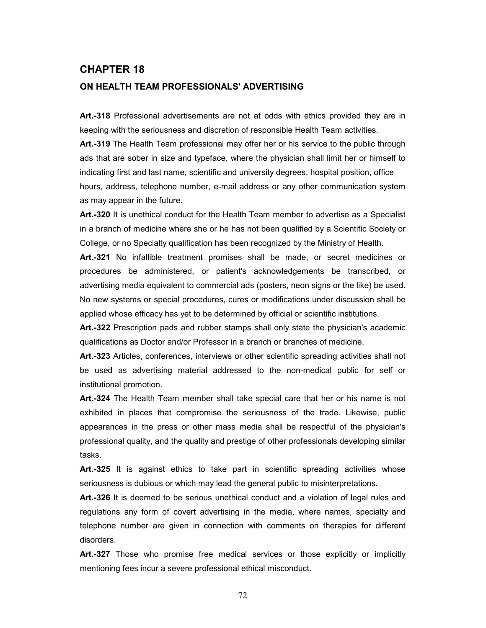#### **CHAPTER 18**

#### ON HEALTH TEAM PROFESSIONALS' ADVERTISING

Art.-318 Professional advertisements are not at odds with ethics provided they are in keeping with the seriousness and discretion of responsible Health Team activities.

Art.-319 The Health Team professional may offer her or his service to the public through ads that are sober in size and typeface, where the physician shall limit her or himself to indicating first and last name, scientific and university degrees, hospital position, office hours, address, telephone number, e-mail address or any other communication system as may appear in the future.

Art.-320 It is unethical conduct for the Health Team member to advertise as a Specialist in a branch of medicine where she or he has not been qualified by a Scientific Society or College, or no Specialty qualification has been recognized by the Ministry of Health.

Art.-321 No infallible treatment promises shall be made, or secret medicines or procedures be administered, or patient's acknowledgements be transcribed, or advertising media equivalent to commercial ads (posters, neon signs or the like) be used. No new systems or special procedures, cures or modifications under discussion shall be applied whose efficacy has yet to be determined by official or scientific institutions.

Art.-322 Prescription pads and rubber stamps shall only state the physician's academic qualifications as Doctor and/or Professor in a branch or branches of medicine.

Art.-323 Articles, conferences, interviews or other scientific spreading activities shall not be used as advertising material addressed to the non-medical public for self or institutional promotion.

Art.-324 The Health Team member shall take special care that her or his name is not exhibited in places that compromise the seriousness of the trade. Likewise, public appearances in the press or other mass media shall be respectful of the physician's professional quality, and the quality and prestige of other professionals developing similar tasks.

Art.-325 It is against ethics to take part in scientific spreading activities whose seriousness is dubious or which may lead the general public to misinterpretations.

Art.-326 It is deemed to be serious unethical conduct and a violation of legal rules and regulations any form of covert advertising in the media, where names, specialty and telephone number are given in connection with comments on therapies for different disorders.

Art.-327 Those who promise free medical services or those explicitly or implicitly mentioning fees incur a severe professional ethical misconduct.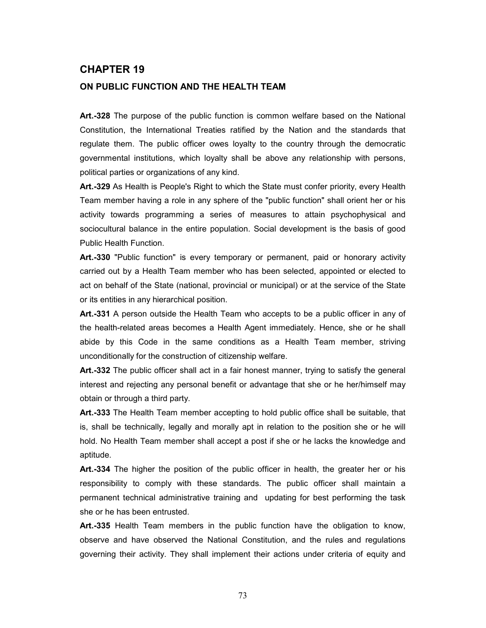#### ON PUBLIC FUNCTION AND THE HEALTH TEAM

Art.-328 The purpose of the public function is common welfare based on the National Constitution, the International Treaties ratified by the Nation and the standards that regulate them. The public officer owes loyalty to the country through the democratic governmental institutions, which loyalty shall be above any relationship with persons, political parties or organizations of any kind.

**Art.-329** As Health is People's Right to which the State must confer priority, every Health Team member having a role in any sphere of the "public function" shall orient her or his activity towards programming a series of measures to attain psychophysical and sociocultural balance in the entire population. Social development is the basis of good Public Health Function.

Art.-330 "Public function" is every temporary or permanent, paid or honorary activity carried out by a Health Team member who has been selected, appointed or elected to act on behalf of the State (national, provincial or municipal) or at the service of the State or its entities in any hierarchical position.

Art.-331 A person outside the Health Team who accepts to be a public officer in any of the health-related areas becomes a Health Agent immediately. Hence, she or he shall abide by this Code in the same conditions as a Health Team member, striving unconditionally for the construction of citizenship welfare.

Art.-332 The public officer shall act in a fair honest manner, trying to satisfy the general interest and rejecting any personal benefit or advantage that she or he her/himself may obtain or through a third party.

Art.-333 The Health Team member accepting to hold public office shall be suitable, that is, shall be technically, legally and morally apt in relation to the position she or he will hold. No Health Team member shall accept a post if she or he lacks the knowledge and aptitude.

Art.-334 The higher the position of the public officer in health, the greater her or his responsibility to comply with these standards. The public officer shall maintain a permanent technical administrative training and updating for best performing the task she or he has been entrusted.

Art.-335 Health Team members in the public function have the obligation to know, observe and have observed the National Constitution, and the rules and regulations governing their activity. They shall implement their actions under criteria of equity and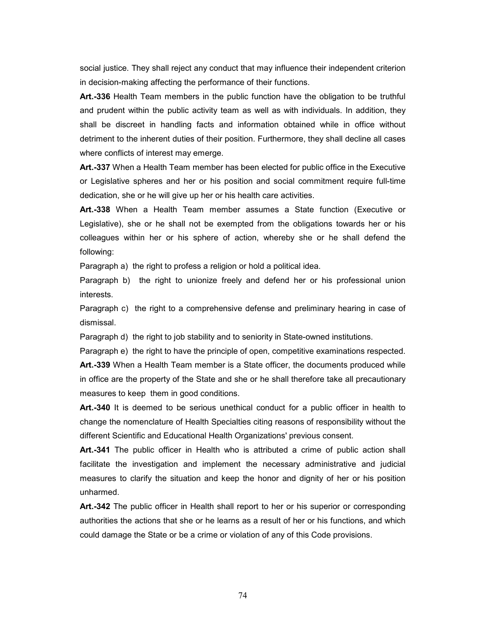social justice. They shall reject any conduct that may influence their independent criterion in decision-making affecting the performance of their functions.

Art.-336 Health Team members in the public function have the obligation to be truthful and prudent within the public activity team as well as with individuals. In addition, they shall be discreet in handling facts and information obtained while in office without detriment to the inherent duties of their position. Furthermore, they shall decline all cases where conflicts of interest may emerge.

Art.-337 When a Health Team member has been elected for public office in the Executive or Legislative spheres and her or his position and social commitment require full-time dedication, she or he will give up her or his health care activities.

Art.-338 When a Health Team member assumes a State function (Executive or Legislative), she or he shall not be exempted from the obligations towards her or his colleagues within her or his sphere of action, whereby she or he shall defend the following:

Paragraph a) the right to profess a religion or hold a political idea.

Paragraph b) the right to unionize freely and defend her or his professional union interests.

Paragraph c) the right to a comprehensive defense and preliminary hearing in case of dismissal.

Paragraph d) the right to job stability and to seniority in State-owned institutions.

Paragraph e) the right to have the principle of open, competitive examinations respected. Art.-339 When a Health Team member is a State officer, the documents produced while in office are the property of the State and she or he shall therefore take all precautionary measures to keep them in good conditions.

Art.-340 It is deemed to be serious unethical conduct for a public officer in health to change the nomenclature of Health Specialties citing reasons of responsibility without the different Scientific and Educational Health Organizations' previous consent.

Art.-341 The public officer in Health who is attributed a crime of public action shall facilitate the investigation and implement the necessary administrative and judicial measures to clarify the situation and keep the honor and dignity of her or his position unharmed.

Art.-342 The public officer in Health shall report to her or his superior or corresponding authorities the actions that she or he learns as a result of her or his functions, and which could damage the State or be a crime or violation of any of this Code provisions.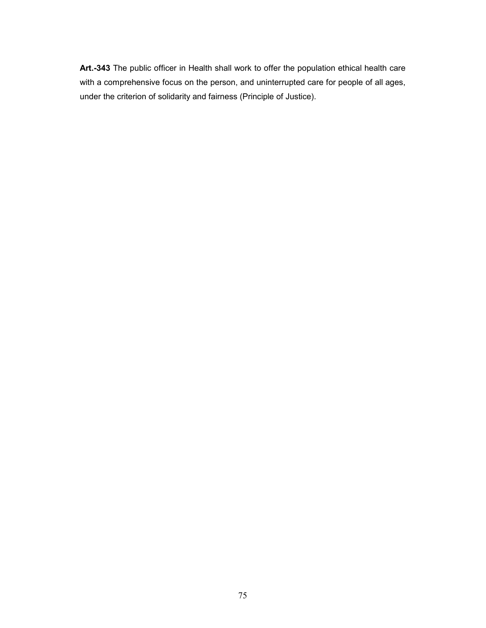Art.-343 The public officer in Health shall work to offer the population ethical health care with a comprehensive focus on the person, and uninterrupted care for people of all ages, under the criterion of solidarity and fairness (Principle of Justice).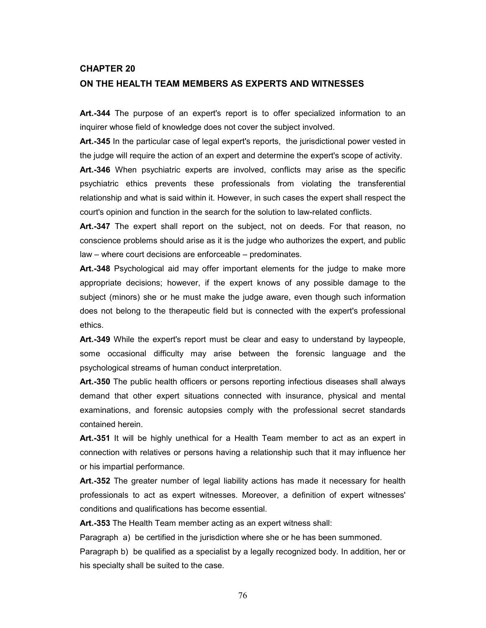### ON THE HEALTH TEAM MEMBERS AS EXPERTS AND WITNESSES

Art.-344 The purpose of an expert's report is to offer specialized information to an inquirer whose field of knowledge does not cover the subject involved.

Art.-345 In the particular case of legal expert's reports, the jurisdictional power vested in the judge will require the action of an expert and determine the expert's scope of activity.

Art.-346 When psychiatric experts are involved, conflicts may arise as the specific psychiatric ethics prevents these professionals from violating the transferential relationship and what is said within it. However, in such cases the expert shall respect the court's opinion and function in the search for the solution to law-related conflicts.

Art.-347 The expert shall report on the subject, not on deeds. For that reason, no conscience problems should arise as it is the judge who authorizes the expert, and public law – where court decisions are enforceable – predominates.

Art.-348 Psychological aid may offer important elements for the judge to make more appropriate decisions; however, if the expert knows of any possible damage to the subject (minors) she or he must make the judge aware, even though such information does not belong to the therapeutic field but is connected with the expert's professional ethics.

Art.-349 While the expert's report must be clear and easy to understand by laypeople, some occasional difficulty may arise between the forensic language and the psychological streams of human conduct interpretation.

Art.-350 The public health officers or persons reporting infectious diseases shall always demand that other expert situations connected with insurance, physical and mental examinations, and forensic autopsies comply with the professional secret standards contained herein.

Art.-351 It will be highly unethical for a Health Team member to act as an expert in connection with relatives or persons having a relationship such that it may influence her or his impartial performance.

Art.-352 The greater number of legal liability actions has made it necessary for health professionals to act as expert witnesses. Moreover, a definition of expert witnesses' conditions and qualifications has become essential.

Art.-353 The Health Team member acting as an expert witness shall:

Paragraph a) be certified in the jurisdiction where she or he has been summoned.

Paragraph b) be qualified as a specialist by a legally recognized body. In addition, her or his specialty shall be suited to the case.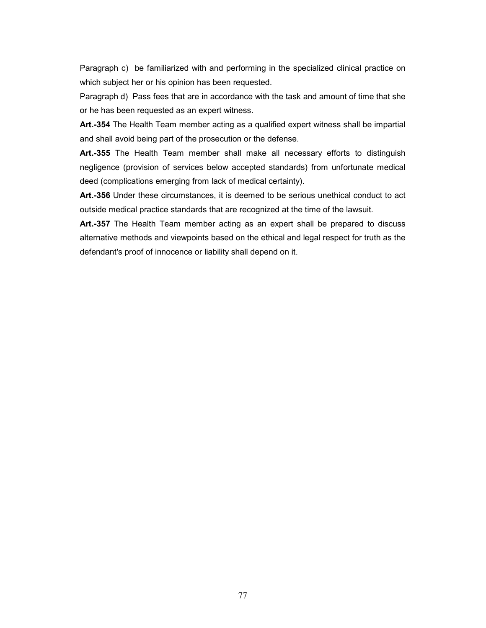Paragraph c) be familiarized with and performing in the specialized clinical practice on which subject her or his opinion has been requested.

Paragraph d) Pass fees that are in accordance with the task and amount of time that she or he has been requested as an expert witness.

Art.-354 The Health Team member acting as a qualified expert witness shall be impartial and shall avoid being part of the prosecution or the defense.

Art.-355 The Health Team member shall make all necessary efforts to distinguish negligence (provision of services below accepted standards) from unfortunate medical deed (complications emerging from lack of medical certainty).

Art.-356 Under these circumstances, it is deemed to be serious unethical conduct to act outside medical practice standards that are recognized at the time of the lawsuit.

Art.-357 The Health Team member acting as an expert shall be prepared to discuss alternative methods and viewpoints based on the ethical and legal respect for truth as the defendant's proof of innocence or liability shall depend on it.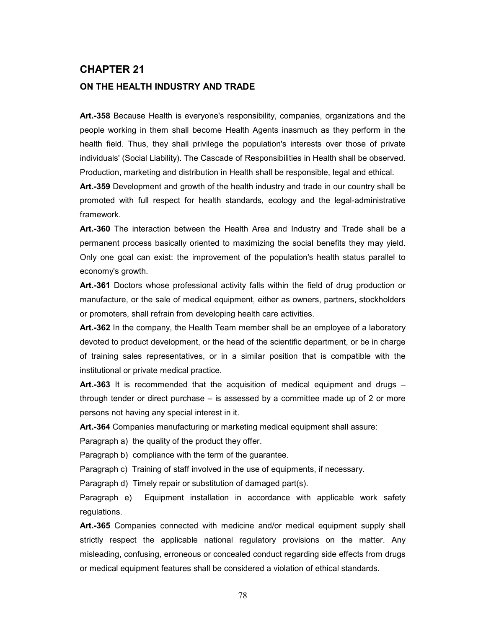## **CHAPTER 21** ON THE HEALTH INDUSTRY AND TRADE

Art.-358 Because Health is everyone's responsibility, companies, organizations and the people working in them shall become Health Agents inasmuch as they perform in the health field. Thus, they shall privilege the population's interests over those of private individuals' (Social Liability). The Cascade of Responsibilities in Health shall be observed. Production, marketing and distribution in Health shall be responsible, legal and ethical.

Art.-359 Development and growth of the health industry and trade in our country shall be promoted with full respect for health standards, ecology and the legal-administrative framework.

Art.-360 The interaction between the Health Area and Industry and Trade shall be a permanent process basically oriented to maximizing the social benefits they may yield. Only one goal can exist: the improvement of the population's health status parallel to economy's growth.

Art.-361 Doctors whose professional activity falls within the field of drug production or manufacture, or the sale of medical equipment, either as owners, partners, stockholders or promoters, shall refrain from developing health care activities.

Art.-362 In the company, the Health Team member shall be an employee of a laboratory devoted to product development, or the head of the scientific department, or be in charge of training sales representatives, or in a similar position that is compatible with the institutional or private medical practice.

Art.-363 It is recommended that the acquisition of medical equipment and drugs through tender or direct purchase – is assessed by a committee made up of 2 or more persons not having any special interest in it.

Art.-364 Companies manufacturing or marketing medical equipment shall assure:

Paragraph a) the quality of the product they offer.

Paragraph b) compliance with the term of the guarantee.

Paragraph c) Training of staff involved in the use of equipments, if necessary.

Paragraph d) Timely repair or substitution of damaged part(s).

Paragraph e) Equipment installation in accordance with applicable work safety requlations.

Art.-365 Companies connected with medicine and/or medical equipment supply shall strictly respect the applicable national regulatory provisions on the matter. Any misleading, confusing, erroneous or concealed conduct regarding side effects from drugs or medical equipment features shall be considered a violation of ethical standards.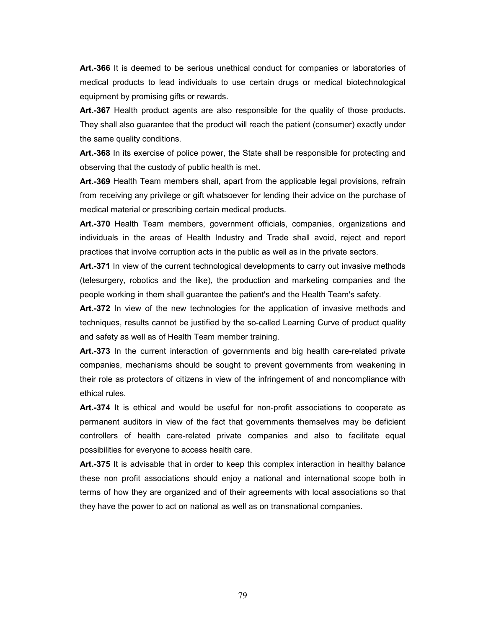Art.-366 It is deemed to be serious unethical conduct for companies or laboratories of medical products to lead individuals to use certain drugs or medical biotechnological equipment by promising gifts or rewards.

Art.-367 Health product agents are also responsible for the quality of those products. They shall also guarantee that the product will reach the patient (consumer) exactly under the same quality conditions.

Art.-368 In its exercise of police power, the State shall be responsible for protecting and observing that the custody of public health is met.

Art.-369 Health Team members shall, apart from the applicable legal provisions, refrain from receiving any privilege or gift whatsoever for lending their advice on the purchase of medical material or prescribing certain medical products.

Art.-370 Health Team members, government officials, companies, organizations and individuals in the areas of Health Industry and Trade shall avoid, reject and report practices that involve corruption acts in the public as well as in the private sectors.

Art.-371 In view of the current technological developments to carry out invasive methods (telesurgery, robotics and the like), the production and marketing companies and the people working in them shall guarantee the patient's and the Health Team's safety.

Art.-372 In view of the new technologies for the application of invasive methods and techniques, results cannot be justified by the so-called Learning Curve of product quality and safety as well as of Health Team member training.

Art.-373 In the current interaction of governments and big health care-related private companies, mechanisms should be sought to prevent governments from weakening in their role as protectors of citizens in view of the infringement of and noncompliance with ethical rules.

Art.-374 It is ethical and would be useful for non-profit associations to cooperate as permanent auditors in view of the fact that governments themselves may be deficient controllers of health care-related private companies and also to facilitate equal possibilities for everyone to access health care.

Art.-375 It is advisable that in order to keep this complex interaction in healthy balance these non profit associations should enjoy a national and international scope both in terms of how they are organized and of their agreements with local associations so that they have the power to act on national as well as on transnational companies.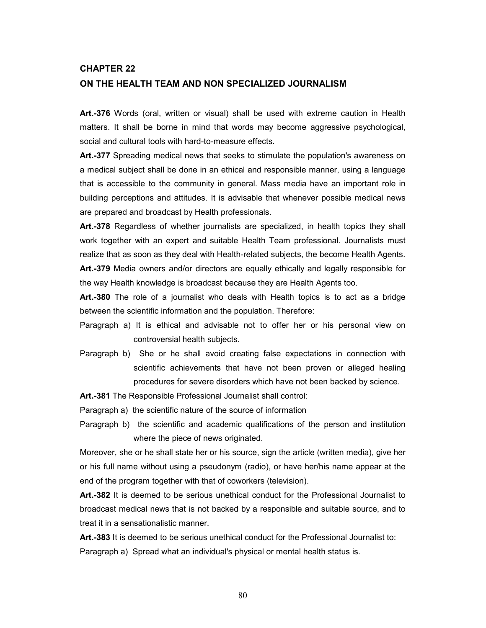#### ON THE HEALTH TEAM AND NON SPECIALIZED JOURNALISM

Art.-376 Words (oral, written or visual) shall be used with extreme caution in Health matters. It shall be borne in mind that words may become aggressive psychological, social and cultural tools with hard-to-measure effects.

Art.-377 Spreading medical news that seeks to stimulate the population's awareness on a medical subject shall be done in an ethical and responsible manner, using a language that is accessible to the community in general. Mass media have an important role in building perceptions and attitudes. It is advisable that whenever possible medical news are prepared and broadcast by Health professionals.

Art.-378 Regardless of whether journalists are specialized, in health topics they shall work together with an expert and suitable Health Team professional. Journalists must realize that as soon as they deal with Health-related subjects, the become Health Agents.

Art.-379 Media owners and/or directors are equally ethically and legally responsible for the way Health knowledge is broadcast because they are Health Agents too.

Art.-380 The role of a journalist who deals with Health topics is to act as a bridge between the scientific information and the population. Therefore:

- Paragraph a) It is ethical and advisable not to offer her or his personal view on controversial health subjects.
- Paragraph b) She or he shall avoid creating false expectations in connection with scientific achievements that have not been proven or alleged healing procedures for severe disorders which have not been backed by science.

Art.-381 The Responsible Professional Journalist shall control:

Paragraph a) the scientific nature of the source of information

Paragraph b) the scientific and academic qualifications of the person and institution where the piece of news originated.

Moreover, she or he shall state her or his source, sign the article (written media), give her or his full name without using a pseudonym (radio), or have her/his name appear at the end of the program together with that of coworkers (television).

Art.-382 It is deemed to be serious unethical conduct for the Professional Journalist to broadcast medical news that is not backed by a responsible and suitable source, and to treat it in a sensationalistic manner.

Art.-383 It is deemed to be serious unethical conduct for the Professional Journalist to: Paragraph a) Spread what an individual's physical or mental health status is.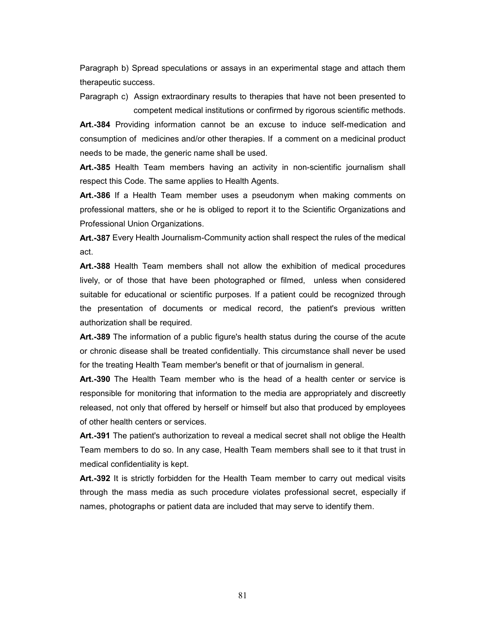Paragraph b) Spread speculations or assays in an experimental stage and attach them therapeutic success.

Paragraph c) Assign extraordinary results to therapies that have not been presented to competent medical institutions or confirmed by rigorous scientific methods.

Art.-384 Providing information cannot be an excuse to induce self-medication and consumption of medicines and/or other therapies. If a comment on a medicinal product needs to be made, the generic name shall be used.

Art.-385 Health Team members having an activity in non-scientific journalism shall respect this Code. The same applies to Health Agents.

Art.-386 If a Health Team member uses a pseudonym when making comments on professional matters, she or he is obliged to report it to the Scientific Organizations and Professional Union Organizations.

Art.-387 Every Health Journalism-Community action shall respect the rules of the medical act.

Art.-388 Health Team members shall not allow the exhibition of medical procedures lively, or of those that have been photographed or filmed, unless when considered suitable for educational or scientific purposes. If a patient could be recognized through the presentation of documents or medical record, the patient's previous written authorization shall be required.

Art.-389 The information of a public figure's health status during the course of the acute or chronic disease shall be treated confidentially. This circumstance shall never be used for the treating Health Team member's benefit or that of journalism in general.

Art.-390 The Health Team member who is the head of a health center or service is responsible for monitoring that information to the media are appropriately and discreetly released, not only that offered by herself or himself but also that produced by employees of other health centers or services.

Art.-391 The patient's authorization to reveal a medical secret shall not oblige the Health Team members to do so. In any case, Health Team members shall see to it that trust in medical confidentiality is kept.

Art.-392 It is strictly forbidden for the Health Team member to carry out medical visits through the mass media as such procedure violates professional secret, especially if names, photographs or patient data are included that may serve to identify them.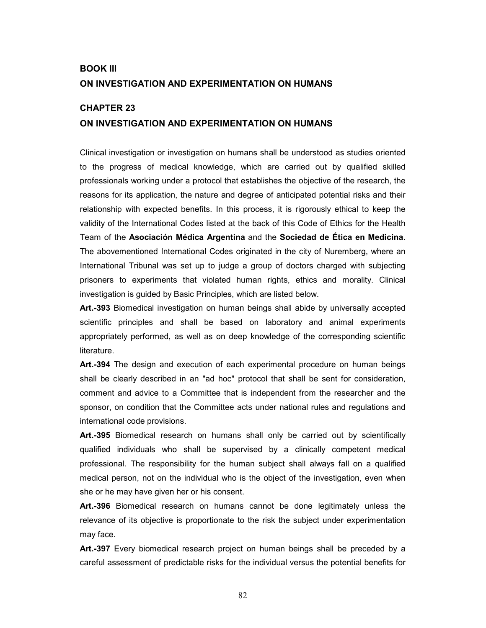## **BOOK III** ON INVESTIGATION AND EXPERIMENTATION ON HUMANS

## **CHAPTER 23**

### ON INVESTIGATION AND EXPERIMENTATION ON HUMANS

Clinical investigation or investigation on humans shall be understood as studies oriented to the progress of medical knowledge, which are carried out by qualified skilled professionals working under a protocol that establishes the objective of the research, the reasons for its application, the nature and degree of anticipated potential risks and their relationship with expected benefits. In this process, it is rigorously ethical to keep the validity of the International Codes listed at the back of this Code of Ethics for the Health Team of the Asociación Médica Argentina and the Sociedad de Ética en Medicina. The abovementioned International Codes originated in the city of Nuremberg, where an International Tribunal was set up to judge a group of doctors charged with subjecting prisoners to experiments that violated human rights, ethics and morality. Clinical investigation is guided by Basic Principles, which are listed below.

Art.-393 Biomedical investigation on human beings shall abide by universally accepted scientific principles and shall be based on laboratory and animal experiments appropriately performed, as well as on deep knowledge of the corresponding scientific literature.

Art.-394 The design and execution of each experimental procedure on human beings shall be clearly described in an "ad hoc" protocol that shall be sent for consideration, comment and advice to a Committee that is independent from the researcher and the sponsor, on condition that the Committee acts under national rules and regulations and international code provisions.

Art.-395 Biomedical research on humans shall only be carried out by scientifically qualified individuals who shall be supervised by a clinically competent medical professional. The responsibility for the human subject shall always fall on a qualified medical person, not on the individual who is the object of the investigation, even when she or he may have given her or his consent.

Art.-396 Biomedical research on humans cannot be done legitimately unless the relevance of its objective is proportionate to the risk the subject under experimentation may face.

Art.-397 Every biomedical research project on human beings shall be preceded by a careful assessment of predictable risks for the individual versus the potential benefits for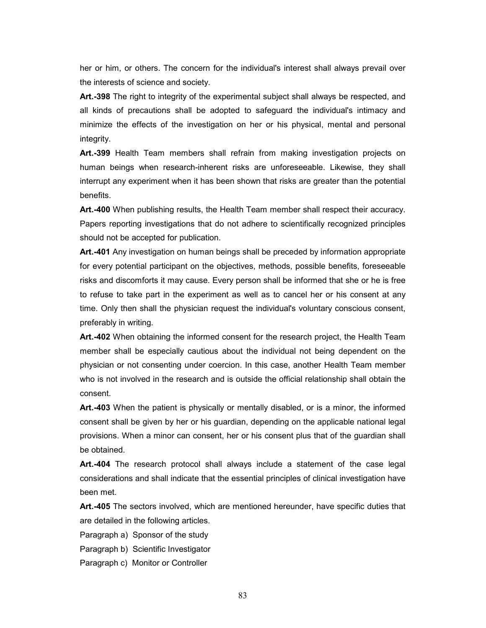her or him, or others. The concern for the individual's interest shall always prevail over the interests of science and society.

Art.-398 The right to integrity of the experimental subject shall always be respected, and all kinds of precautions shall be adopted to safeguard the individual's intimacy and minimize the effects of the investigation on her or his physical, mental and personal integrity.

Art.-399 Health Team members shall refrain from making investigation projects on human beings when research-inherent risks are unforeseeable. Likewise, they shall interrupt any experiment when it has been shown that risks are greater than the potential **benefits** 

Art.-400 When publishing results, the Health Team member shall respect their accuracy. Papers reporting investigations that do not adhere to scientifically recognized principles should not be accepted for publication.

Art.-401 Any investigation on human beings shall be preceded by information appropriate for every potential participant on the objectives, methods, possible benefits, foreseeable risks and discomforts it may cause. Every person shall be informed that she or he is free to refuse to take part in the experiment as well as to cancel her or his consent at any time. Only then shall the physician request the individual's voluntary conscious consent, preferably in writing.

Art.-402 When obtaining the informed consent for the research project, the Health Team member shall be especially cautious about the individual not being dependent on the physician or not consenting under coercion. In this case, another Health Team member who is not involved in the research and is outside the official relationship shall obtain the consent.

Art.-403 When the patient is physically or mentally disabled, or is a minor, the informed consent shall be given by her or his guardian, depending on the applicable national legal provisions. When a minor can consent, her or his consent plus that of the guardian shall be obtained.

Art.-404 The research protocol shall always include a statement of the case legal considerations and shall indicate that the essential principles of clinical investigation have been met.

Art.-405 The sectors involved, which are mentioned hereunder, have specific duties that are detailed in the following articles.

Paragraph a) Sponsor of the study

Paragraph b) Scientific Investigator

Paragraph c) Monitor or Controller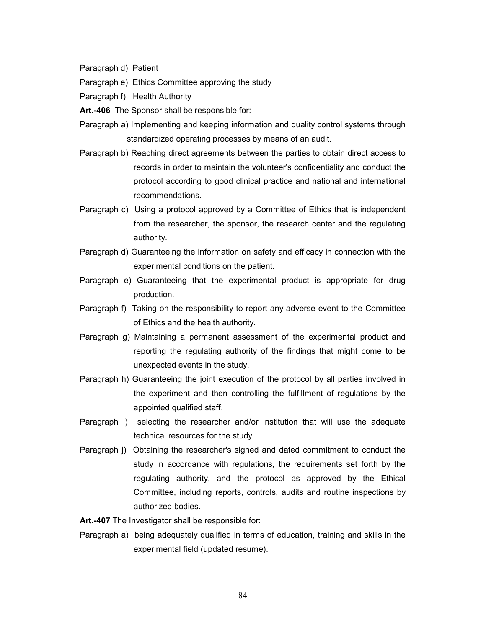Paragraph d) Patient

Paragraph e) Ethics Committee approving the study

Paragraph f) Health Authority

Art.-406 The Sponsor shall be responsible for:

Paragraph a) Implementing and keeping information and quality control systems through standardized operating processes by means of an audit.

- Paragraph b) Reaching direct agreements between the parties to obtain direct access to records in order to maintain the volunteer's confidentiality and conduct the protocol according to good clinical practice and national and international recommendations.
- Paragraph c) Using a protocol approved by a Committee of Ethics that is independent from the researcher, the sponsor, the research center and the regulating authority.
- Paragraph d) Guaranteeing the information on safety and efficacy in connection with the experimental conditions on the patient.
- Paragraph e) Guaranteeing that the experimental product is appropriate for drug production.
- Paragraph f) Taking on the responsibility to report any adverse event to the Committee of Ethics and the health authority.
- Paragraph g) Maintaining a permanent assessment of the experimental product and reporting the regulating authority of the findings that might come to be unexpected events in the study.
- Paragraph h) Guaranteeing the joint execution of the protocol by all parties involved in the experiment and then controlling the fulfillment of regulations by the appointed qualified staff.
- Paragraph i) selecting the researcher and/or institution that will use the adequate technical resources for the study.
- Paragraph i) Obtaining the researcher's signed and dated commitment to conduct the study in accordance with regulations, the reguirements set forth by the regulating authority, and the protocol as approved by the Ethical Committee, including reports, controls, audits and routine inspections by authorized bodies.

Art.-407 The Investigator shall be responsible for:

Paragraph a) being adequately qualified in terms of education, training and skills in the experimental field (updated resume).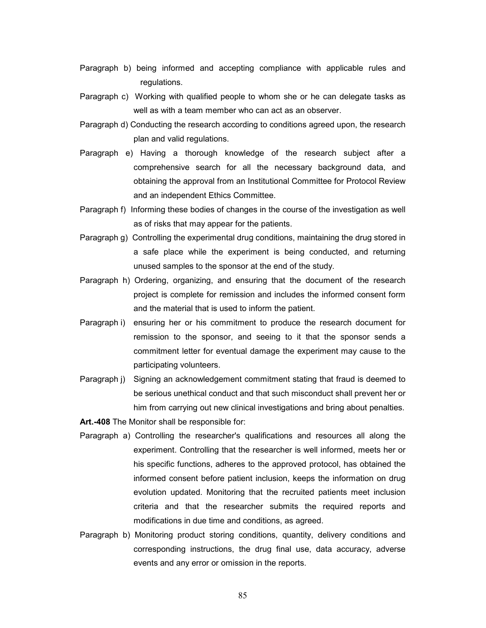- Paragraph b) being informed and accepting compliance with applicable rules and regulations.
- Paragraph c) Working with qualified people to whom she or he can delegate tasks as well as with a team member who can act as an observer.
- Paragraph d) Conducting the research according to conditions agreed upon, the research plan and valid regulations.
- Paragraph e) Having a thorough knowledge of the research subject after a comprehensive search for all the necessary background data, and obtaining the approval from an Institutional Committee for Protocol Review and an independent Ethics Committee.
- Paragraph f) Informing these bodies of changes in the course of the investigation as well as of risks that may appear for the patients.
- Paragraph g) Controlling the experimental drug conditions, maintaining the drug stored in a safe place while the experiment is being conducted, and returning unused samples to the sponsor at the end of the study.
- Paragraph h) Ordering, organizing, and ensuring that the document of the research project is complete for remission and includes the informed consent form and the material that is used to inform the patient.
- Paragraph i) ensuring her or his commitment to produce the research document for remission to the sponsor, and seeing to it that the sponsor sends a commitment letter for eventual damage the experiment may cause to the participating volunteers.
- Paragraph j) Signing an acknowledgement commitment stating that fraud is deemed to be serious unethical conduct and that such misconduct shall prevent her or him from carrying out new clinical investigations and bring about penalties.

Art.-408 The Monitor shall be responsible for:

- Paragraph a) Controlling the researcher's qualifications and resources all along the experiment. Controlling that the researcher is well informed, meets her or his specific functions, adheres to the approved protocol, has obtained the informed consent before patient inclusion, keeps the information on drug evolution updated. Monitoring that the recruited patients meet inclusion criteria and that the researcher submits the required reports and modifications in due time and conditions, as agreed.
- Paragraph b) Monitoring product storing conditions, quantity, delivery conditions and corresponding instructions, the drug final use, data accuracy, adverse events and any error or omission in the reports.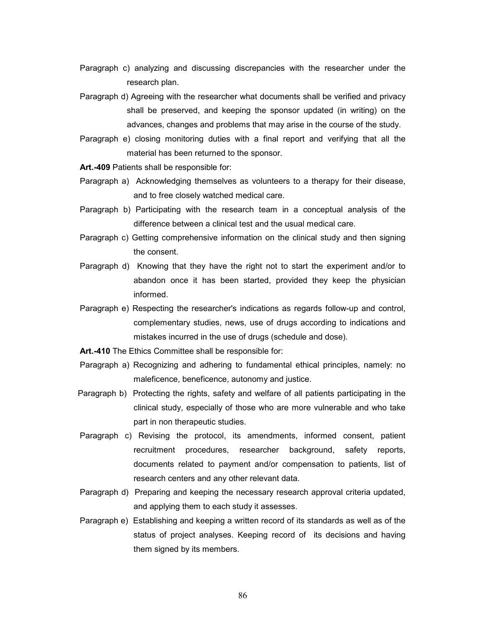- Paragraph c) analyzing and discussing discrepancies with the researcher under the research plan.
- Paragraph d) Agreeing with the researcher what documents shall be verified and privacy shall be preserved, and keeping the sponsor updated (in writing) on the advances, changes and problems that may arise in the course of the study.
- Paragraph e) closing monitoring duties with a final report and verifying that all the material has been returned to the sponsor.
- Art.-409 Patients shall be responsible for:
- Paragraph a) Acknowledging themselves as volunteers to a therapy for their disease, and to free closely watched medical care.
- Paragraph b) Participating with the research team in a conceptual analysis of the difference between a clinical test and the usual medical care.
- Paragraph c) Getting comprehensive information on the clinical study and then signing the consent
- Paragraph d) Knowing that they have the right not to start the experiment and/or to abandon once it has been started, provided they keep the physician informed.
- Paragraph e) Respecting the researcher's indications as regards follow-up and control, complementary studies, news, use of drugs according to indications and mistakes incurred in the use of drugs (schedule and dose).
- Art.-410 The Ethics Committee shall be responsible for:
- Paragraph a) Recognizing and adhering to fundamental ethical principles, namely: no maleficence, beneficence, autonomy and justice.
- Paragraph b) Protecting the rights, safety and welfare of all patients participating in the clinical study, especially of those who are more vulnerable and who take part in non therapeutic studies.
- Paragraph c) Revising the protocol, its amendments, informed consent, patient recruitment procedures, researcher background, safety reports. documents related to payment and/or compensation to patients, list of research centers and any other relevant data.
- Paragraph d) Preparing and keeping the necessary research approval criteria updated, and applying them to each study it assesses.
- Paragraph e) Establishing and keeping a written record of its standards as well as of the status of project analyses. Keeping record of its decisions and having them signed by its members.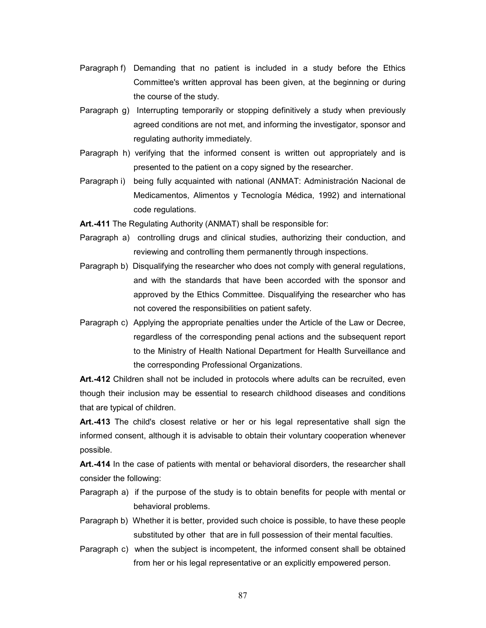- Paragraph f) Demanding that no patient is included in a study before the Ethics Committee's written approval has been given, at the beginning or during the course of the study.
- Paragraph g) Interrupting temporarily or stopping definitively a study when previously agreed conditions are not met, and informing the investigator, sponsor and regulating authority immediately.
- Paragraph h) verifying that the informed consent is written out appropriately and is presented to the patient on a copy signed by the researcher.
- Paragraph i) being fully acquainted with national (ANMAT: Administración Nacional de Medicamentos, Alimentos y Tecnología Médica, 1992) and international code regulations.
- Art.-411 The Regulating Authority (ANMAT) shall be responsible for:
- Paragraph a) controlling drugs and clinical studies, authorizing their conduction, and reviewing and controlling them permanently through inspections.
- Paragraph b) Disqualifying the researcher who does not comply with general regulations, and with the standards that have been accorded with the sponsor and approved by the Ethics Committee. Disqualifying the researcher who has not covered the responsibilities on patient safety.
- Paragraph c) Applying the appropriate penalties under the Article of the Law or Decree, regardless of the corresponding penal actions and the subsequent report to the Ministry of Health National Department for Health Surveillance and the corresponding Professional Organizations.

Art.-412 Children shall not be included in protocols where adults can be recruited, even though their inclusion may be essential to research childhood diseases and conditions that are typical of children.

Art.-413 The child's closest relative or her or his legal representative shall sign the informed consent, although it is advisable to obtain their voluntary cooperation whenever possible.

Art.-414 In the case of patients with mental or behavioral disorders, the researcher shall consider the following:

- Paragraph a) if the purpose of the study is to obtain benefits for people with mental or behavioral problems.
- Paragraph b) Whether it is better, provided such choice is possible, to have these people substituted by other that are in full possession of their mental faculties.
- Paragraph c) when the subject is incompetent, the informed consent shall be obtained from her or his legal representative or an explicitly empowered person.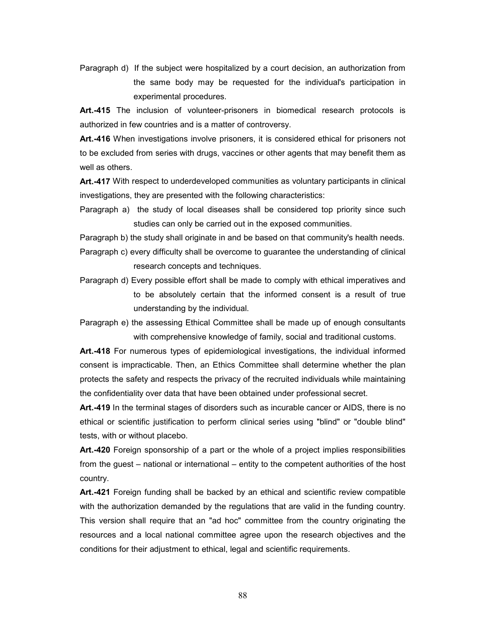Paragraph d) If the subject were hospitalized by a court decision, an authorization from the same body may be requested for the individual's participation in experimental procedures.

Art.-415 The inclusion of volunteer-prisoners in biomedical research protocols is authorized in few countries and is a matter of controversy.

Art.-416 When investigations involve prisoners, it is considered ethical for prisoners not to be excluded from series with drugs, vaccines or other agents that may benefit them as well as others.

Art.-417 With respect to underdeveloped communities as voluntary participants in clinical investigations, they are presented with the following characteristics:

Paragraph a) the study of local diseases shall be considered top priority since such studies can only be carried out in the exposed communities.

Paragraph b) the study shall originate in and be based on that community's health needs.

- Paragraph c) every difficulty shall be overcome to guarantee the understanding of clinical research concepts and techniques.
- Paragraph d) Every possible effort shall be made to comply with ethical imperatives and to be absolutely certain that the informed consent is a result of true understanding by the individual.

Paragraph e) the assessing Ethical Committee shall be made up of enough consultants with comprehensive knowledge of family, social and traditional customs.

Art.-418 For numerous types of epidemiological investigations, the individual informed consent is impracticable. Then, an Ethics Committee shall determine whether the plan protects the safety and respects the privacy of the recruited individuals while maintaining the confidentiality over data that have been obtained under professional secret.

Art.-419 In the terminal stages of disorders such as incurable cancer or AIDS, there is no ethical or scientific justification to perform clinical series using "blind" or "double blind" tests, with or without placebo.

Art.-420 Foreign sponsorship of a part or the whole of a project implies responsibilities from the quest – national or international – entity to the competent authorities of the host country.

Art.-421 Foreign funding shall be backed by an ethical and scientific review compatible with the authorization demanded by the regulations that are valid in the funding country. This version shall require that an "ad hoc" committee from the country originating the resources and a local national committee agree upon the research objectives and the conditions for their adjustment to ethical, legal and scientific requirements.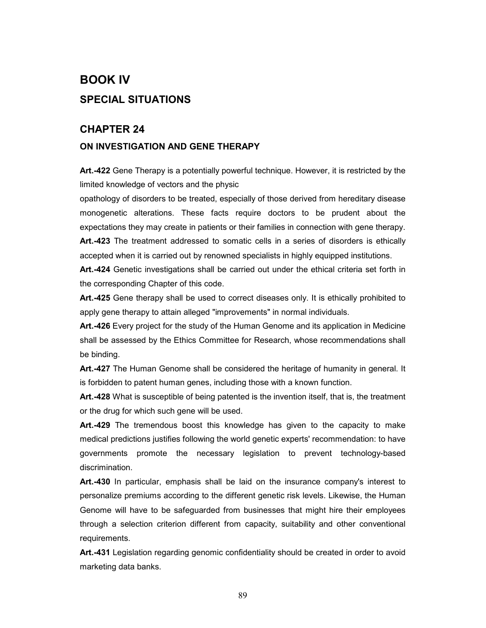# **BOOK IV SPECIAL SITUATIONS**

## **CHAPTER 24**

## ON INVESTIGATION AND GENE THERAPY

Art.-422 Gene Therapy is a potentially powerful technique. However, it is restricted by the limited knowledge of vectors and the physic

opathology of disorders to be treated, especially of those derived from hereditary disease monogenetic alterations. These facts require doctors to be prudent about the expectations they may create in patients or their families in connection with gene therapy. Art.-423 The treatment addressed to somatic cells in a series of disorders is ethically accepted when it is carried out by renowned specialists in highly equipped institutions.

Art.-424 Genetic investigations shall be carried out under the ethical criteria set forth in the corresponding Chapter of this code.

Art.-425 Gene therapy shall be used to correct diseases only. It is ethically prohibited to apply gene therapy to attain alleged "improvements" in normal individuals.

Art.-426 Every project for the study of the Human Genome and its application in Medicine shall be assessed by the Ethics Committee for Research, whose recommendations shall be binding.

Art.-427 The Human Genome shall be considered the heritage of humanity in general. It is forbidden to patent human genes, including those with a known function.

Art.-428 What is susceptible of being patented is the invention itself, that is, the treatment or the drug for which such gene will be used.

Art.-429 The tremendous boost this knowledge has given to the capacity to make medical predictions justifies following the world genetic experts' recommendation: to have governments promote the necessary legislation to prevent technology-based discrimination.

Art.-430 In particular, emphasis shall be laid on the insurance company's interest to personalize premiums according to the different genetic risk levels. Likewise, the Human Genome will have to be safeguarded from businesses that might hire their employees through a selection criterion different from capacity, suitability and other conventional requirements.

**Art.-431** Legislation regarding genomic confidentiality should be created in order to avoid marketing data banks.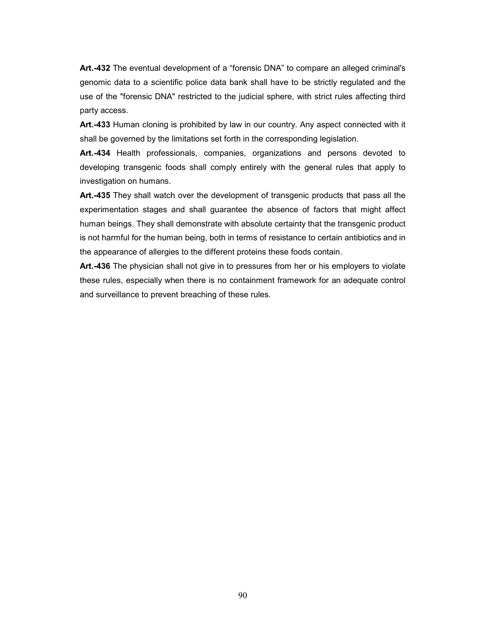Art.-432 The eventual development of a "forensic DNA" to compare an alleged criminal's genomic data to a scientific police data bank shall have to be strictly regulated and the use of the "forensic DNA" restricted to the judicial sphere, with strict rules affecting third party access.

Art.-433 Human cloning is prohibited by law in our country. Any aspect connected with it shall be governed by the limitations set forth in the corresponding legislation.

Art.-434 Health professionals, companies, organizations and persons devoted to developing transgenic foods shall comply entirely with the general rules that apply to investigation on humans.

Art.-435 They shall watch over the development of transgenic products that pass all the experimentation stages and shall guarantee the absence of factors that might affect human beings. They shall demonstrate with absolute certainty that the transgenic product is not harmful for the human being, both in terms of resistance to certain antibiotics and in the appearance of allergies to the different proteins these foods contain.

Art.-436 The physician shall not give in to pressures from her or his employers to violate these rules, especially when there is no containment framework for an adequate control and surveillance to prevent breaching of these rules.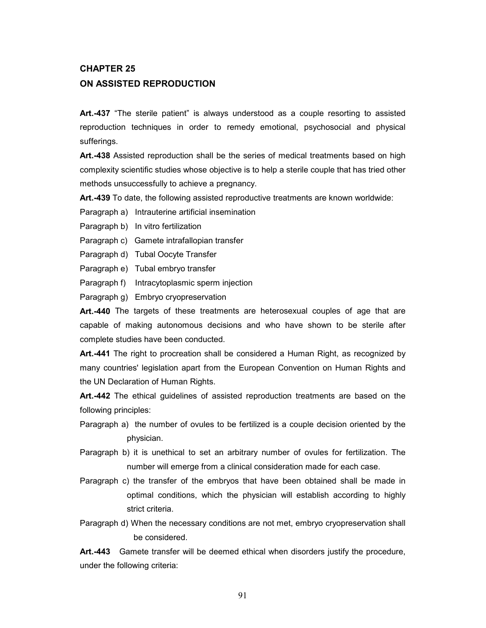#### ON ASSISTED REPRODUCTION

Art.-437 "The sterile patient" is always understood as a couple resorting to assisted reproduction techniques in order to remedy emotional, psychosocial and physical sufferings.

Art.-438 Assisted reproduction shall be the series of medical treatments based on high complexity scientific studies whose objective is to help a sterile couple that has tried other methods unsuccessfully to achieve a pregnancy.

Art.-439 To date, the following assisted reproductive treatments are known worldwide:

Paragraph a) Intrauterine artificial insemination

Paragraph b) In vitro fertilization

Paragraph c) Gamete intrafallopian transfer

Paragraph d) Tubal Oocyte Transfer

Paragraph e) Tubal embryo transfer

Paragraph f) Intracytoplasmic sperm injection

Paragraph g) Embryo cryopreservation

Art.-440 The targets of these treatments are heterosexual couples of age that are capable of making autonomous decisions and who have shown to be sterile after complete studies have been conducted.

Art.-441 The right to procreation shall be considered a Human Right, as recognized by many countries' legislation apart from the European Convention on Human Rights and the UN Declaration of Human Rights.

Art.-442 The ethical guidelines of assisted reproduction treatments are based on the following principles:

Paragraph a) the number of ovules to be fertilized is a couple decision oriented by the physician.

Paragraph b) it is unethical to set an arbitrary number of ovules for fertilization. The number will emerge from a clinical consideration made for each case.

Paragraph c) the transfer of the embryos that have been obtained shall be made in optimal conditions, which the physician will establish according to highly strict criteria.

Paragraph d) When the necessary conditions are not met, embryo cryopreservation shall be considered.

Art.-443 Gamete transfer will be deemed ethical when disorders justify the procedure, under the following criteria:

91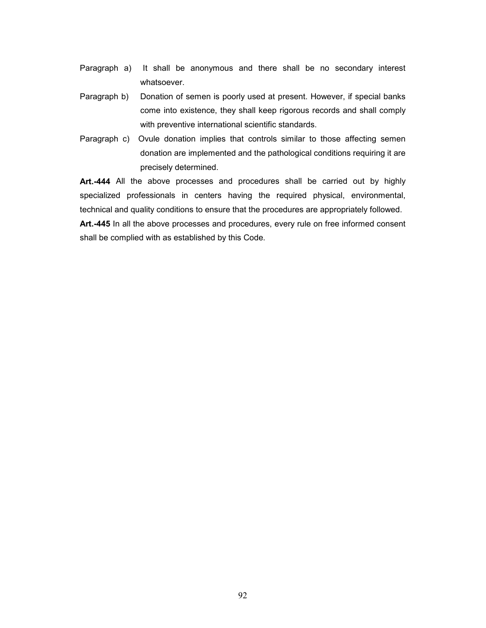- Paragraph a) It shall be anonymous and there shall be no secondary interest whatsoever.
- Paragraph b) Donation of semen is poorly used at present. However, if special banks come into existence, they shall keep rigorous records and shall comply with preventive international scientific standards.
- Paragraph c) Ovule donation implies that controls similar to those affecting semen donation are implemented and the pathological conditions requiring it are precisely determined.

Art.-444 All the above processes and procedures shall be carried out by highly specialized professionals in centers having the required physical, environmental, technical and quality conditions to ensure that the procedures are appropriately followed. Art.-445 In all the above processes and procedures, every rule on free informed consent shall be complied with as established by this Code.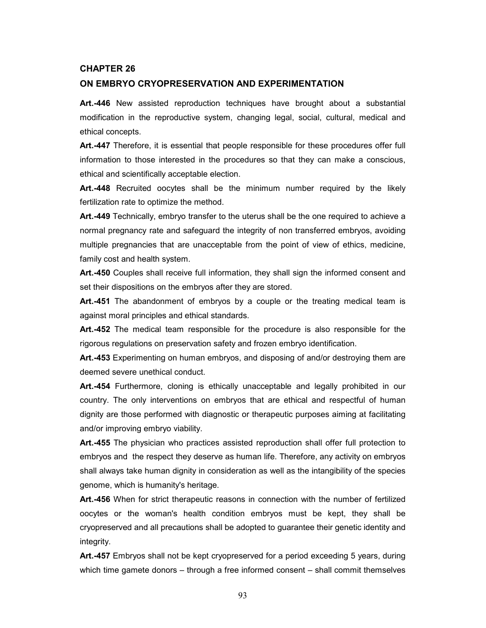#### ON EMBRYO CRYOPRESERVATION AND EXPERIMENTATION

Art.-446 New assisted reproduction techniques have brought about a substantial modification in the reproductive system, changing legal, social, cultural, medical and ethical concepts.

Art.-447 Therefore, it is essential that people responsible for these procedures offer full information to those interested in the procedures so that they can make a conscious, ethical and scientifically acceptable election.

Art.-448 Recruited oocytes shall be the minimum number required by the likely fertilization rate to optimize the method.

Art.-449 Technically, embryo transfer to the uterus shall be the one required to achieve a normal pregnancy rate and safeguard the integrity of non transferred embryos, avoiding multiple pregnancies that are unacceptable from the point of view of ethics, medicine, family cost and health system.

Art.-450 Couples shall receive full information, they shall sign the informed consent and set their dispositions on the embryos after they are stored.

Art.-451 The abandonment of embryos by a couple or the treating medical team is against moral principles and ethical standards.

Art.-452 The medical team responsible for the procedure is also responsible for the rigorous regulations on preservation safety and frozen embryo identification.

Art.-453 Experimenting on human embryos, and disposing of and/or destroying them are deemed severe unethical conduct.

Art.-454 Furthermore, cloning is ethically unacceptable and legally prohibited in our country. The only interventions on embryos that are ethical and respectful of human dignity are those performed with diagnostic or therapeutic purposes aiming at facilitating and/or improving embryo viability.

Art.-455 The physician who practices assisted reproduction shall offer full protection to embryos and the respect they deserve as human life. Therefore, any activity on embryos shall always take human dignity in consideration as well as the intangibility of the species genome, which is humanity's heritage.

Art.-456 When for strict therapeutic reasons in connection with the number of fertilized oocytes or the woman's health condition embryos must be kept, they shall be cryopreserved and all precautions shall be adopted to guarantee their genetic identity and integrity.

Art.-457 Embryos shall not be kept cryopreserved for a period exceeding 5 years, during which time gamete donors  $-$  through a free informed consent  $-$  shall commit themselves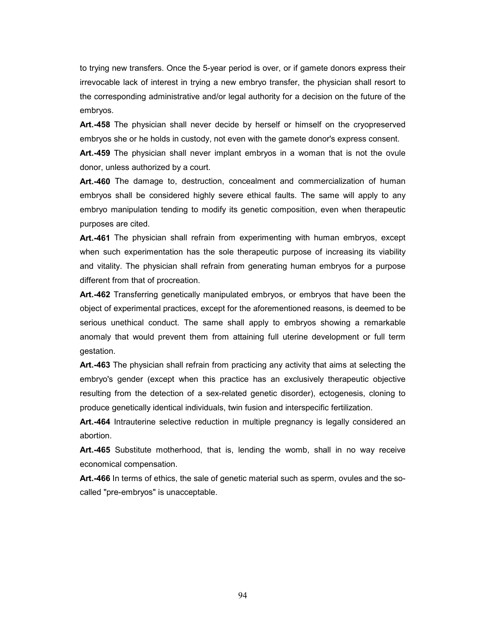to trying new transfers. Once the 5-year period is over, or if gamete donors express their irrevocable lack of interest in trying a new embryo transfer, the physician shall resort to the corresponding administrative and/or legal authority for a decision on the future of the embryos.

Art.-458 The physician shall never decide by herself or himself on the cryopreserved embryos she or he holds in custody, not even with the gamete donor's express consent.

Art.-459 The physician shall never implant embryos in a woman that is not the ovule donor, unless authorized by a court.

Art.-460 The damage to, destruction, concealment and commercialization of human embryos shall be considered highly severe ethical faults. The same will apply to any embryo manipulation tending to modify its genetic composition, even when therapeutic purposes are cited.

Art.-461 The physician shall refrain from experimenting with human embryos, except when such experimentation has the sole therapeutic purpose of increasing its viability and vitality. The physician shall refrain from generating human embryos for a purpose different from that of procreation.

Art.-462 Transferring genetically manipulated embryos, or embryos that have been the object of experimental practices, except for the aforementioned reasons, is deemed to be serious unethical conduct. The same shall apply to embryos showing a remarkable anomaly that would prevent them from attaining full uterine development or full term gestation.

Art.-463 The physician shall refrain from practicing any activity that aims at selecting the embryo's gender (except when this practice has an exclusively therapeutic objective resulting from the detection of a sex-related genetic disorder), ectogenesis, cloning to produce genetically identical individuals, twin fusion and interspecific fertilization.

Art.-464 Intrauterine selective reduction in multiple pregnancy is legally considered an abortion.

Art.-465 Substitute motherhood, that is, lending the womb, shall in no way receive economical compensation.

Art.-466 In terms of ethics, the sale of genetic material such as sperm, ovules and the socalled "pre-embryos" is unacceptable.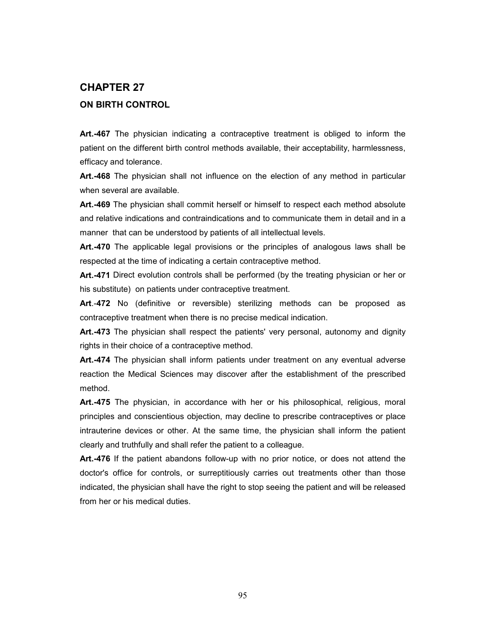## **CHAPTER 27 ON BIRTH CONTROL**

Art.-467 The physician indicating a contraceptive treatment is obliged to inform the patient on the different birth control methods available, their acceptability, harmlessness, efficacy and tolerance.

Art.-468 The physician shall not influence on the election of any method in particular when several are available.

Art.-469 The physician shall commit herself or himself to respect each method absolute and relative indications and contraindications and to communicate them in detail and in a manner that can be understood by patients of all intellectual levels.

Art.-470 The applicable legal provisions or the principles of analogous laws shall be respected at the time of indicating a certain contraceptive method.

Art.-471 Direct evolution controls shall be performed (by the treating physician or her or his substitute) on patients under contraceptive treatment.

Art.-472 No (definitive or reversible) sterilizing methods can be proposed as contraceptive treatment when there is no precise medical indication.

Art.-473 The physician shall respect the patients' very personal, autonomy and dignity rights in their choice of a contraceptive method.

Art.-474 The physician shall inform patients under treatment on any eventual adverse reaction the Medical Sciences may discover after the establishment of the prescribed method.

Art.-475 The physician, in accordance with her or his philosophical, religious, moral principles and conscientious objection, may decline to prescribe contraceptives or place intrauterine devices or other. At the same time, the physician shall inform the patient clearly and truthfully and shall refer the patient to a colleague.

Art.-476 If the patient abandons follow-up with no prior notice, or does not attend the doctor's office for controls, or surreptitiously carries out treatments other than those indicated, the physician shall have the right to stop seeing the patient and will be released from her or his medical duties.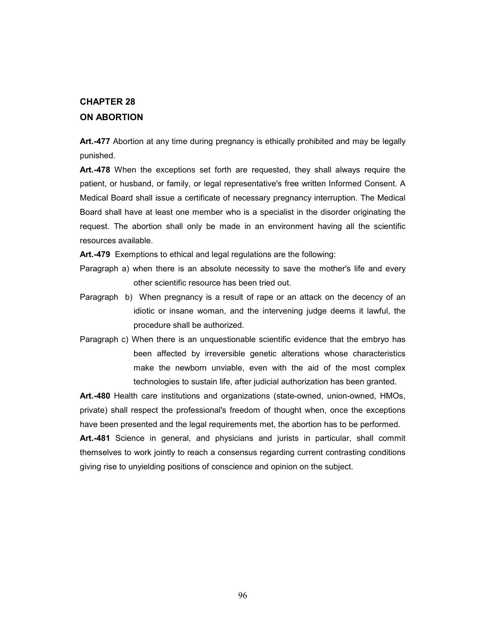## **CHAPTER 28 ON ABORTION**

Art.-477 Abortion at any time during pregnancy is ethically prohibited and may be legally punished.

Art.-478 When the exceptions set forth are requested, they shall always require the patient, or husband, or family, or legal representative's free written Informed Consent. A Medical Board shall issue a certificate of necessary pregnancy interruption. The Medical Board shall have at least one member who is a specialist in the disorder originating the request. The abortion shall only be made in an environment having all the scientific resources available.

Art.-479 Exemptions to ethical and legal regulations are the following:

- Paragraph a) when there is an absolute necessity to save the mother's life and every other scientific resource has been tried out.
- Paragraph b) When pregnancy is a result of rape or an attack on the decency of an idiotic or insane woman, and the intervening judge deems it lawful, the procedure shall be authorized.
- Paragraph c) When there is an unquestionable scientific evidence that the embryo has been affected by irreversible genetic alterations whose characteristics make the newborn unviable, even with the aid of the most complex technologies to sustain life, after judicial authorization has been granted.

Art.-480 Health care institutions and organizations (state-owned, union-owned, HMOs, private) shall respect the professional's freedom of thought when, once the exceptions have been presented and the legal requirements met, the abortion has to be performed. Art.-481 Science in general, and physicians and jurists in particular, shall commit themselves to work jointly to reach a consensus regarding current contrasting conditions giving rise to unyielding positions of conscience and opinion on the subject.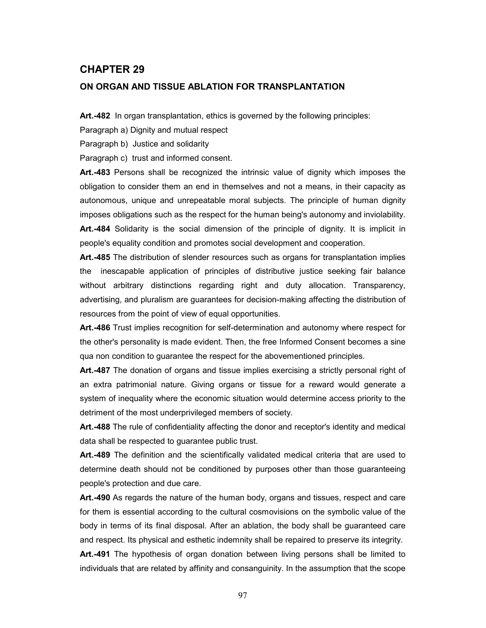#### ON ORGAN AND TISSUE ABLATION FOR TRANSPLANTATION

Art.-482 In organ transplantation, ethics is governed by the following principles:

Paragraph a) Dignity and mutual respect

Paragraph b) Justice and solidarity

Paragraph c) trust and informed consent.

Art.-483 Persons shall be recognized the intrinsic value of dignity which imposes the obligation to consider them an end in themselves and not a means, in their capacity as autonomous, unique and unrepeatable moral subjects. The principle of human dignity imposes obligations such as the respect for the human being's autonomy and inviolability. Art.-484 Solidarity is the social dimension of the principle of dignity. It is implicit in people's equality condition and promotes social development and cooperation.

Art.-485 The distribution of slender resources such as organs for transplantation implies the inescapable application of principles of distributive justice seeking fair balance without arbitrary distinctions regarding right and duty allocation. Transparency, advertising, and pluralism are quarantees for decision-making affecting the distribution of resources from the point of view of equal opportunities.

Art.-486 Trust implies recognition for self-determination and autonomy where respect for the other's personality is made evident. Then, the free Informed Consent becomes a sine qua non condition to guarantee the respect for the abovementioned principles.

Art.-487 The donation of organs and tissue implies exercising a strictly personal right of an extra patrimonial nature. Giving organs or tissue for a reward would generate a system of inequality where the economic situation would determine access priority to the detriment of the most underprivileged members of society.

Art.-488 The rule of confidentiality affecting the donor and receptor's identity and medical data shall be respected to guarantee public trust.

Art.-489 The definition and the scientifically validated medical criteria that are used to determine death should not be conditioned by purposes other than those guaranteeing people's protection and due care.

Art.-490 As regards the nature of the human body, organs and tissues, respect and care for them is essential according to the cultural cosmovisions on the symbolic value of the body in terms of its final disposal. After an ablation, the body shall be quaranteed care and respect. Its physical and esthetic indemnity shall be repaired to preserve its integrity. Art.-491 The hypothesis of organ donation between living persons shall be limited to individuals that are related by affinity and consanguinity. In the assumption that the scope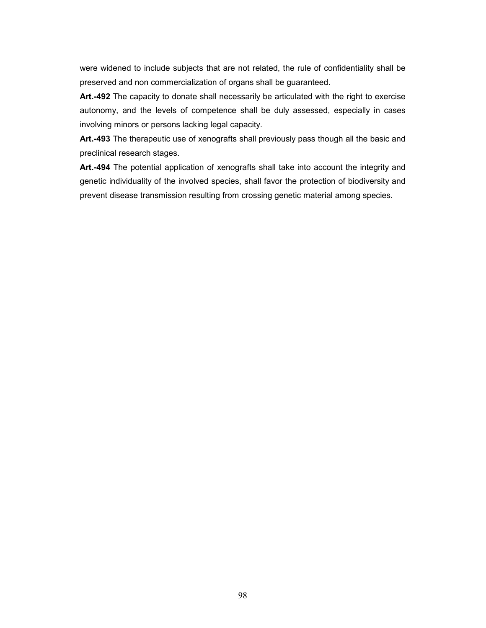were widened to include subjects that are not related, the rule of confidentiality shall be preserved and non commercialization of organs shall be guaranteed.

Art.-492 The capacity to donate shall necessarily be articulated with the right to exercise autonomy, and the levels of competence shall be duly assessed, especially in cases involving minors or persons lacking legal capacity.

Art.-493 The therapeutic use of xenografts shall previously pass though all the basic and preclinical research stages.

Art.-494 The potential application of xenografts shall take into account the integrity and genetic individuality of the involved species, shall favor the protection of biodiversity and prevent disease transmission resulting from crossing genetic material among species.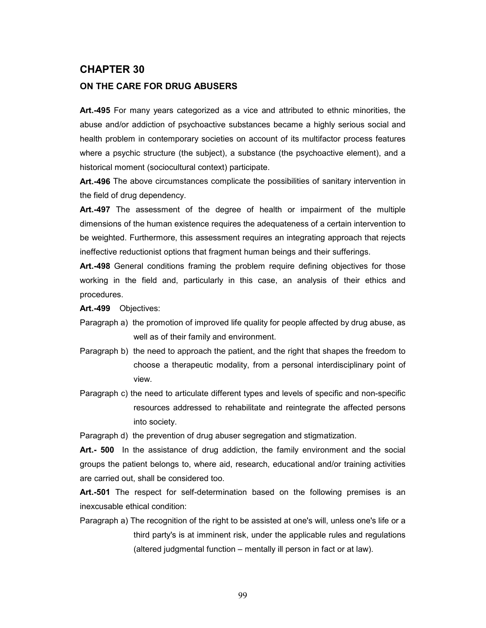#### ON THE CARE FOR DRUG ABUSERS

Art.-495 For many years categorized as a vice and attributed to ethnic minorities, the abuse and/or addiction of psychoactive substances became a highly serious social and health problem in contemporary societies on account of its multifactor process features where a psychic structure (the subject), a substance (the psychoactive element), and a historical moment (sociocultural context) participate.

Art.-496 The above circumstances complicate the possibilities of sanitary intervention in the field of drug dependency.

Art.-497 The assessment of the degree of health or impairment of the multiple dimensions of the human existence requires the adequateness of a certain intervention to be weighted. Furthermore, this assessment requires an integrating approach that rejects ineffective reductionist options that fragment human beings and their sufferings.

Art.-498 General conditions framing the problem require defining objectives for those working in the field and, particularly in this case, an analysis of their ethics and procedures.

Art.-499 Objectives:

- Paragraph a) the promotion of improved life quality for people affected by drug abuse, as well as of their family and environment.
- Paragraph b) the need to approach the patient, and the right that shapes the freedom to choose a therapeutic modality, from a personal interdisciplinary point of view.
- Paragraph c) the need to articulate different types and levels of specific and non-specific resources addressed to rehabilitate and reintegrate the affected persons into society.

Paragraph d) the prevention of drug abuser segregation and stigmatization.

Art.- 500 In the assistance of drug addiction, the family environment and the social groups the patient belongs to, where aid, research, educational and/or training activities are carried out, shall be considered too.

Art.-501 The respect for self-determination based on the following premises is an inexcusable ethical condition:

Paragraph a) The recognition of the right to be assisted at one's will, unless one's life or a third party's is at imminent risk, under the applicable rules and regulations (altered judgmental function - mentally ill person in fact or at law).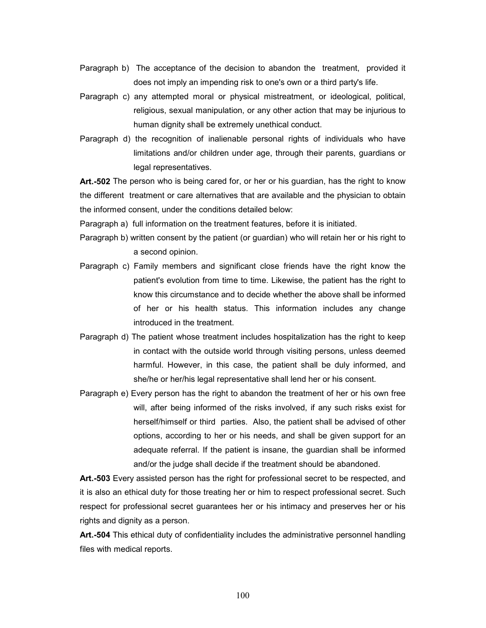- Paragraph b) The acceptance of the decision to abandon the treatment, provided it does not imply an impending risk to one's own or a third party's life.
- Paragraph c) any attempted moral or physical mistreatment, or ideological, political, religious, sexual manipulation, or any other action that may be injurious to human dignity shall be extremely unethical conduct.
- Paragraph d) the recognition of inalienable personal rights of individuals who have limitations and/or children under age, through their parents, guardians or legal representatives.

Art.-502 The person who is being cared for, or her or his guardian, has the right to know the different treatment or care alternatives that are available and the physician to obtain the informed consent, under the conditions detailed below:

Paragraph a) full information on the treatment features, before it is initiated.

- Paragraph b) written consent by the patient (or guardian) who will retain her or his right to a second opinion.
- Paragraph c) Family members and significant close friends have the right know the patient's evolution from time to time. Likewise, the patient has the right to know this circumstance and to decide whether the above shall be informed of her or his health status. This information includes any change introduced in the treatment.
- Paragraph d) The patient whose treatment includes hospitalization has the right to keep in contact with the outside world through visiting persons, unless deemed harmful. However, in this case, the patient shall be duly informed, and she/he or her/his legal representative shall lend her or his consent.
- Paragraph e) Every person has the right to abandon the treatment of her or his own free will, after being informed of the risks involved, if any such risks exist for herself/himself or third parties. Also, the patient shall be advised of other options, according to her or his needs, and shall be given support for an adequate referral. If the patient is insane, the quardian shall be informed and/or the judge shall decide if the treatment should be abandoned.

Art.-503 Every assisted person has the right for professional secret to be respected, and it is also an ethical duty for those treating her or him to respect professional secret. Such respect for professional secret guarantees her or his intimacy and preserves her or his rights and dignity as a person.

Art.-504 This ethical duty of confidentiality includes the administrative personnel handling files with medical reports.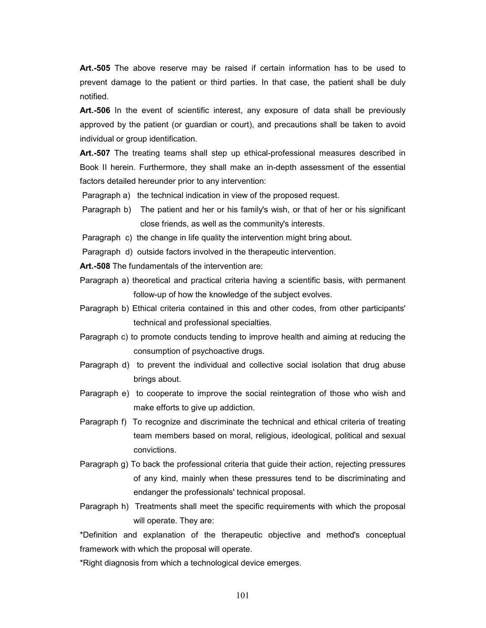Art.-505 The above reserve may be raised if certain information has to be used to prevent damage to the patient or third parties. In that case, the patient shall be duly notified.

Art.-506 In the event of scientific interest, any exposure of data shall be previously approved by the patient (or guardian or court), and precautions shall be taken to avoid individual or group identification.

Art.-507 The treating teams shall step up ethical-professional measures described in Book II herein. Furthermore, they shall make an in-depth assessment of the essential factors detailed hereunder prior to any intervention:

Paragraph a) the technical indication in view of the proposed request.

Paragraph b) The patient and her or his family's wish, or that of her or his significant close friends, as well as the community's interests.

Paragraph c) the change in life quality the intervention might bring about.

Paragraph d) outside factors involved in the therapeutic intervention.

Art.-508 The fundamentals of the intervention are:

- Paragraph a) theoretical and practical criteria having a scientific basis, with permanent follow-up of how the knowledge of the subject evolves.
- Paragraph b) Ethical criteria contained in this and other codes, from other participants' technical and professional specialties.
- Paragraph c) to promote conducts tending to improve health and aiming at reducing the consumption of psychoactive drugs.
- Paragraph d) to prevent the individual and collective social isolation that drug abuse brings about.
- Paragraph e) to cooperate to improve the social reintegration of those who wish and make efforts to give up addiction.
- Paragraph f) To recognize and discriminate the technical and ethical criteria of treating team members based on moral, religious, ideological, political and sexual convictions.
- Paragraph g) To back the professional criteria that guide their action, rejecting pressures of any kind, mainly when these pressures tend to be discriminating and endanger the professionals' technical proposal.
- Paragraph h) Treatments shall meet the specific requirements with which the proposal will operate. They are:

\*Definition and explanation of the therapeutic objective and method's conceptual framework with which the proposal will operate.

\*Right diagnosis from which a technological device emerges.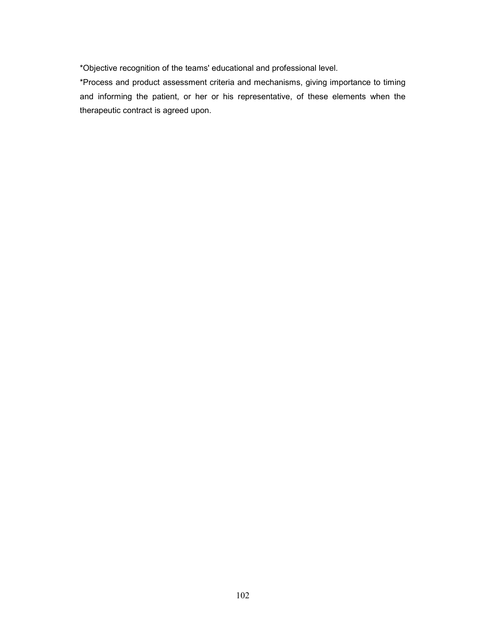\*Objective recognition of the teams' educational and professional level.

\*Process and product assessment criteria and mechanisms, giving importance to timing and informing the patient, or her or his representative, of these elements when the therapeutic contract is agreed upon.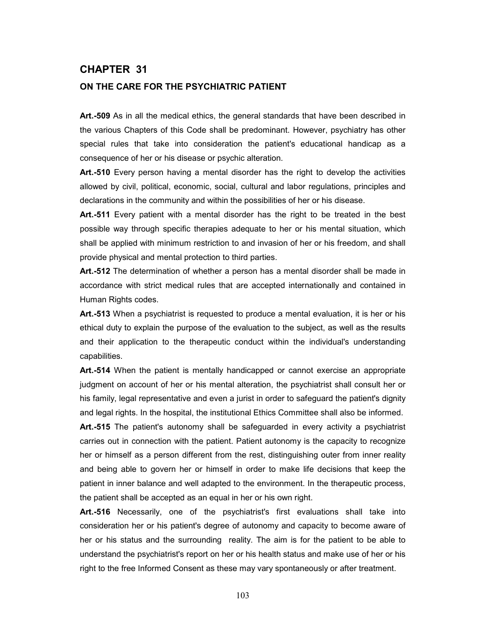### ON THE CARE FOR THE PSYCHIATRIC PATIENT

Art.-509 As in all the medical ethics, the general standards that have been described in the various Chapters of this Code shall be predominant. However, psychiatry has other special rules that take into consideration the patient's educational handicap as a consequence of her or his disease or psychic alteration.

Art.-510 Every person having a mental disorder has the right to develop the activities allowed by civil, political, economic, social, cultural and labor regulations, principles and declarations in the community and within the possibilities of her or his disease.

Art.-511 Every patient with a mental disorder has the right to be treated in the best possible way through specific therapies adequate to her or his mental situation, which shall be applied with minimum restriction to and invasion of her or his freedom, and shall provide physical and mental protection to third parties.

Art.-512 The determination of whether a person has a mental disorder shall be made in accordance with strict medical rules that are accepted internationally and contained in Human Rights codes.

Art.-513 When a psychiatrist is requested to produce a mental evaluation, it is her or his ethical duty to explain the purpose of the evaluation to the subject, as well as the results and their application to the therapeutic conduct within the individual's understanding capabilities.

Art.-514 When the patient is mentally handicapped or cannot exercise an appropriate judgment on account of her or his mental alteration, the psychiatrist shall consult her or his family, legal representative and even a jurist in order to safeguard the patient's dignity and legal rights. In the hospital, the institutional Ethics Committee shall also be informed.

Art.-515 The patient's autonomy shall be safeguarded in every activity a psychiatrist carries out in connection with the patient. Patient autonomy is the capacity to recognize her or himself as a person different from the rest, distinguishing outer from inner reality and being able to govern her or himself in order to make life decisions that keep the patient in inner balance and well adapted to the environment. In the therapeutic process, the patient shall be accepted as an equal in her or his own right.

Art.-516 Necessarily, one of the psychiatrist's first evaluations shall take into consideration her or his patient's degree of autonomy and capacity to become aware of her or his status and the surrounding reality. The aim is for the patient to be able to understand the psychiatrist's report on her or his health status and make use of her or his right to the free Informed Consent as these may vary spontaneously or after treatment.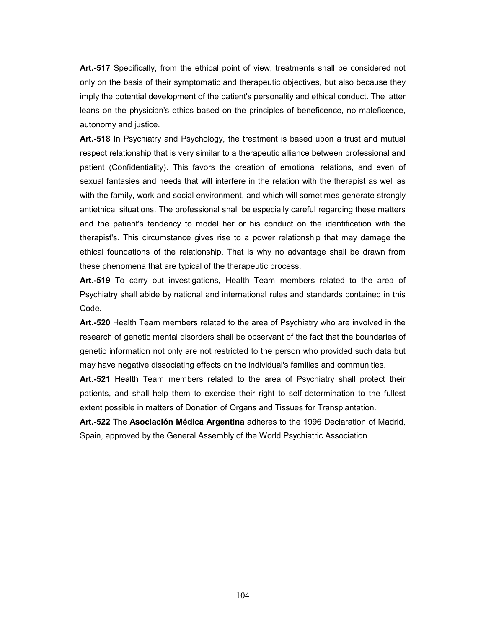Art.-517 Specifically, from the ethical point of view, treatments shall be considered not only on the basis of their symptomatic and therapeutic objectives, but also because they imply the potential development of the patient's personality and ethical conduct. The latter leans on the physician's ethics based on the principles of beneficence, no maleficence, autonomy and justice.

Art.-518 In Psychiatry and Psychology, the treatment is based upon a trust and mutual respect relationship that is very similar to a therapeutic alliance between professional and patient (Confidentiality). This favors the creation of emotional relations, and even of sexual fantasies and needs that will interfere in the relation with the therapist as well as with the family, work and social environment, and which will sometimes generate strongly antiethical situations. The professional shall be especially careful regarding these matters and the patient's tendency to model her or his conduct on the identification with the therapist's. This circumstance gives rise to a power relationship that may damage the ethical foundations of the relationship. That is why no advantage shall be drawn from these phenomena that are typical of the therapeutic process.

Art.-519 To carry out investigations, Health Team members related to the area of Psychiatry shall abide by national and international rules and standards contained in this Code.

Art.-520 Health Team members related to the area of Psychiatry who are involved in the research of genetic mental disorders shall be observant of the fact that the boundaries of genetic information not only are not restricted to the person who provided such data but may have negative dissociating effects on the individual's families and communities.

Art.-521 Health Team members related to the area of Psychiatry shall protect their patients, and shall help them to exercise their right to self-determination to the fullest extent possible in matters of Donation of Organs and Tissues for Transplantation.

Art.-522 The Asociación Médica Argentina adheres to the 1996 Declaration of Madrid, Spain, approved by the General Assembly of the World Psychiatric Association.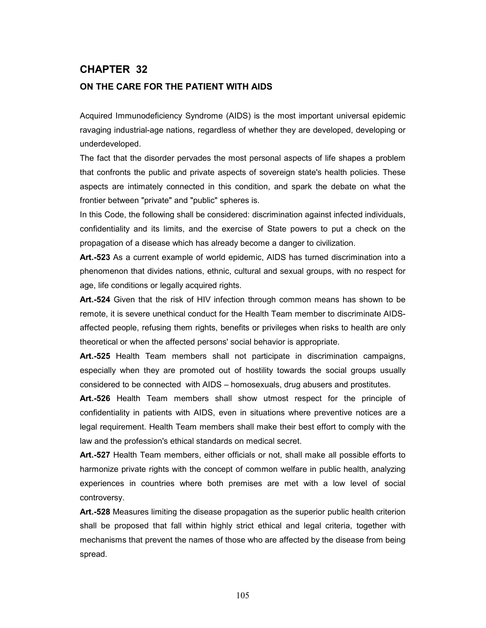## ON THE CARE FOR THE PATIENT WITH AIDS

Acquired Immunodeficiency Syndrome (AIDS) is the most important universal epidemic ravaging industrial-age nations, regardless of whether they are developed, developing or underdeveloped.

The fact that the disorder pervades the most personal aspects of life shapes a problem that confronts the public and private aspects of sovereign state's health policies. These aspects are intimately connected in this condition, and spark the debate on what the frontier between "private" and "public" spheres is.

In this Code, the following shall be considered: discrimination against infected individuals, confidentiality and its limits, and the exercise of State powers to put a check on the propagation of a disease which has already become a danger to civilization.

Art.-523 As a current example of world epidemic, AIDS has turned discrimination into a phenomenon that divides nations, ethnic, cultural and sexual groups, with no respect for age, life conditions or legally acquired rights.

Art.-524 Given that the risk of HIV infection through common means has shown to be remote, it is severe unethical conduct for the Health Team member to discriminate AIDSaffected people, refusing them rights, benefits or privileges when risks to health are only theoretical or when the affected persons' social behavior is appropriate.

Art.-525 Health Team members shall not participate in discrimination campaigns, especially when they are promoted out of hostility towards the social groups usually considered to be connected with AIDS – homosexuals, drug abusers and prostitutes.

Art.-526 Health Team members shall show utmost respect for the principle of confidentiality in patients with AIDS, even in situations where preventive notices are a legal requirement. Health Team members shall make their best effort to comply with the law and the profession's ethical standards on medical secret.

Art.-527 Health Team members, either officials or not, shall make all possible efforts to harmonize private rights with the concept of common welfare in public health, analyzing experiences in countries where both premises are met with a low level of social controversy.

Art.-528 Measures limiting the disease propagation as the superior public health criterion shall be proposed that fall within highly strict ethical and legal criteria, together with mechanisms that prevent the names of those who are affected by the disease from being spread.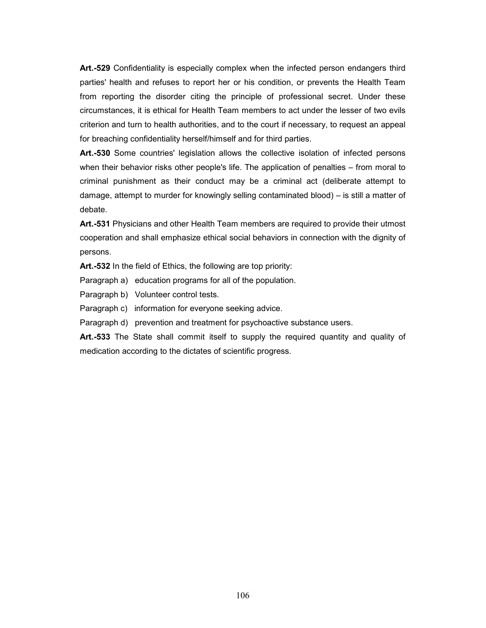Art.-529 Confidentiality is especially complex when the infected person endangers third parties' health and refuses to report her or his condition, or prevents the Health Team from reporting the disorder citing the principle of professional secret. Under these circumstances, it is ethical for Health Team members to act under the lesser of two evils criterion and turn to health authorities, and to the court if necessary, to request an appeal for breaching confidentiality herself/himself and for third parties.

Art.-530 Some countries' legislation allows the collective isolation of infected persons when their behavior risks other people's life. The application of penalties – from moral to criminal punishment as their conduct may be a criminal act (deliberate attempt to damage, attempt to murder for knowingly selling contaminated blood) – is still a matter of debate.

Art.-531 Physicians and other Health Team members are required to provide their utmost cooperation and shall emphasize ethical social behaviors in connection with the dignity of persons.

Art.-532 In the field of Ethics, the following are top priority:

Paragraph a) education programs for all of the population.

Paragraph b) Volunteer control tests.

Paragraph c) information for everyone seeking advice.

Paragraph d) prevention and treatment for psychoactive substance users.

Art.-533 The State shall commit itself to supply the required quantity and quality of medication according to the dictates of scientific progress.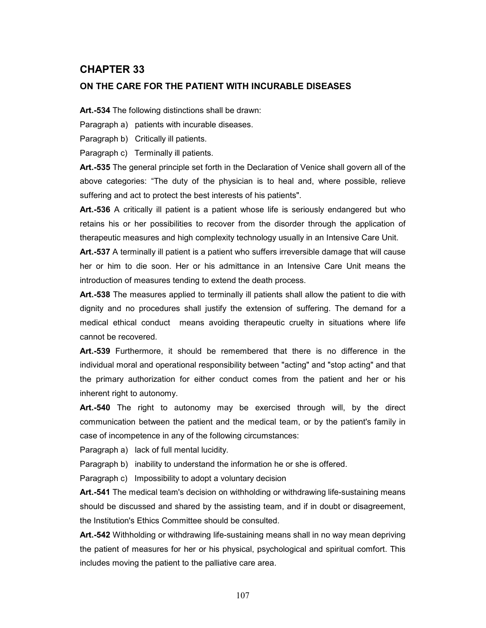#### ON THE CARE FOR THE PATIENT WITH INCURABLE DISEASES

Art.-534 The following distinctions shall be drawn:

Paragraph a) patients with incurable diseases.

Paragraph b) Critically ill patients.

Paragraph c) Terminally ill patients.

Art.-535 The general principle set forth in the Declaration of Venice shall govern all of the above categories: "The duty of the physician is to heal and, where possible, relieve suffering and act to protect the best interests of his patients".

Art.-536 A critically ill patient is a patient whose life is seriously endangered but who retains his or her possibilities to recover from the disorder through the application of therapeutic measures and high complexity technology usually in an Intensive Care Unit.

Art.-537 A terminally ill patient is a patient who suffers irreversible damage that will cause her or him to die soon. Her or his admittance in an Intensive Care Unit means the introduction of measures tending to extend the death process.

Art.-538 The measures applied to terminally ill patients shall allow the patient to die with dignity and no procedures shall justify the extension of suffering. The demand for a medical ethical conduct means avoiding therapeutic cruelty in situations where life cannot be recovered.

Art.-539 Furthermore, it should be remembered that there is no difference in the individual moral and operational responsibility between "acting" and "stop acting" and that the primary authorization for either conduct comes from the patient and her or his inherent right to autonomy.

Art.-540 The right to autonomy may be exercised through will, by the direct communication between the patient and the medical team, or by the patient's family in case of incompetence in any of the following circumstances:

Paragraph a) lack of full mental lucidity.

Paragraph b) inability to understand the information he or she is offered.

Paragraph c) Impossibility to adopt a voluntary decision

Art.-541 The medical team's decision on withholding or withdrawing life-sustaining means should be discussed and shared by the assisting team, and if in doubt or disagreement, the Institution's Ethics Committee should be consulted.

Art.-542 Withholding or withdrawing life-sustaining means shall in no way mean depriving the patient of measures for her or his physical, psychological and spiritual comfort. This includes moving the patient to the palliative care area.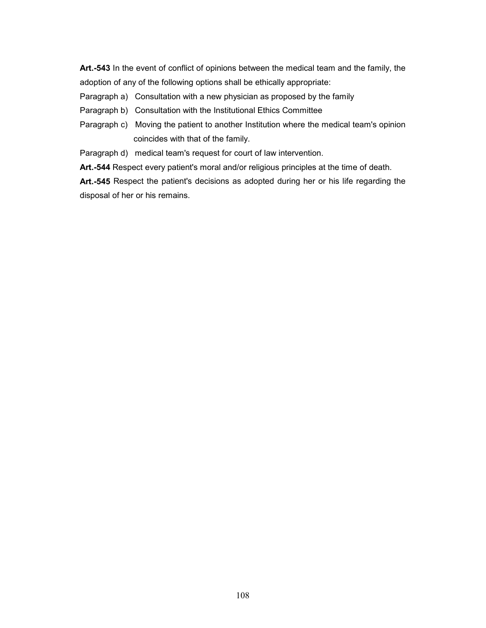Art.-543 In the event of conflict of opinions between the medical team and the family, the adoption of any of the following options shall be ethically appropriate:

Paragraph a) Consultation with a new physician as proposed by the family

Paragraph b) Consultation with the Institutional Ethics Committee

Paragraph c) Moving the patient to another Institution where the medical team's opinion coincides with that of the family.

Paragraph d) medical team's request for court of law intervention.

Art.-544 Respect every patient's moral and/or religious principles at the time of death.

Art.-545 Respect the patient's decisions as adopted during her or his life regarding the disposal of her or his remains.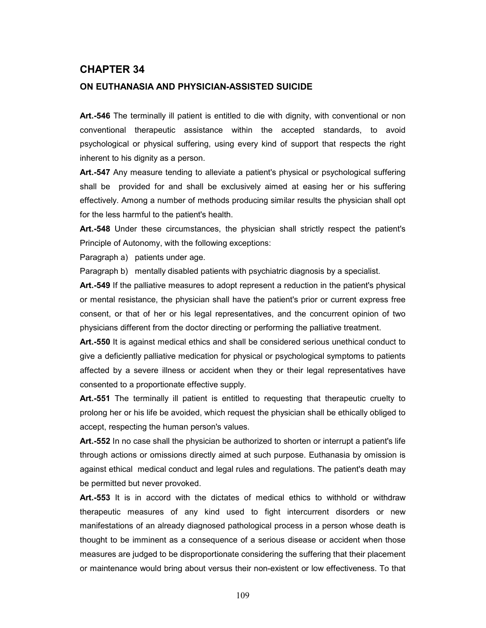#### **CHAPTER 34**

#### ON EUTHANASIA AND PHYSICIAN-ASSISTED SUICIDE

Art.-546 The terminally ill patient is entitled to die with dignity, with conventional or non conventional therapeutic assistance within the accepted standards, to avoid psychological or physical suffering, using every kind of support that respects the right inherent to his dignity as a person.

Art.-547 Any measure tending to alleviate a patient's physical or psychological suffering shall be provided for and shall be exclusively aimed at easing her or his suffering effectively. Among a number of methods producing similar results the physician shall opt for the less harmful to the patient's health.

Art.-548 Under these circumstances, the physician shall strictly respect the patient's Principle of Autonomy, with the following exceptions:

Paragraph a) patients under age.

Paragraph b) mentally disabled patients with psychiatric diagnosis by a specialist.

Art.-549 If the palliative measures to adopt represent a reduction in the patient's physical or mental resistance, the physician shall have the patient's prior or current express free consent, or that of her or his legal representatives, and the concurrent opinion of two physicians different from the doctor directing or performing the palliative treatment.

Art.-550 It is against medical ethics and shall be considered serious unethical conduct to give a deficiently palliative medication for physical or psychological symptoms to patients affected by a severe illness or accident when they or their legal representatives have consented to a proportionate effective supply.

Art.-551 The terminally ill patient is entitled to requesting that therapeutic cruelty to prolong her or his life be avoided, which request the physician shall be ethically obliged to accept, respecting the human person's values.

Art.-552 In no case shall the physician be authorized to shorten or interrupt a patient's life through actions or omissions directly aimed at such purpose. Euthanasia by omission is against ethical medical conduct and legal rules and regulations. The patient's death may be permitted but never provoked.

Art.-553 It is in accord with the dictates of medical ethics to withhold or withdraw therapeutic measures of any kind used to fight intercurrent disorders or new manifestations of an already diagnosed pathological process in a person whose death is thought to be imminent as a consequence of a serious disease or accident when those measures are judged to be disproportionate considering the suffering that their placement or maintenance would bring about versus their non-existent or low effectiveness. To that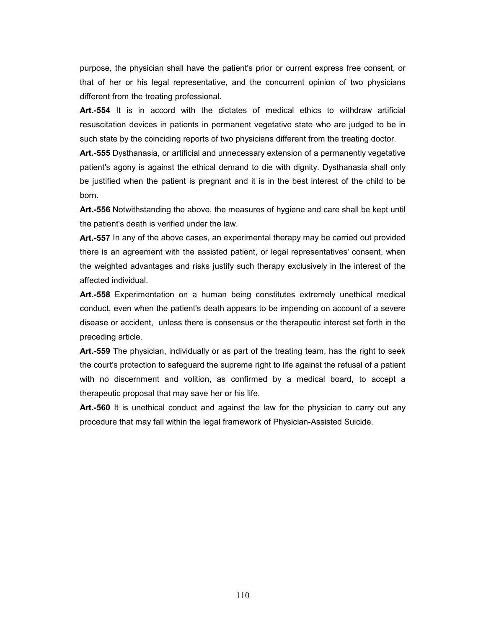purpose, the physician shall have the patient's prior or current express free consent, or that of her or his legal representative, and the concurrent opinion of two physicians different from the treating professional.

Art.-554 It is in accord with the dictates of medical ethics to withdraw artificial resuscitation devices in patients in permanent vegetative state who are judged to be in such state by the coinciding reports of two physicians different from the treating doctor.

Art.-555 Dysthanasia, or artificial and unnecessary extension of a permanently vegetative patient's agony is against the ethical demand to die with dignity. Dysthanasia shall only be justified when the patient is pregnant and it is in the best interest of the child to be born.

Art.-556 Notwithstanding the above, the measures of hygiene and care shall be kept until the patient's death is verified under the law.

Art.-557 In any of the above cases, an experimental therapy may be carried out provided there is an agreement with the assisted patient, or legal representatives' consent, when the weighted advantages and risks justify such therapy exclusively in the interest of the affected individual.

**Art.-558** Experimentation on a human being constitutes extremely unethical medical conduct, even when the patient's death appears to be impending on account of a severe disease or accident, unless there is consensus or the therapeutic interest set forth in the preceding article.

Art.-559 The physician, individually or as part of the treating team, has the right to seek the court's protection to safeguard the supreme right to life against the refusal of a patient with no discernment and volition, as confirmed by a medical board, to accept a therapeutic proposal that may save her or his life.

Art.-560 It is unethical conduct and against the law for the physician to carry out any procedure that may fall within the legal framework of Physician-Assisted Suicide.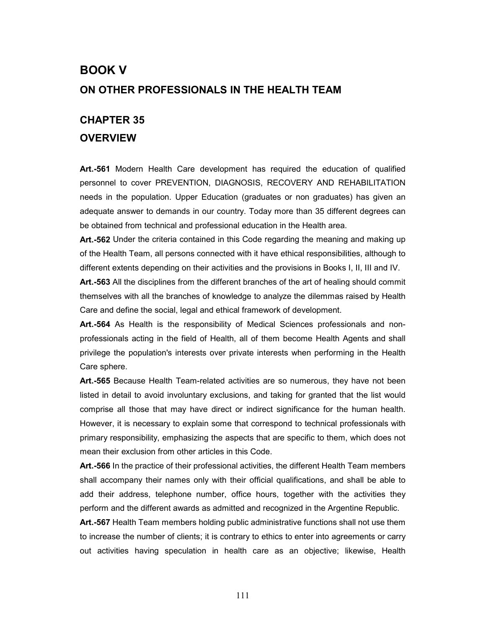# **BOOK V** ON OTHER PROFESSIONALS IN THE HEALTH TEAM

## **CHAPTER 35**

## **OVERVIEW**

Art.-561 Modern Health Care development has required the education of qualified personnel to cover PREVENTION, DIAGNOSIS, RECOVERY AND REHABILITATION needs in the population. Upper Education (graduates or non graduates) has given an adequate answer to demands in our country. Today more than 35 different degrees can be obtained from technical and professional education in the Health area.

Art.-562 Under the criteria contained in this Code regarding the meaning and making up of the Health Team, all persons connected with it have ethical responsibilities, although to different extents depending on their activities and the provisions in Books I, II, III and IV.

Art.-563 All the disciplines from the different branches of the art of healing should commit themselves with all the branches of knowledge to analyze the dilemmas raised by Health Care and define the social, legal and ethical framework of development.

Art.-564 As Health is the responsibility of Medical Sciences professionals and nonprofessionals acting in the field of Health, all of them become Health Agents and shall privilege the population's interests over private interests when performing in the Health Care sphere.

Art.-565 Because Health Team-related activities are so numerous, they have not been listed in detail to avoid involuntary exclusions, and taking for granted that the list would comprise all those that may have direct or indirect significance for the human health. However, it is necessary to explain some that correspond to technical professionals with primary responsibility, emphasizing the aspects that are specific to them, which does not mean their exclusion from other articles in this Code.

Art.-566 In the practice of their professional activities, the different Health Team members shall accompany their names only with their official qualifications, and shall be able to add their address, telephone number, office hours, together with the activities they perform and the different awards as admitted and recognized in the Argentine Republic.

Art.-567 Health Team members holding public administrative functions shall not use them to increase the number of clients; it is contrary to ethics to enter into agreements or carry out activities having speculation in health care as an objective; likewise, Health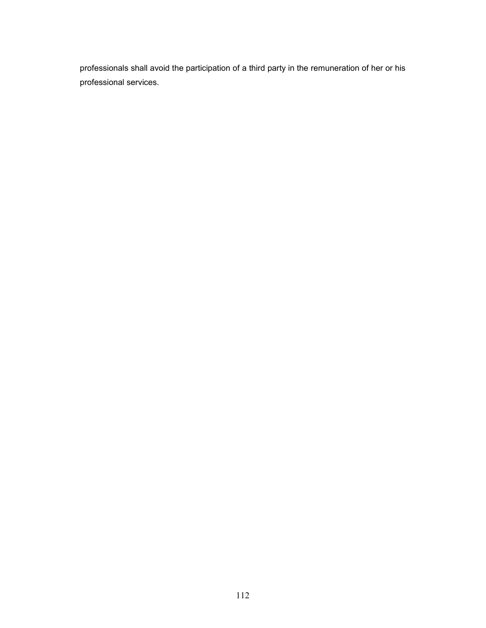professionals shall avoid the participation of a third party in the remuneration of her or his professional services.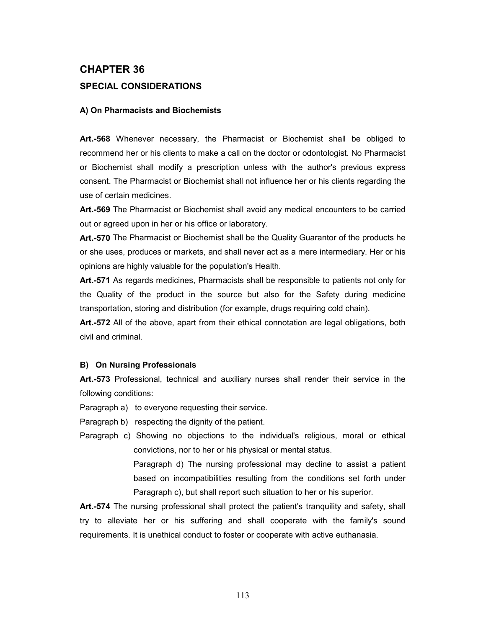#### **CHAPTER 36**

#### **SPECIAL CONSIDERATIONS**

#### A) On Pharmacists and Biochemists

Art.-568 Whenever necessary, the Pharmacist or Biochemist shall be obliged to recommend her or his clients to make a call on the doctor or odontologist. No Pharmacist or Biochemist shall modify a prescription unless with the author's previous express consent. The Pharmacist or Biochemist shall not influence her or his clients regarding the use of certain medicines.

Art.-569 The Pharmacist or Biochemist shall avoid any medical encounters to be carried out or agreed upon in her or his office or laboratory.

Art.-570 The Pharmacist or Biochemist shall be the Quality Guarantor of the products he or she uses, produces or markets, and shall never act as a mere intermediary. Her or his opinions are highly valuable for the population's Health.

Art.-571 As regards medicines, Pharmacists shall be responsible to patients not only for the Quality of the product in the source but also for the Safety during medicine transportation, storing and distribution (for example, drugs requiring cold chain).

Art.-572 All of the above, apart from their ethical connotation are legal obligations, both civil and criminal.

#### **B)** On Nursing Professionals

Art.-573 Professional, technical and auxiliary nurses shall render their service in the following conditions:

Paragraph a) to everyone requesting their service.

Paragraph b) respecting the dignity of the patient.

Paragraph c) Showing no objections to the individual's religious, moral or ethical convictions, nor to her or his physical or mental status. Paragraph d) The nursing professional may decline to assist a patient

based on incompatibilities resulting from the conditions set forth under Paragraph c), but shall report such situation to her or his superior.

Art.-574 The nursing professional shall protect the patient's tranquility and safety, shall try to alleviate her or his suffering and shall cooperate with the family's sound requirements. It is unethical conduct to foster or cooperate with active euthanasia.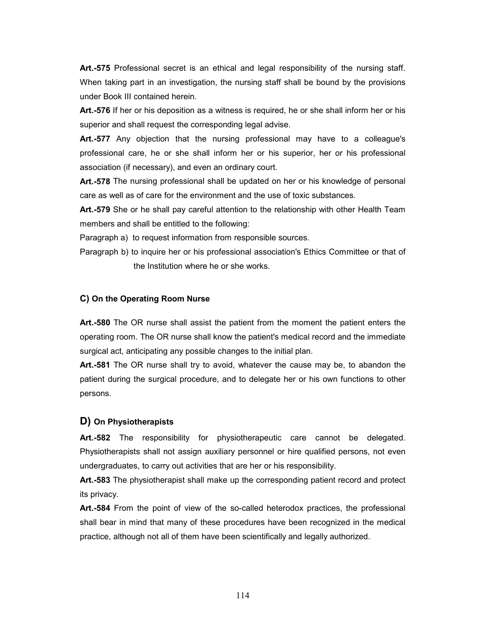Art.-575 Professional secret is an ethical and legal responsibility of the nursing staff. When taking part in an investigation, the nursing staff shall be bound by the provisions under Book III contained herein.

Art.-576 If her or his deposition as a witness is required, he or she shall inform her or his superior and shall request the corresponding legal advise.

Art.-577 Any objection that the nursing professional may have to a colleague's professional care, he or she shall inform her or his superior, her or his professional association (if necessary), and even an ordinary court.

Art.-578 The nursing professional shall be updated on her or his knowledge of personal care as well as of care for the environment and the use of toxic substances.

Art.-579 She or he shall pay careful attention to the relationship with other Health Team members and shall be entitled to the following:

Paragraph a) to request information from responsible sources.

Paragraph b) to inquire her or his professional association's Ethics Committee or that of the Institution where he or she works.

#### C) On the Operating Room Nurse

Art.-580 The OR nurse shall assist the patient from the moment the patient enters the operating room. The OR nurse shall know the patient's medical record and the immediate surgical act, anticipating any possible changes to the initial plan.

Art.-581 The OR nurse shall try to avoid, whatever the cause may be, to abandon the patient during the surgical procedure, and to delegate her or his own functions to other persons.

#### D) On Physiotherapists

Art.-582 The responsibility for physiotherapeutic care cannot be delegated. Physiotherapists shall not assign auxiliary personnel or hire qualified persons, not even undergraduates, to carry out activities that are her or his responsibility.

Art.-583 The physiotherapist shall make up the corresponding patient record and protect its privacy.

Art.-584 From the point of view of the so-called heterodox practices, the professional shall bear in mind that many of these procedures have been recognized in the medical practice, although not all of them have been scientifically and legally authorized.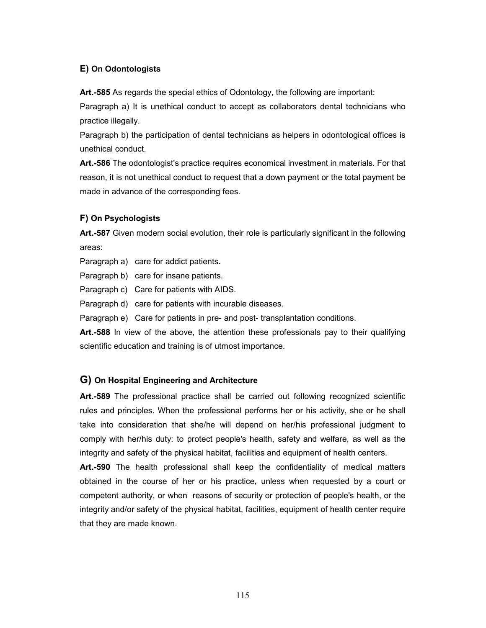#### E) On Odontologists

Art.-585 As regards the special ethics of Odontology, the following are important:

Paragraph a) It is unethical conduct to accept as collaborators dental technicians who practice illegally.

Paragraph b) the participation of dental technicians as helpers in odontological offices is unethical conduct.

Art.-586 The odontologist's practice requires economical investment in materials. For that reason, it is not unethical conduct to request that a down payment or the total payment be made in advance of the corresponding fees.

#### F) On Psychologists

Art.-587 Given modern social evolution, their role is particularly significant in the following areas:

Paragraph a) care for addict patients.

Paragraph b) care for insane patients.

Paragraph c) Care for patients with AIDS.

Paragraph d) care for patients with incurable diseases.

Paragraph e) Care for patients in pre- and post-transplantation conditions.

Art.-588 In view of the above, the attention these professionals pay to their qualifying scientific education and training is of utmost importance.

#### G) On Hospital Engineering and Architecture

Art.-589 The professional practice shall be carried out following recognized scientific rules and principles. When the professional performs her or his activity, she or he shall take into consideration that she/he will depend on her/his professional judgment to comply with her/his duty: to protect people's health, safety and welfare, as well as the integrity and safety of the physical habitat, facilities and equipment of health centers.

Art.-590 The health professional shall keep the confidentiality of medical matters obtained in the course of her or his practice, unless when requested by a court or competent authority, or when reasons of security or protection of people's health, or the integrity and/or safety of the physical habitat, facilities, equipment of health center require that they are made known.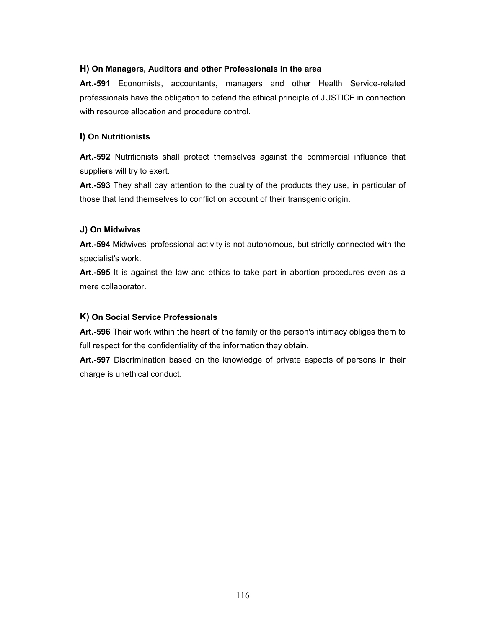#### H) On Managers, Auditors and other Professionals in the area

Art.-591 Economists, accountants, managers and other Health Service-related professionals have the obligation to defend the ethical principle of JUSTICE in connection with resource allocation and procedure control.

#### I) On Nutritionists

Art.-592 Nutritionists shall protect themselves against the commercial influence that suppliers will try to exert.

Art.-593 They shall pay attention to the quality of the products they use, in particular of those that lend themselves to conflict on account of their transgenic origin.

#### J) On Midwives

Art.-594 Midwives' professional activity is not autonomous, but strictly connected with the specialist's work.

Art.-595 It is against the law and ethics to take part in abortion procedures even as a mere collaborator.

#### K) On Social Service Professionals

Art.-596 Their work within the heart of the family or the person's intimacy obliges them to full respect for the confidentiality of the information they obtain.

Art.-597 Discrimination based on the knowledge of private aspects of persons in their charge is unethical conduct.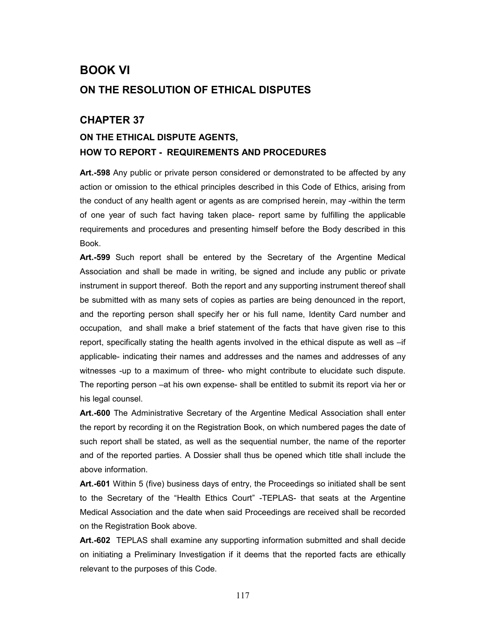# **BOOK VI** ON THE RESOLUTION OF ETHICAL DISPUTES

#### **CHAPTER 37**

## ON THE ETHICAL DISPUTE AGENTS, HOW TO REPORT - REQUIREMENTS AND PROCEDURES

Art.-598 Any public or private person considered or demonstrated to be affected by any action or omission to the ethical principles described in this Code of Ethics, arising from the conduct of any health agent or agents as are comprised herein, may -within the term of one year of such fact having taken place- report same by fulfilling the applicable requirements and procedures and presenting himself before the Body described in this Book.

Art.-599 Such report shall be entered by the Secretary of the Argentine Medical Association and shall be made in writing, be signed and include any public or private instrument in support thereof. Both the report and any supporting instrument thereof shall be submitted with as many sets of copies as parties are being denounced in the report, and the reporting person shall specify her or his full name, Identity Card number and occupation, and shall make a brief statement of the facts that have given rise to this report, specifically stating the health agents involved in the ethical dispute as well as -if applicable- indicating their names and addresses and the names and addresses of any witnesses -up to a maximum of three- who might contribute to elucidate such dispute. The reporting person -at his own expense- shall be entitled to submit its report via her or his legal counsel.

Art.-600 The Administrative Secretary of the Argentine Medical Association shall enter the report by recording it on the Registration Book, on which numbered pages the date of such report shall be stated, as well as the sequential number, the name of the reporter and of the reported parties. A Dossier shall thus be opened which title shall include the above information.

Art.-601 Within 5 (five) business days of entry, the Proceedings so initiated shall be sent to the Secretary of the "Health Ethics Court" -TEPLAS- that seats at the Argentine Medical Association and the date when said Proceedings are received shall be recorded on the Registration Book above.

Art.-602 TEPLAS shall examine any supporting information submitted and shall decide on initiating a Preliminary Investigation if it deems that the reported facts are ethically relevant to the purposes of this Code.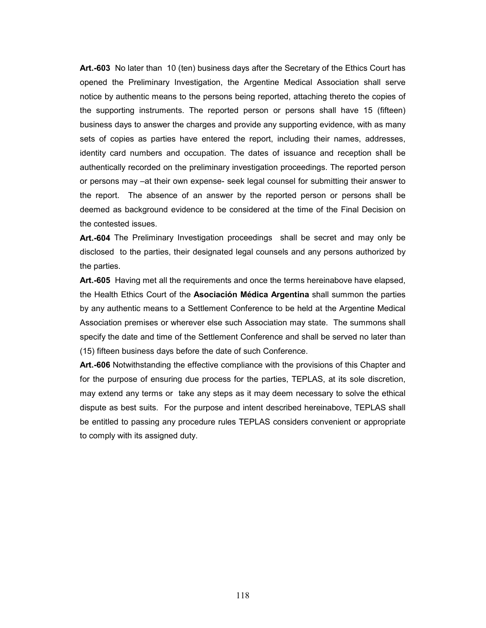Art.-603 No later than 10 (ten) business days after the Secretary of the Ethics Court has opened the Preliminary Investigation, the Argentine Medical Association shall serve notice by authentic means to the persons being reported, attaching thereto the copies of the supporting instruments. The reported person or persons shall have 15 (fifteen) business days to answer the charges and provide any supporting evidence, with as many sets of copies as parties have entered the report, including their names, addresses, identity card numbers and occupation. The dates of issuance and reception shall be authentically recorded on the preliminary investigation proceedings. The reported person or persons may –at their own expense- seek legal counsel for submitting their answer to the report. The absence of an answer by the reported person or persons shall be deemed as background evidence to be considered at the time of the Final Decision on the contested issues.

Art.-604 The Preliminary Investigation proceedings shall be secret and may only be disclosed to the parties, their designated legal counsels and any persons authorized by the parties.

Art.-605 Having met all the requirements and once the terms hereinabove have elapsed, the Health Ethics Court of the Asociación Médica Argentina shall summon the parties by any authentic means to a Settlement Conference to be held at the Argentine Medical Association premises or wherever else such Association may state. The summons shall specify the date and time of the Settlement Conference and shall be served no later than (15) fifteen business days before the date of such Conference.

Art.-606 Notwithstanding the effective compliance with the provisions of this Chapter and for the purpose of ensuring due process for the parties, TEPLAS, at its sole discretion, may extend any terms or take any steps as it may deem necessary to solve the ethical dispute as best suits. For the purpose and intent described hereinabove, TEPLAS shall be entitled to passing any procedure rules TEPLAS considers convenient or appropriate to comply with its assigned duty.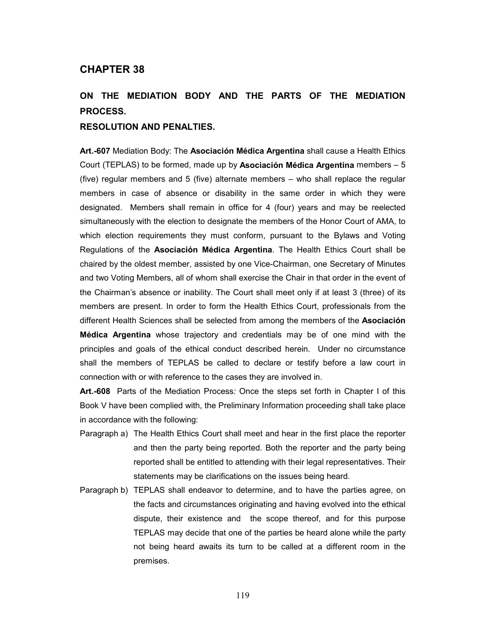#### **CHAPTER 38**

## ON THE MEDIATION BODY AND THE PARTS OF THE MEDIATION **PROCESS.**

#### **RESOLUTION AND PENALTIES.**

Art.-607 Mediation Body: The Asociación Médica Argentina shall cause a Health Ethics Court (TEPLAS) to be formed, made up by Asociación Médica Argentina members  $-5$ (five) regular members and 5 (five) alternate members – who shall replace the regular members in case of absence or disability in the same order in which they were designated. Members shall remain in office for 4 (four) years and may be reelected simultaneously with the election to designate the members of the Honor Court of AMA, to which election requirements they must conform, pursuant to the Bylaws and Voting Regulations of the Asociación Médica Argentina. The Health Ethics Court shall be chaired by the oldest member, assisted by one Vice-Chairman, one Secretary of Minutes and two Voting Members, all of whom shall exercise the Chair in that order in the event of the Chairman's absence or inability. The Court shall meet only if at least 3 (three) of its members are present. In order to form the Health Ethics Court, professionals from the different Health Sciences shall be selected from among the members of the Asociación Médica Argentina whose trajectory and credentials may be of one mind with the principles and goals of the ethical conduct described herein. Under no circumstance shall the members of TEPLAS be called to declare or testify before a law court in connection with or with reference to the cases they are involved in.

Art.-608 Parts of the Mediation Process: Once the steps set forth in Chapter I of this Book V have been complied with, the Preliminary Information proceeding shall take place in accordance with the following:

- Paragraph a) The Health Ethics Court shall meet and hear in the first place the reporter and then the party being reported. Both the reporter and the party being reported shall be entitled to attending with their legal representatives. Their statements may be clarifications on the issues being heard.
- Paragraph b) TEPLAS shall endeavor to determine, and to have the parties agree, on the facts and circumstances originating and having evolved into the ethical dispute, their existence and the scope thereof, and for this purpose TEPLAS may decide that one of the parties be heard alone while the party not being heard awaits its turn to be called at a different room in the premises.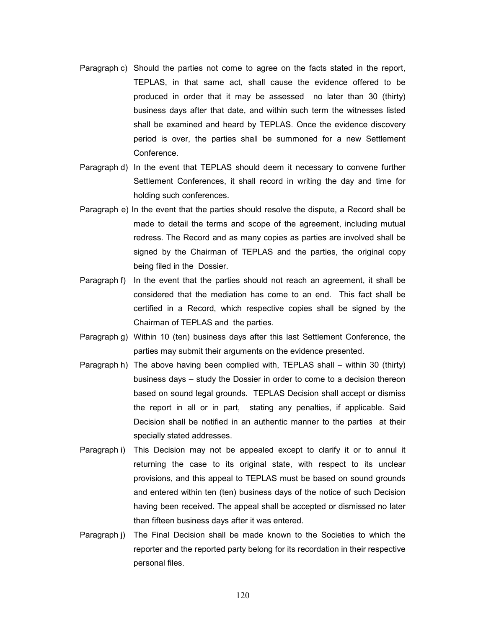- Paragraph c) Should the parties not come to agree on the facts stated in the report, TEPLAS, in that same act, shall cause the evidence offered to be produced in order that it may be assessed no later than 30 (thirty) business days after that date, and within such term the witnesses listed shall be examined and heard by TEPLAS. Once the evidence discovery period is over, the parties shall be summoned for a new Settlement Conference.
- Paragraph d) In the event that TEPLAS should deem it necessary to convene further Settlement Conferences, it shall record in writing the day and time for holding such conferences.
- Paragraph e) In the event that the parties should resolve the dispute, a Record shall be made to detail the terms and scope of the agreement, including mutual redress. The Record and as many copies as parties are involved shall be signed by the Chairman of TEPLAS and the parties, the original copy being filed in the Dossier.
- Paragraph f) In the event that the parties should not reach an agreement, it shall be considered that the mediation has come to an end. This fact shall be certified in a Record, which respective copies shall be signed by the Chairman of TEPLAS and the parties.
- Paragraph g) Within 10 (ten) business days after this last Settlement Conference, the parties may submit their arguments on the evidence presented.
- Paragraph h) The above having been complied with, TEPLAS shall within 30 (thirty) business days - study the Dossier in order to come to a decision thereon based on sound legal grounds. TEPLAS Decision shall accept or dismiss the report in all or in part, stating any penalties, if applicable. Said Decision shall be notified in an authentic manner to the parties at their specially stated addresses.
- Paragraph i) This Decision may not be appealed except to clarify it or to annul it returning the case to its original state, with respect to its unclear provisions, and this appeal to TEPLAS must be based on sound grounds and entered within ten (ten) business days of the notice of such Decision having been received. The appeal shall be accepted or dismissed no later than fifteen business days after it was entered.
- Paragraph j) The Final Decision shall be made known to the Societies to which the reporter and the reported party belong for its recordation in their respective personal files.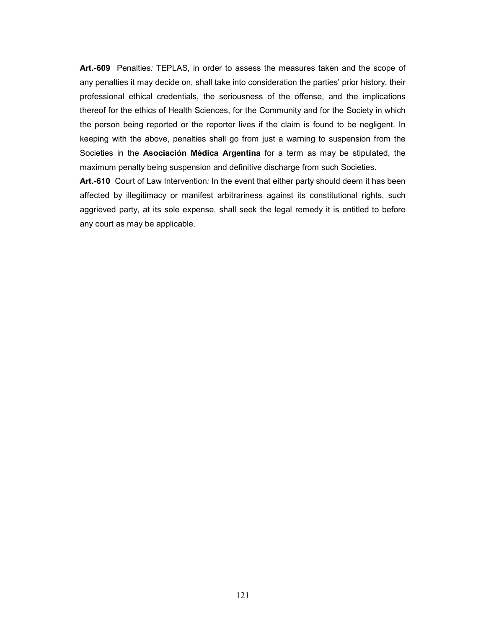Art.-609 Penalties: TEPLAS, in order to assess the measures taken and the scope of any penalties it may decide on, shall take into consideration the parties' prior history, their professional ethical credentials, the seriousness of the offense, and the implications thereof for the ethics of Health Sciences, for the Community and for the Society in which the person being reported or the reporter lives if the claim is found to be negligent. In keeping with the above, penalties shall go from just a warning to suspension from the Societies in the Asociación Médica Argentina for a term as may be stipulated, the maximum penalty being suspension and definitive discharge from such Societies.

Art.-610 Court of Law Intervention: In the event that either party should deem it has been affected by illegitimacy or manifest arbitrariness against its constitutional rights, such aggrieved party, at its sole expense, shall seek the legal remedy it is entitled to before any court as may be applicable.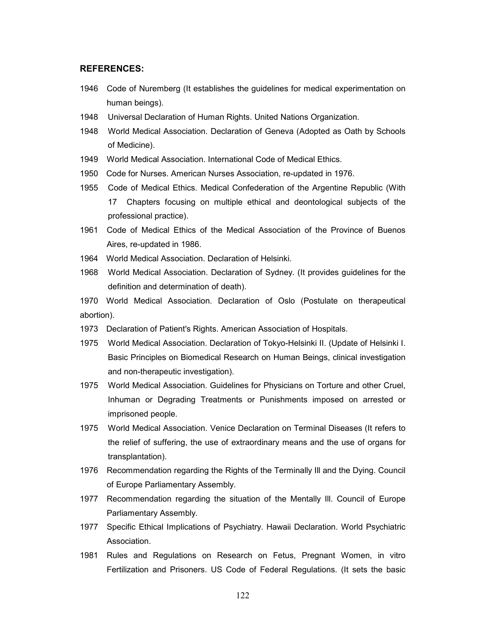#### **REFERENCES:**

- 1946 Code of Nuremberg (It establishes the guidelines for medical experimentation on human beings).
- 1948 Universal Declaration of Human Rights. United Nations Organization.
- 1948 World Medical Association. Declaration of Geneva (Adopted as Oath by Schools of Medicine).
- 1949 World Medical Association. International Code of Medical Ethics.
- 1950 Code for Nurses. American Nurses Association, re-updated in 1976.
- 1955 Code of Medical Ethics. Medical Confederation of the Argentine Republic (With 17 Chapters focusing on multiple ethical and deontological subjects of the professional practice).
- 1961 Code of Medical Ethics of the Medical Association of the Province of Buenos Aires, re-updated in 1986.
- 1964 World Medical Association. Declaration of Helsinki.
- 1968 World Medical Association. Declaration of Sydney. (It provides guidelines for the definition and determination of death).

1970 World Medical Association. Declaration of Oslo (Postulate on therapeutical abortion).

- 1973 Declaration of Patient's Rights. American Association of Hospitals.
- 1975 World Medical Association. Declaration of Tokyo-Helsinki II. (Update of Helsinki I. Basic Principles on Biomedical Research on Human Beings, clinical investigation and non-therapeutic investigation).
- 1975 World Medical Association. Guidelines for Physicians on Torture and other Cruel. Inhuman or Degrading Treatments or Punishments imposed on arrested or imprisoned people.
- 1975 World Medical Association. Venice Declaration on Terminal Diseases (It refers to the relief of suffering, the use of extraordinary means and the use of organs for transplantation).
- 1976 Recommendation regarding the Rights of the Terminally III and the Dying. Council of Europe Parliamentary Assembly.
- 1977 Recommendation regarding the situation of the Mentally III. Council of Europe Parliamentary Assembly.
- 1977 Specific Ethical Implications of Psychiatry. Hawaii Declaration. World Psychiatric Association.
- 1981 Rules and Regulations on Research on Fetus, Pregnant Women, in vitro Fertilization and Prisoners. US Code of Federal Regulations. (It sets the basic